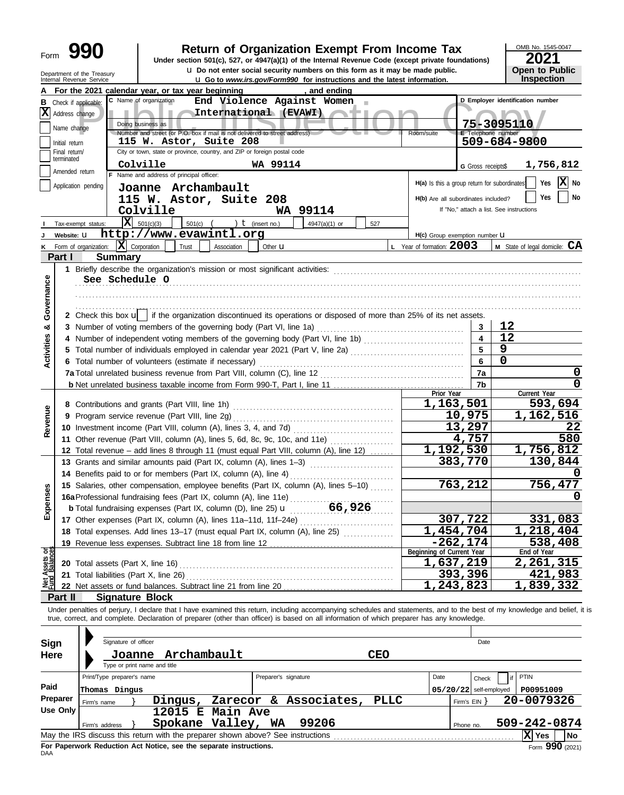# **990 2021 2010 2016 2021 Depend on Exempt From Income Tax 2021 2021 2021**

**u** Do not enter social security numbers on this form as it may be made public. **Open to Public** 

OMB No. 1545-0047 **Inspection** 

|                                |                               | Department of the Treasury<br>Internal Revenue Service | Q Do not enter social security numbers on this form as it may be made public.<br><b>u</b> Go to www.irs.gov/Form990 for instructions and the latest information.                                                                                                                                                         |                                     | <b>Open to Public</b><br>Inspection                         |
|--------------------------------|-------------------------------|--------------------------------------------------------|--------------------------------------------------------------------------------------------------------------------------------------------------------------------------------------------------------------------------------------------------------------------------------------------------------------------------|-------------------------------------|-------------------------------------------------------------|
|                                |                               |                                                        | , and ending<br>For the 2021 calendar year, or tax year beginning                                                                                                                                                                                                                                                        |                                     |                                                             |
|                                | <b>B</b> Check if applicable: |                                                        | C Name of organization<br>End Violence Against Women                                                                                                                                                                                                                                                                     |                                     | D Employer identification number                            |
|                                | $ \mathbf{X} $ Address change |                                                        | International (EVAWI)<br><b>AND I</b>                                                                                                                                                                                                                                                                                    |                                     |                                                             |
|                                | Name change                   |                                                        | Doing business as                                                                                                                                                                                                                                                                                                        |                                     | 75-3095110                                                  |
|                                |                               |                                                        | Number and street (or P.O. box if mail is not delivered to street address)<br>Room/suite                                                                                                                                                                                                                                 | <b>E</b> Telephone number           |                                                             |
|                                | Initial return                |                                                        | 115 W. Astor, Suite 208<br>City or town, state or province, country, and ZIP or foreign postal code                                                                                                                                                                                                                      |                                     | 509-684-9800                                                |
|                                | Final return/<br>terminated   |                                                        |                                                                                                                                                                                                                                                                                                                          |                                     |                                                             |
|                                | Amended return                |                                                        | Colville<br>WA 99114<br>F Name and address of principal officer:                                                                                                                                                                                                                                                         | G Gross receipts\$                  | 1,756,812                                                   |
|                                | Application pending           |                                                        |                                                                                                                                                                                                                                                                                                                          |                                     | X No<br>H(a) Is this a group return for subordinates<br>Yes |
|                                |                               |                                                        | Joanne Archambault                                                                                                                                                                                                                                                                                                       |                                     | Yes<br>No                                                   |
|                                |                               |                                                        | 115 W. Astor, Suite 208                                                                                                                                                                                                                                                                                                  | H(b) Are all subordinates included? | If "No." attach a list. See instructions                    |
|                                |                               |                                                        | Colville<br>WA 99114                                                                                                                                                                                                                                                                                                     |                                     |                                                             |
|                                | Tax-exempt status:            |                                                        | $\overline{\mathbf{X}}$ 501(c)(3)<br>501(c)<br>) $t$ (insert no.)<br>4947(a)(1) or<br>527<br>http://www.evawintl.org                                                                                                                                                                                                     |                                     |                                                             |
|                                | Website: U                    |                                                        | Form of organization: $ \mathbf{X} $ Corporation<br>L Year of formation: 2003                                                                                                                                                                                                                                            | H(c) Group exemption number U       | M State of legal domicile: CA                               |
| ĸ                              | Part I                        |                                                        | Trust<br>Association<br>Other $\mathbf u$<br><b>Summary</b>                                                                                                                                                                                                                                                              |                                     |                                                             |
|                                |                               |                                                        |                                                                                                                                                                                                                                                                                                                          |                                     |                                                             |
|                                |                               |                                                        | See Schedule O                                                                                                                                                                                                                                                                                                           |                                     |                                                             |
|                                |                               |                                                        |                                                                                                                                                                                                                                                                                                                          |                                     |                                                             |
| Governance                     |                               |                                                        |                                                                                                                                                                                                                                                                                                                          |                                     |                                                             |
|                                |                               |                                                        | 2 Check this box u   if the organization discontinued its operations or disposed of more than 25% of its net assets.                                                                                                                                                                                                     |                                     |                                                             |
| ೲ                              |                               |                                                        | 3 Number of voting members of the governing body (Part VI, line 1a)                                                                                                                                                                                                                                                      | 3                                   | 12                                                          |
|                                |                               |                                                        | 4 Number of independent voting members of the governing body (Part VI, line 1b)                                                                                                                                                                                                                                          |                                     | 12                                                          |
|                                |                               |                                                        |                                                                                                                                                                                                                                                                                                                          | 5                                   | 9                                                           |
| Activities                     |                               |                                                        | 6 Total number of volunteers (estimate if necessary)                                                                                                                                                                                                                                                                     | 6                                   | $\mathbf 0$                                                 |
|                                |                               |                                                        |                                                                                                                                                                                                                                                                                                                          | 7a                                  | 0                                                           |
|                                |                               |                                                        |                                                                                                                                                                                                                                                                                                                          | 7b                                  | $\mathbf 0$                                                 |
|                                |                               |                                                        | Prior Year                                                                                                                                                                                                                                                                                                               |                                     | Current Year                                                |
|                                |                               |                                                        | 8 Contributions and grants (Part VIII, line 1h)                                                                                                                                                                                                                                                                          | 1,163,501                           | 593,694                                                     |
| Revenue                        |                               |                                                        | 9 Program service revenue (Part VIII, line 2g)                                                                                                                                                                                                                                                                           | 10,975                              | 1,162,516                                                   |
|                                |                               |                                                        | 10 Investment income (Part VIII, column (A), lines 3, 4, and 7d)                                                                                                                                                                                                                                                         | 13,297                              | 22                                                          |
|                                |                               |                                                        | 11 Other revenue (Part VIII, column (A), lines 5, 6d, 8c, 9c, 10c, and 11e)                                                                                                                                                                                                                                              | 4,757                               | 580                                                         |
|                                |                               |                                                        | 12 Total revenue - add lines 8 through 11 (must equal Part VIII, column (A), line 12)                                                                                                                                                                                                                                    | 1,192,530                           | 1,756,812                                                   |
|                                |                               |                                                        | 13 Grants and similar amounts paid (Part IX, column (A), lines 1-3)                                                                                                                                                                                                                                                      | 383,770                             | 130,844                                                     |
|                                |                               |                                                        | 14 Benefits paid to or for members (Part IX, column (A), line 4)                                                                                                                                                                                                                                                         |                                     |                                                             |
|                                |                               |                                                        | 15 Salaries, other compensation, employee benefits (Part IX, column (A), lines 5-10)                                                                                                                                                                                                                                     | 763,212                             | 756,477                                                     |
| nses                           |                               |                                                        | 16a Professional fundraising fees (Part IX, column (A), line 11e)                                                                                                                                                                                                                                                        |                                     | 0                                                           |
| Exper                          |                               |                                                        |                                                                                                                                                                                                                                                                                                                          |                                     |                                                             |
|                                |                               |                                                        | 17 Other expenses (Part IX, column (A), lines 11a-11d, 11f-24e)                                                                                                                                                                                                                                                          | 307,722                             | 331,083                                                     |
|                                |                               |                                                        | 18 Total expenses. Add lines 13-17 (must equal Part IX, column (A), line 25)                                                                                                                                                                                                                                             | <u>1,454,704</u>                    | 1,218,404                                                   |
|                                |                               |                                                        | 19 Revenue less expenses. Subtract line 18 from line 12                                                                                                                                                                                                                                                                  | $-262, 174$                         | 538,408                                                     |
|                                |                               |                                                        | Beginning of Current Year                                                                                                                                                                                                                                                                                                |                                     | End of Year                                                 |
| Net Assets or<br>Fund Balances |                               |                                                        | 20 Total assets (Part X, line 16) Martin Martin Martin Martin Martin Martin Martin Martin Martin Martin Martin Martin Martin Martin Martin Martin Martin Martin Martin Martin Martin Martin Martin Martin Martin Martin Martin                                                                                           | 1,637,219                           | 2,261,315                                                   |
|                                |                               |                                                        | 21 Total liabilities (Part X, line 26)                                                                                                                                                                                                                                                                                   | 393,396<br>1,243,823                | 421,983                                                     |
|                                |                               |                                                        | 22 Net assets or fund balances. Subtract line 21 from line 20                                                                                                                                                                                                                                                            |                                     | 1,839,332                                                   |
|                                | Part II                       |                                                        | <b>Signature Block</b>                                                                                                                                                                                                                                                                                                   |                                     |                                                             |
|                                |                               |                                                        | Under penalties of perjury, I declare that I have examined this return, including accompanying schedules and statements, and to the best of my knowledge and belief, it is<br>true, correct, and complete. Declaration of preparer (other than officer) is based on all information of which preparer has any knowledge. |                                     |                                                             |
|                                |                               |                                                        |                                                                                                                                                                                                                                                                                                                          |                                     |                                                             |
| Sign                           |                               |                                                        | Signature of officer                                                                                                                                                                                                                                                                                                     | Date                                |                                                             |
| <b>Here</b>                    |                               |                                                        | Archambault<br><b>CEO</b><br>Joanne                                                                                                                                                                                                                                                                                      |                                     |                                                             |
|                                |                               |                                                        | Type or print name and title                                                                                                                                                                                                                                                                                             |                                     |                                                             |
|                                |                               |                                                        | Print/Type preparer's name<br>Preparer's signature<br>Date                                                                                                                                                                                                                                                               | Check                               | <b>PTIN</b>                                                 |
| Paid                           |                               | Thomas Dingus                                          |                                                                                                                                                                                                                                                                                                                          | $05/20/22$ self-employed            | P00951009                                                   |
|                                | Preparer                      |                                                        | Zarecor & Associates,<br><b>PLLC</b><br>Dingus,                                                                                                                                                                                                                                                                          | Firm's $EIN$ }                      | 20-0079326                                                  |
|                                | Use Only                      | Firm's name                                            | 12015 E Main Ave                                                                                                                                                                                                                                                                                                         |                                     |                                                             |
|                                |                               |                                                        | Spokane Valley, WA<br>99206                                                                                                                                                                                                                                                                                              |                                     | 509-242-0874                                                |
|                                |                               | Firm's address                                         | May the IRS discuss this return with the preparer shown above? See instructions                                                                                                                                                                                                                                          | Phone no.                           | X Yes<br>No                                                 |
|                                |                               |                                                        |                                                                                                                                                                                                                                                                                                                          |                                     |                                                             |

|                  | Print/Type preparer's name |                                                                                 | Preparer's signature<br>Date |                       |      |                          |            | Check | ∶ I PTIN         |                                                    |
|------------------|----------------------------|---------------------------------------------------------------------------------|------------------------------|-----------------------|------|--------------------------|------------|-------|------------------|----------------------------------------------------|
| Paid<br>Preparer | Thomas Dingus              |                                                                                 |                              |                       |      | $05/20/22$ self-employed |            |       | P00951009        |                                                    |
|                  | Firm's name                | Dingus,                                                                         |                              | Zarecor & Associates, | PLLC |                          | Firm's EIN |       | 20-0079326       |                                                    |
| Use Only         |                            | $12015$ E Main Ave                                                              |                              |                       |      |                          |            |       |                  |                                                    |
|                  | Firm's address             | Spokane Valley,                                                                 | WA                           | 99206                 |      |                          | Phone no.  |       | 509-242-0874     |                                                    |
|                  |                            | May the IRS discuss this return with the preparer shown above? See instructions |                              |                       |      |                          |            |       | XI<br><b>Yes</b> | l No                                               |
|                  |                            | For Panerwork Reduction Act Notice, see the senarate instructions               |                              |                       |      |                          |            |       |                  | $T_{\text{com}}$ QQ $\overline{\mathbf{0}}$ (2024) |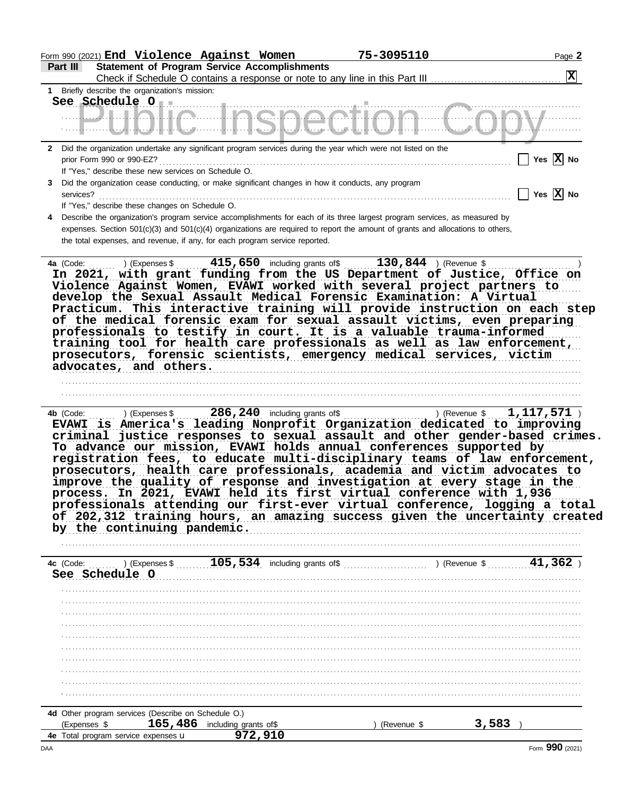|                  | Form 990 (2021) End Violence Against Women                                                                                                                                                                                                                                                                                                                                                                                                                                                                                                                                                                                                 |                       | 75-3095110  | Page 2                                                                                                                                                                                                                                                                                                                 |
|------------------|--------------------------------------------------------------------------------------------------------------------------------------------------------------------------------------------------------------------------------------------------------------------------------------------------------------------------------------------------------------------------------------------------------------------------------------------------------------------------------------------------------------------------------------------------------------------------------------------------------------------------------------------|-----------------------|-------------|------------------------------------------------------------------------------------------------------------------------------------------------------------------------------------------------------------------------------------------------------------------------------------------------------------------------|
| Part III         | <b>Statement of Program Service Accomplishments</b>                                                                                                                                                                                                                                                                                                                                                                                                                                                                                                                                                                                        |                       |             | $\boxed{\mathbf{X}}$                                                                                                                                                                                                                                                                                                   |
|                  | 1 Briefly describe the organization's mission:                                                                                                                                                                                                                                                                                                                                                                                                                                                                                                                                                                                             |                       |             |                                                                                                                                                                                                                                                                                                                        |
|                  | <u> UILAILA ILA QAAATIAA LIM</u><br>المستند الأمريكية المستقل المستقل المستقل المستقل المستقل المستقل المستقل المستقل المستقل المستقل المستقل المستقل المستقل المستقل المستقل المستقل المستقل المستقل المستقل المستقل المستقل المستقل المستقل المستقل المستقل الم                                                                                                                                                                                                                                                                                                                                                                          |                       |             |                                                                                                                                                                                                                                                                                                                        |
|                  | 2 Did the organization undertake any significant program services during the year which were not listed on the                                                                                                                                                                                                                                                                                                                                                                                                                                                                                                                             |                       |             | Yes $\overline{X}$ No                                                                                                                                                                                                                                                                                                  |
| 3<br>services?   | If "Yes," describe these new services on Schedule O.<br>Did the organization cease conducting, or make significant changes in how it conducts, any program                                                                                                                                                                                                                                                                                                                                                                                                                                                                                 |                       |             | Yes $\overline{X}$ No                                                                                                                                                                                                                                                                                                  |
|                  | If "Yes," describe these changes on Schedule O.                                                                                                                                                                                                                                                                                                                                                                                                                                                                                                                                                                                            |                       |             |                                                                                                                                                                                                                                                                                                                        |
|                  | 4 Describe the organization's program service accomplishments for each of its three largest program services, as measured by<br>expenses. Section 501(c)(3) and 501(c)(4) organizations are required to report the amount of grants and allocations to others,<br>the total expenses, and revenue, if any, for each program service reported.                                                                                                                                                                                                                                                                                              |                       |             |                                                                                                                                                                                                                                                                                                                        |
|                  | 42 (Code:  ) (Expenses \$  415,650 including grants of \$  130,844 ) (Revenue \$<br>In 2021, with grant funding from the US Department of Justice, Office on<br>Violence Against Women, EVAWI worked with several project partners to<br>develop the Sexual Assault Medical Forensic Examination: A Virtual<br>of the medical forensic exam for sexual assault victims, even preparing<br>professionals to testify in court. It is a valuable trauma-informed<br>training tool for health care professionals as well as law enforcement,<br>prosecutors, forensic scientists, emergency medical services, victim<br>advocates, and others. |                       |             | Practicum. This interactive training will provide instruction on each step                                                                                                                                                                                                                                             |
| <b>4b</b> (Code: |                                                                                                                                                                                                                                                                                                                                                                                                                                                                                                                                                                                                                                            |                       |             |                                                                                                                                                                                                                                                                                                                        |
|                  | EVAWI is America's leading Nonprofit Organization dedicated to improving<br>To advance our mission, EVAWI holds annual conferences supported by<br>prosecutors, health care professionals, academia and victim advocates to<br>improve the quality of response and investigation at every stage in the<br>process. In 2021, EVAWI held its first virtual conference with 1,936<br>by the continuing pandemic.                                                                                                                                                                                                                              |                       |             | criminal justice responses to sexual assault and other gender-based crimes.<br>registration fees, to educate multi-disciplinary teams of law enforcement,<br>professionals attending our first-ever virtual conference, logging a total<br>of 202,312 training hours, an amazing success given the uncertainty created |
|                  |                                                                                                                                                                                                                                                                                                                                                                                                                                                                                                                                                                                                                                            |                       |             |                                                                                                                                                                                                                                                                                                                        |
|                  | See Schedule O                                                                                                                                                                                                                                                                                                                                                                                                                                                                                                                                                                                                                             |                       |             |                                                                                                                                                                                                                                                                                                                        |
|                  |                                                                                                                                                                                                                                                                                                                                                                                                                                                                                                                                                                                                                                            |                       |             |                                                                                                                                                                                                                                                                                                                        |
|                  |                                                                                                                                                                                                                                                                                                                                                                                                                                                                                                                                                                                                                                            |                       |             |                                                                                                                                                                                                                                                                                                                        |
|                  |                                                                                                                                                                                                                                                                                                                                                                                                                                                                                                                                                                                                                                            |                       |             |                                                                                                                                                                                                                                                                                                                        |
|                  |                                                                                                                                                                                                                                                                                                                                                                                                                                                                                                                                                                                                                                            |                       |             |                                                                                                                                                                                                                                                                                                                        |
|                  |                                                                                                                                                                                                                                                                                                                                                                                                                                                                                                                                                                                                                                            |                       |             |                                                                                                                                                                                                                                                                                                                        |
|                  |                                                                                                                                                                                                                                                                                                                                                                                                                                                                                                                                                                                                                                            |                       |             |                                                                                                                                                                                                                                                                                                                        |
|                  |                                                                                                                                                                                                                                                                                                                                                                                                                                                                                                                                                                                                                                            |                       |             |                                                                                                                                                                                                                                                                                                                        |
|                  |                                                                                                                                                                                                                                                                                                                                                                                                                                                                                                                                                                                                                                            |                       |             |                                                                                                                                                                                                                                                                                                                        |
|                  |                                                                                                                                                                                                                                                                                                                                                                                                                                                                                                                                                                                                                                            |                       |             |                                                                                                                                                                                                                                                                                                                        |
|                  | 4d Other program services (Describe on Schedule O.)<br>165,486<br>(Expenses \$                                                                                                                                                                                                                                                                                                                                                                                                                                                                                                                                                             | including grants of\$ | (Revenue \$ | 3,583                                                                                                                                                                                                                                                                                                                  |
|                  | 4e Total program service expenses u                                                                                                                                                                                                                                                                                                                                                                                                                                                                                                                                                                                                        | 972,910               |             |                                                                                                                                                                                                                                                                                                                        |
| DAA              |                                                                                                                                                                                                                                                                                                                                                                                                                                                                                                                                                                                                                                            |                       |             | Form 990 (2021)                                                                                                                                                                                                                                                                                                        |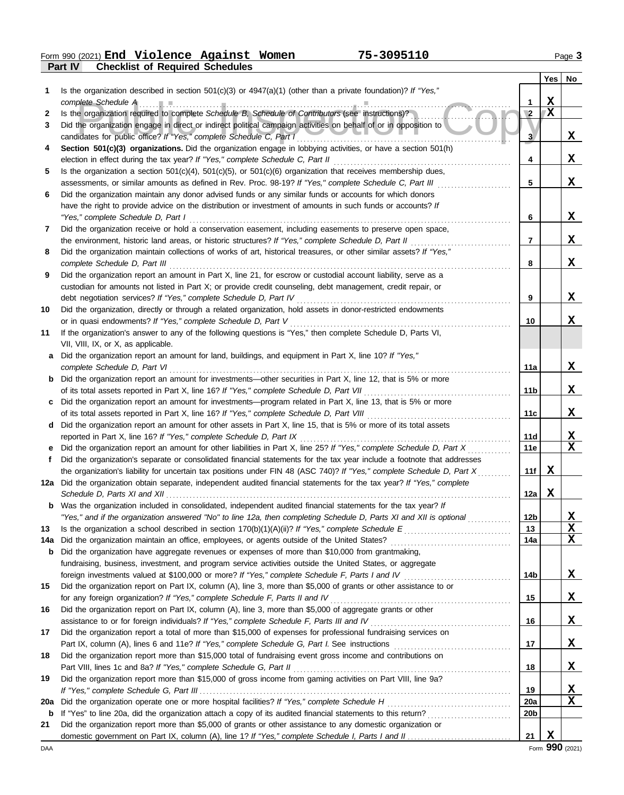**Part IV Checklist of Required Schedules** Form 990 (2021) Page **3 End Violence Against Women 75-3095110**

|                 |                                                                                                                                                                                         |                 | <b>Yes</b>   | No          |
|-----------------|-----------------------------------------------------------------------------------------------------------------------------------------------------------------------------------------|-----------------|--------------|-------------|
| 1               | Is the organization described in section $501(c)(3)$ or $4947(a)(1)$ (other than a private foundation)? If "Yes,"                                                                       |                 |              |             |
|                 |                                                                                                                                                                                         | 1               | X            |             |
| 2               | Is the organization required to complete Schedule B, Schedule of Contributors (see instructions)?                                                                                       | $\overline{2}$  | $\mathbf{X}$ |             |
| 3               | Did the organization engage in direct or indirect political campaign activities on behalf of or in opposition to<br>candidates for public office? If "Yes," complete Schedule C, Part I | $\mathbf{3}$    |              | X           |
| 4               | Section 501(c)(3) organizations. Did the organization engage in lobbying activities, or have a section 501(h)                                                                           |                 |              |             |
|                 | election in effect during the tax year? If "Yes," complete Schedule C, Part II                                                                                                          | 4               |              | X           |
| 5               | Is the organization a section $501(c)(4)$ , $501(c)(5)$ , or $501(c)(6)$ organization that receives membership dues,                                                                    |                 |              |             |
|                 | assessments, or similar amounts as defined in Rev. Proc. 98-19? If "Yes," complete Schedule C, Part III                                                                                 | 5               |              | X           |
| 6               | Did the organization maintain any donor advised funds or any similar funds or accounts for which donors                                                                                 |                 |              |             |
|                 | have the right to provide advice on the distribution or investment of amounts in such funds or accounts? If                                                                             |                 |              |             |
|                 | "Yes," complete Schedule D, Part I                                                                                                                                                      | 6               |              | X           |
| 7               | Did the organization receive or hold a conservation easement, including easements to preserve open space,                                                                               |                 |              |             |
|                 | the environment, historic land areas, or historic structures? If "Yes," complete Schedule D, Part II                                                                                    | 7               |              | X           |
| 8               | Did the organization maintain collections of works of art, historical treasures, or other similar assets? If "Yes,"                                                                     |                 |              |             |
|                 | complete Schedule D, Part III                                                                                                                                                           | 8               |              | X           |
| 9               | Did the organization report an amount in Part X, line 21, for escrow or custodial account liability, serve as a                                                                         |                 |              |             |
|                 | custodian for amounts not listed in Part X; or provide credit counseling, debt management, credit repair, or                                                                            |                 |              |             |
|                 | debt negotiation services? If "Yes," complete Schedule D, Part IV                                                                                                                       | 9               |              | X           |
| 10              | Did the organization, directly or through a related organization, hold assets in donor-restricted endowments                                                                            |                 |              |             |
|                 | or in quasi endowments? If "Yes," complete Schedule D, Part V                                                                                                                           | 10              |              | X           |
| 11              | If the organization's answer to any of the following questions is "Yes," then complete Schedule D, Parts VI,                                                                            |                 |              |             |
|                 | VII, VIII, IX, or X, as applicable.                                                                                                                                                     |                 |              |             |
| a               | Did the organization report an amount for land, buildings, and equipment in Part X, line 10? If "Yes,"                                                                                  |                 |              |             |
|                 | complete Schedule D, Part VI                                                                                                                                                            | 11a             |              | X           |
| b               | Did the organization report an amount for investments—other securities in Part X, line 12, that is 5% or more                                                                           | 11b             |              | X           |
| c               | Did the organization report an amount for investments—program related in Part X, line 13, that is 5% or more                                                                            |                 |              |             |
|                 |                                                                                                                                                                                         | 11c             |              | X           |
| d               | Did the organization report an amount for other assets in Part X, line 15, that is 5% or more of its total assets                                                                       |                 |              |             |
|                 | reported in Part X, line 16? If "Yes," complete Schedule D, Part IX                                                                                                                     | 11d             |              | X           |
|                 | Did the organization report an amount for other liabilities in Part X, line 25? If "Yes," complete Schedule D, Part X                                                                   | 11e             |              | $\mathbf X$ |
|                 | Did the organization's separate or consolidated financial statements for the tax year include a footnote that addresses                                                                 |                 |              |             |
|                 | the organization's liability for uncertain tax positions under FIN 48 (ASC 740)? If "Yes," complete Schedule D, Part X                                                                  | 11f             | X            |             |
|                 | 12a Did the organization obtain separate, independent audited financial statements for the tax year? If "Yes," complete                                                                 |                 |              |             |
|                 |                                                                                                                                                                                         | 12a             | Х            |             |
|                 | Was the organization included in consolidated, independent audited financial statements for the tax year? If                                                                            |                 |              |             |
|                 | "Yes," and if the organization answered "No" to line 12a, then completing Schedule D, Parts XI and XII is optional                                                                      | 12 <sub>b</sub> |              | X           |
| 13              |                                                                                                                                                                                         | 13              |              | X           |
| 14a             | Did the organization maintain an office, employees, or agents outside of the United States?                                                                                             | 14a             |              | X           |
| b               | Did the organization have aggregate revenues or expenses of more than \$10,000 from grantmaking,                                                                                        |                 |              |             |
|                 | fundraising, business, investment, and program service activities outside the United States, or aggregate                                                                               |                 |              |             |
|                 | foreign investments valued at \$100,000 or more? If "Yes," complete Schedule F, Parts I and IV                                                                                          | 14b             |              | X.          |
| 15              | Did the organization report on Part IX, column (A), line 3, more than \$5,000 of grants or other assistance to or                                                                       |                 |              |             |
|                 | for any foreign organization? If "Yes," complete Schedule F, Parts II and IV                                                                                                            | 15              |              | X           |
| 16              | Did the organization report on Part IX, column (A), line 3, more than \$5,000 of aggregate grants or other                                                                              |                 |              |             |
|                 | assistance to or for foreign individuals? If "Yes," complete Schedule F, Parts III and IV                                                                                               | 16              |              | X           |
| 17              | Did the organization report a total of more than \$15,000 of expenses for professional fundraising services on                                                                          |                 |              |             |
|                 |                                                                                                                                                                                         | 17              |              | X           |
| 18              | Did the organization report more than \$15,000 total of fundraising event gross income and contributions on                                                                             |                 |              |             |
|                 | Part VIII, lines 1c and 8a? If "Yes," complete Schedule G, Part II                                                                                                                      | 18              |              | X           |
| 19              | Did the organization report more than \$15,000 of gross income from gaming activities on Part VIII, line 9a?                                                                            |                 |              | x           |
|                 | Did the organization operate one or more hospital facilities? If "Yes," complete Schedule H                                                                                             | 19<br>20a       |              | X           |
| <b>20a</b><br>b |                                                                                                                                                                                         | 20 <sub>b</sub> |              |             |
| 21              | Did the organization report more than \$5,000 of grants or other assistance to any domestic organization or                                                                             |                 |              |             |
|                 |                                                                                                                                                                                         | 21              | X            |             |
|                 |                                                                                                                                                                                         |                 |              |             |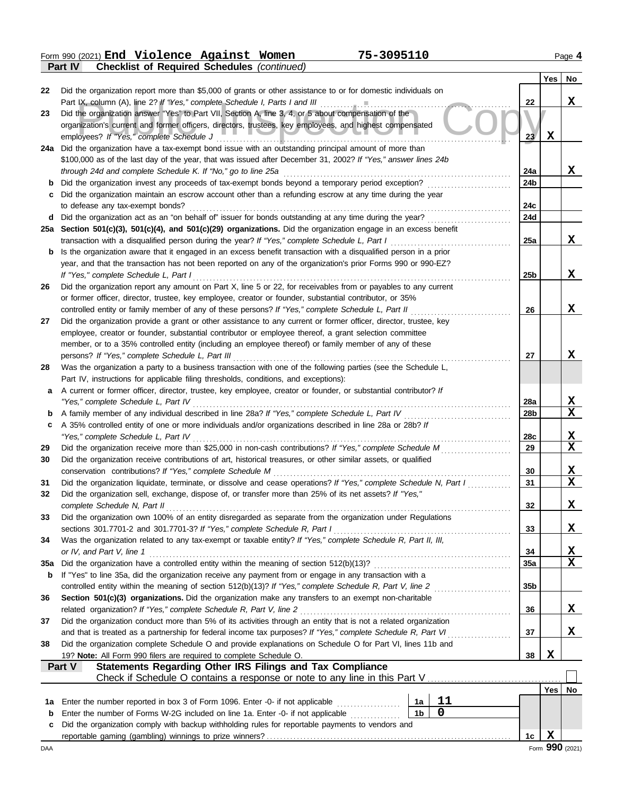Form 990 (2021) Page **4 Part IV Checklist of Required Schedules** *(continued)* **End Violence Against Women 75-3095110**

|     |                                                                                                                                                                                                                   |                 | Yes         | No              |
|-----|-------------------------------------------------------------------------------------------------------------------------------------------------------------------------------------------------------------------|-----------------|-------------|-----------------|
| 22  | Did the organization report more than \$5,000 of grants or other assistance to or for domestic individuals on                                                                                                     |                 |             |                 |
|     |                                                                                                                                                                                                                   | 22              |             | X               |
| 23  | Did the organization answer "Yes" to Part VII, Section A, line 3, 4, or 5 about compensation of the                                                                                                               |                 |             |                 |
|     | organization's current and former officers, directors, trustees, key employees, and highest compensated                                                                                                           | 23 <sub>2</sub> | $\mathbf x$ |                 |
|     | employees? If "Yes," complete Schedule J<br>24a Did the organization have a tax-exempt bond issue with an outstanding principal amount of more than                                                               |                 |             |                 |
|     | \$100,000 as of the last day of the year, that was issued after December 31, 2002? If "Yes," answer lines 24b                                                                                                     |                 |             |                 |
|     | through 24d and complete Schedule K. If "No," go to line 25a                                                                                                                                                      | 24a             |             | X               |
|     |                                                                                                                                                                                                                   | 24b             |             |                 |
| c   | Did the organization maintain an escrow account other than a refunding escrow at any time during the year                                                                                                         |                 |             |                 |
|     | to defease any tax-exempt bonds?                                                                                                                                                                                  | 24c             |             |                 |
|     | d Did the organization act as an "on behalf of" issuer for bonds outstanding at any time during the year?                                                                                                         | 24d             |             |                 |
|     | 25a Section 501(c)(3), 501(c)(4), and 501(c)(29) organizations. Did the organization engage in an excess benefit                                                                                                  |                 |             | X               |
| b   | transaction with a disqualified person during the year? If "Yes," complete Schedule L, Part I<br>Is the organization aware that it engaged in an excess benefit transaction with a disqualified person in a prior | 25a             |             |                 |
|     | year, and that the transaction has not been reported on any of the organization's prior Forms 990 or 990-EZ?                                                                                                      |                 |             |                 |
|     | If "Yes," complete Schedule L, Part I                                                                                                                                                                             | 25b             |             | X               |
| 26  | Did the organization report any amount on Part X, line 5 or 22, for receivables from or payables to any current                                                                                                   |                 |             |                 |
|     | or former officer, director, trustee, key employee, creator or founder, substantial contributor, or 35%                                                                                                           |                 |             |                 |
|     | controlled entity or family member of any of these persons? If "Yes," complete Schedule L, Part II                                                                                                                | 26              |             | X               |
| 27  | Did the organization provide a grant or other assistance to any current or former officer, director, trustee, key                                                                                                 |                 |             |                 |
|     | employee, creator or founder, substantial contributor or employee thereof, a grant selection committee                                                                                                            |                 |             |                 |
|     | member, or to a 35% controlled entity (including an employee thereof) or family member of any of these                                                                                                            |                 |             |                 |
| 28  | persons? If "Yes," complete Schedule L, Part III<br>Was the organization a party to a business transaction with one of the following parties (see the Schedule L,                                                 | 27              |             | X               |
|     | Part IV, instructions for applicable filing thresholds, conditions, and exceptions):                                                                                                                              |                 |             |                 |
| a   | A current or former officer, director, trustee, key employee, creator or founder, or substantial contributor? If                                                                                                  |                 |             |                 |
|     | "Yes," complete Schedule L, Part IV                                                                                                                                                                               | 28a             |             | X               |
| b   | A family member of any individual described in line 28a? If "Yes," complete Schedule L, Part IV                                                                                                                   | 28 <sub>b</sub> |             | $\mathbf X$     |
| c   | A 35% controlled entity of one or more individuals and/or organizations described in line 28a or 28b? If                                                                                                          |                 |             |                 |
|     | "Yes," complete Schedule L, Part IV                                                                                                                                                                               | 28c             |             | X               |
| 29  |                                                                                                                                                                                                                   | 29              |             | $\mathbf x$     |
| 30  | Did the organization receive contributions of art, historical treasures, or other similar assets, or qualified<br>conservation contributions? If "Yes," complete Schedule M                                       | 30              |             | X               |
| 31  | Did the organization liquidate, terminate, or dissolve and cease operations? If "Yes," complete Schedule N, Part I                                                                                                | 31              |             | $\mathbf x$     |
| 32  | Did the organization sell, exchange, dispose of, or transfer more than 25% of its net assets? If "Yes,"                                                                                                           |                 |             |                 |
|     | complete Schedule N, Part II                                                                                                                                                                                      | 32              |             | X,              |
| 33  | Did the organization own 100% of an entity disregarded as separate from the organization under Regulations                                                                                                        |                 |             |                 |
|     | sections 301.7701-2 and 301.7701-3? If "Yes," complete Schedule R, Part I                                                                                                                                         | 33              |             | X               |
| 34  | Was the organization related to any tax-exempt or taxable entity? If "Yes," complete Schedule R, Part II, III,                                                                                                    |                 |             |                 |
|     | or IV, and Part V, line 1                                                                                                                                                                                         | 34              |             | <u>x</u>        |
| 35a |                                                                                                                                                                                                                   | 35a             |             | $\mathbf x$     |
| b   | If "Yes" to line 35a, did the organization receive any payment from or engage in any transaction with a                                                                                                           | 35b             |             |                 |
| 36  | Section 501(c)(3) organizations. Did the organization make any transfers to an exempt non-charitable                                                                                                              |                 |             |                 |
|     | related organization? If "Yes," complete Schedule R, Part V, line 2                                                                                                                                               | 36              |             | X               |
| 37  | Did the organization conduct more than 5% of its activities through an entity that is not a related organization                                                                                                  |                 |             |                 |
|     | and that is treated as a partnership for federal income tax purposes? If "Yes," complete Schedule R, Part VI                                                                                                      | 37              |             | X               |
| 38  | Did the organization complete Schedule O and provide explanations on Schedule O for Part VI, lines 11b and                                                                                                        |                 |             |                 |
|     | 19? Note: All Form 990 filers are required to complete Schedule O.                                                                                                                                                | 38              | X           |                 |
|     | Statements Regarding Other IRS Filings and Tax Compliance<br>Part V                                                                                                                                               |                 |             |                 |
|     |                                                                                                                                                                                                                   |                 |             | Yes   No        |
| 1a  | 11<br>Enter the number reported in box 3 of Form 1096. Enter -0- if not applicable<br>1a                                                                                                                          |                 |             |                 |
| b   | $\mathbf 0$<br>1 <sub>b</sub><br>Enter the number of Forms W-2G included on line 1a. Enter -0- if not applicable                                                                                                  |                 |             |                 |
| c   | Did the organization comply with backup withholding rules for reportable payments to vendors and                                                                                                                  |                 |             |                 |
|     |                                                                                                                                                                                                                   | 1 <sub>c</sub>  | X           |                 |
| DAA |                                                                                                                                                                                                                   |                 |             | Form 990 (2021) |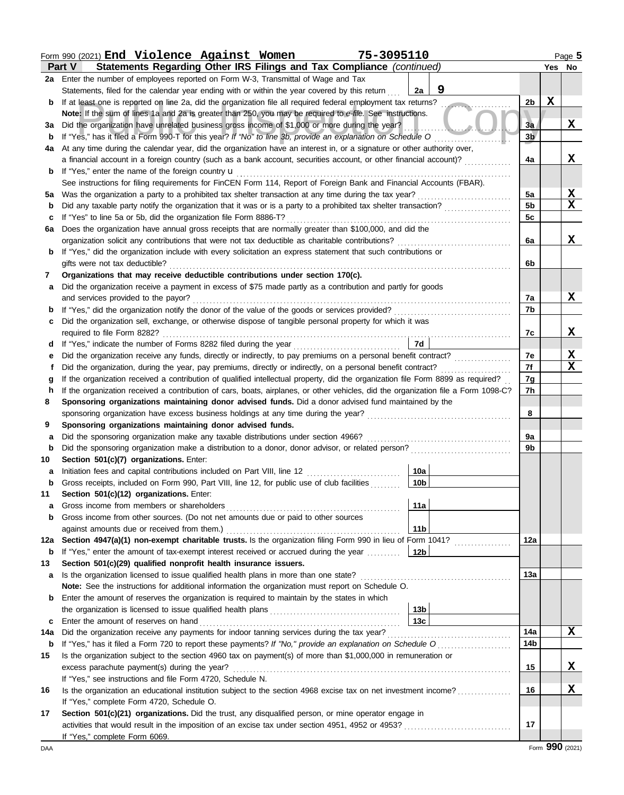|     | Form 990 (2021) End Violence Against Women<br>75-3095110                                                                           |                 |                |   | Page 5          |
|-----|------------------------------------------------------------------------------------------------------------------------------------|-----------------|----------------|---|-----------------|
|     | Statements Regarding Other IRS Filings and Tax Compliance (continued)<br><b>Part V</b>                                             |                 |                |   | Yes No          |
| 2a  | Enter the number of employees reported on Form W-3, Transmittal of Wage and Tax                                                    |                 |                |   |                 |
|     | Statements, filed for the calendar year ending with or within the year covered by this return                                      | 9<br>2a         |                |   |                 |
| b   | If at least one is reported on line 2a, did the organization file all required federal employment tax returns?                     |                 | 2 <sub>b</sub> | X |                 |
|     | Note: If the sum of lines 1a and 2a is greater than 250, you may be required to e-file. See instructions.                          |                 |                |   |                 |
| За  | Did the organization have unrelated business gross income of \$1,000 or more during the year?                                      |                 | 3a             |   | X               |
| b   | If "Yes," has it filed a Form 990-T for this year? If "No" to line 3b, provide an explanation on Schedule O                        |                 | 3 <sub>b</sub> |   |                 |
| 4a  | At any time during the calendar year, did the organization have an interest in, or a signature or other authority over,            |                 |                |   |                 |
|     | a financial account in a foreign country (such as a bank account, securities account, or other financial account)?                 |                 | 4a             |   | X               |
| b   | If "Yes," enter the name of the foreign country <b>u</b>                                                                           |                 |                |   |                 |
|     | See instructions for filing requirements for FinCEN Form 114, Report of Foreign Bank and Financial Accounts (FBAR).                |                 |                |   |                 |
| 5а  | Was the organization a party to a prohibited tax shelter transaction at any time during the tax year?                              |                 | 5a             |   | X               |
| b   | Did any taxable party notify the organization that it was or is a party to a prohibited tax shelter transaction?                   |                 | 5 <sub>b</sub> |   | X               |
| c   | If "Yes" to line 5a or 5b, did the organization file Form 8886-T?                                                                  |                 | 5c             |   |                 |
| 6a  | Does the organization have annual gross receipts that are normally greater than \$100,000, and did the                             |                 |                |   |                 |
|     | organization solicit any contributions that were not tax deductible as charitable contributions?                                   |                 | 6a             |   | X               |
| b   | If "Yes," did the organization include with every solicitation an express statement that such contributions or                     |                 |                |   |                 |
|     | gifts were not tax deductible?                                                                                                     |                 | 6b             |   |                 |
| 7   | Organizations that may receive deductible contributions under section 170(c).                                                      |                 |                |   |                 |
| a   | Did the organization receive a payment in excess of \$75 made partly as a contribution and partly for goods                        |                 |                |   |                 |
|     | and services provided to the payor?                                                                                                |                 | 7a             |   | X               |
| b   | If "Yes," did the organization notify the donor of the value of the goods or services provided?                                    |                 | 7b             |   |                 |
| c   | Did the organization sell, exchange, or otherwise dispose of tangible personal property for which it was                           |                 |                |   |                 |
|     | required to file Form 8282?                                                                                                        |                 | 7c             |   | X               |
| d   | If "Yes," indicate the number of Forms 8282 filed during the year                                                                  | 7d              |                |   |                 |
| е   | Did the organization receive any funds, directly or indirectly, to pay premiums on a personal benefit contract?                    |                 | 7e             |   | X               |
|     | Did the organization, during the year, pay premiums, directly or indirectly, on a personal benefit contract?                       |                 | 7f             |   | X               |
| g   | If the organization received a contribution of qualified intellectual property, did the organization file Form 8899 as required?   |                 | 7g             |   |                 |
| h   | If the organization received a contribution of cars, boats, airplanes, or other vehicles, did the organization file a Form 1098-C? |                 | 7h             |   |                 |
| 8   | Sponsoring organizations maintaining donor advised funds. Did a donor advised fund maintained by the                               |                 |                |   |                 |
|     |                                                                                                                                    |                 | 8              |   |                 |
| 9   | Sponsoring organizations maintaining donor advised funds.                                                                          |                 |                |   |                 |
| a   | Did the sponsoring organization make any taxable distributions under section 4966?                                                 |                 | 9a             |   |                 |
| b   | Did the sponsoring organization make a distribution to a donor, donor advisor, or related person?                                  |                 | 9b             |   |                 |
| 10  | Section 501(c)(7) organizations. Enter:                                                                                            |                 |                |   |                 |
| a   | Initiation fees and capital contributions included on Part VIII, line 12                                                           | 10a             |                |   |                 |
|     | Gross receipts, included on Form 990, Part VIII, line 12, for public use of club facilities                                        | 10 <sub>b</sub> |                |   |                 |
| 11  | Section 501(c)(12) organizations. Enter:                                                                                           |                 |                |   |                 |
| a   | Gross income from members or shareholders                                                                                          | 11a             |                |   |                 |
| b   | Gross income from other sources. (Do not net amounts due or paid to other sources                                                  |                 |                |   |                 |
|     | against amounts due or received from them.)                                                                                        | 11 <sub>b</sub> |                |   |                 |
| 12a | Section 4947(a)(1) non-exempt charitable trusts. Is the organization filing Form 990 in lieu of Form 1041?                         |                 | 12a            |   |                 |
| b   | If "Yes," enter the amount of tax-exempt interest received or accrued during the year                                              | 12 <sub>b</sub> |                |   |                 |
| 13  | Section 501(c)(29) qualified nonprofit health insurance issuers.                                                                   |                 |                |   |                 |
| а   | Is the organization licensed to issue qualified health plans in more than one state?                                               |                 | 13а            |   |                 |
|     | Note: See the instructions for additional information the organization must report on Schedule O.                                  |                 |                |   |                 |
| b   | Enter the amount of reserves the organization is required to maintain by the states in which                                       |                 |                |   |                 |
|     |                                                                                                                                    | 13 <sub>b</sub> |                |   |                 |
| c   | Enter the amount of reserves on hand                                                                                               | 13 <sub>c</sub> |                |   |                 |
| 14a | Did the organization receive any payments for indoor tanning services during the tax year?                                         |                 | 14a            |   | X               |
| b   | If "Yes," has it filed a Form 720 to report these payments? If "No," provide an explanation on Schedule O                          |                 | 14b            |   |                 |
| 15  | Is the organization subject to the section 4960 tax on payment(s) of more than \$1,000,000 in remuneration or                      |                 |                |   |                 |
|     | excess parachute payment(s) during the year?                                                                                       |                 | 15             |   | X               |
|     | If "Yes," see instructions and file Form 4720, Schedule N.                                                                         |                 |                |   |                 |
| 16  | Is the organization an educational institution subject to the section 4968 excise tax on net investment income?                    |                 | 16             |   | X               |
|     | If "Yes," complete Form 4720, Schedule O.                                                                                          |                 |                |   |                 |
| 17  | Section 501(c)(21) organizations. Did the trust, any disqualified person, or mine operator engage in                               |                 |                |   |                 |
|     |                                                                                                                                    |                 | 17             |   |                 |
|     | If "Yes," complete Form 6069.                                                                                                      |                 |                |   |                 |
| DAA |                                                                                                                                    |                 |                |   | Form 990 (2021) |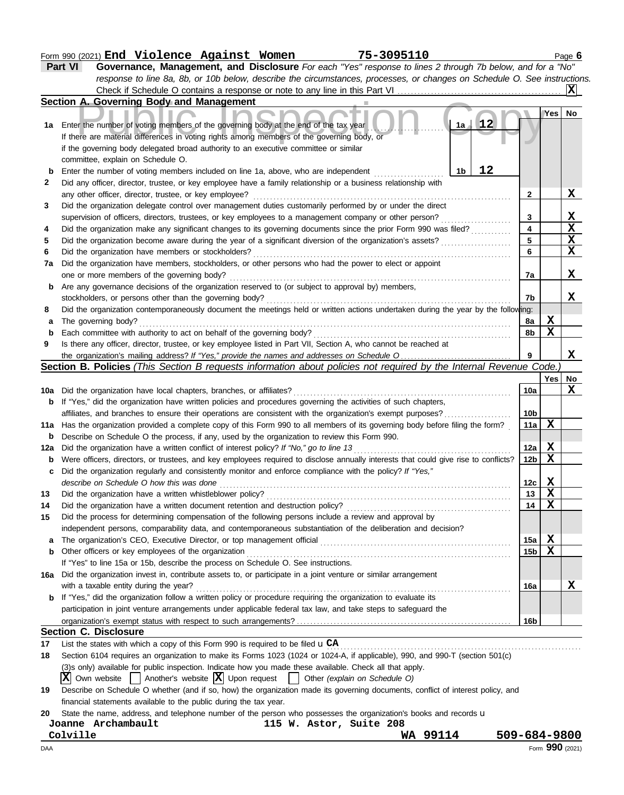|        | Form 990 (2021) End Violence Against Women<br>75-3095110                                                                                                                                         |                         |                  | Page 6                  |
|--------|--------------------------------------------------------------------------------------------------------------------------------------------------------------------------------------------------|-------------------------|------------------|-------------------------|
|        | Governance, Management, and Disclosure For each "Yes" response to lines 2 through 7b below, and for a "No"<br>Part VI                                                                            |                         |                  |                         |
|        | response to line 8a, 8b, or 10b below, describe the circumstances, processes, or changes on Schedule O. See instructions.                                                                        |                         |                  |                         |
|        |                                                                                                                                                                                                  |                         |                  | X                       |
|        | Section A. Governing Body and Management                                                                                                                                                         |                         |                  |                         |
|        |                                                                                                                                                                                                  |                         | Yes l            | No                      |
|        | 12<br>1a<br>1a Enter the number of voting members of the governing body at the end of the tax year<br>If there are material differences in voting rights among members of the governing body, or |                         |                  |                         |
|        | if the governing body delegated broad authority to an executive committee or similar                                                                                                             |                         |                  |                         |
|        | committee, explain on Schedule O.                                                                                                                                                                |                         |                  |                         |
| b      | 12<br>Enter the number of voting members included on line 1a, above, who are independent <i>manuforman</i><br>1 <sub>b</sub>                                                                     |                         |                  |                         |
| 2      | Did any officer, director, trustee, or key employee have a family relationship or a business relationship with                                                                                   |                         |                  |                         |
|        | any other officer, director, trustee, or key employee?                                                                                                                                           | $\mathbf{2}$            |                  | x                       |
| 3      | Did the organization delegate control over management duties customarily performed by or under the direct                                                                                        |                         |                  |                         |
|        | supervision of officers, directors, trustees, or key employees to a management company or other person?                                                                                          | 3                       |                  | X                       |
| 4      | Did the organization make any significant changes to its governing documents since the prior Form 990 was filed?                                                                                 | $\overline{\mathbf{4}}$ |                  | $\overline{\mathbf{x}}$ |
| 5      |                                                                                                                                                                                                  | 5                       |                  | $\mathbf X$             |
| 6      | Did the organization have members or stockholders?                                                                                                                                               | 6                       |                  | $\mathbf x$             |
| 7a     | Did the organization have members, stockholders, or other persons who had the power to elect or appoint                                                                                          |                         |                  |                         |
|        | one or more members of the governing body?                                                                                                                                                       | 7a                      |                  | X                       |
| b      | Are any governance decisions of the organization reserved to (or subject to approval by) members,                                                                                                |                         |                  |                         |
|        | stockholders, or persons other than the governing body?                                                                                                                                          | 7b                      |                  | X                       |
| 8      | Did the organization contemporaneously document the meetings held or written actions undertaken during the year by the following:                                                                |                         | x                |                         |
| a<br>b | The governing body?<br>Each committee with authority to act on behalf of the governing body?                                                                                                     | 8а<br>8b                | $\mathbf x$      |                         |
| 9      | Is there any officer, director, trustee, or key employee listed in Part VII, Section A, who cannot be reached at                                                                                 |                         |                  |                         |
|        |                                                                                                                                                                                                  | 9                       |                  | X                       |
|        | Section B. Policies (This Section B requests information about policies not required by the Internal Revenue Code.)                                                                              |                         |                  |                         |
|        |                                                                                                                                                                                                  |                         | Yes <sub>1</sub> | No                      |
|        |                                                                                                                                                                                                  | 10a                     |                  | X                       |
| b      | If "Yes," did the organization have written policies and procedures governing the activities of such chapters,                                                                                   |                         |                  |                         |
|        | affiliates, and branches to ensure their operations are consistent with the organization's exempt purposes?                                                                                      | 10 <sub>b</sub>         |                  |                         |
|        | 11a Has the organization provided a complete copy of this Form 990 to all members of its governing body before filing the form?                                                                  | 11a                     | $\mathbf X$      |                         |
| b      | Describe on Schedule O the process, if any, used by the organization to review this Form 990.                                                                                                    |                         |                  |                         |
| 12a    |                                                                                                                                                                                                  | 12a                     | X                |                         |
| b      | Were officers, directors, or trustees, and key employees required to disclose annually interests that could give rise to conflicts?                                                              | 12 <sub>b</sub>         | $\mathbf X$      |                         |
| с      | Did the organization regularly and consistently monitor and enforce compliance with the policy? If "Yes,"                                                                                        |                         |                  |                         |
|        | describe on Schedule O how this was done                                                                                                                                                         | 12c                     | X,               |                         |
| 13     | Did the organization have a written whistleblower policy?                                                                                                                                        | 13                      | X                |                         |
| 14     |                                                                                                                                                                                                  | 14                      | X                |                         |
| 15     | Did the process for determining compensation of the following persons include a review and approval by                                                                                           |                         |                  |                         |
|        | independent persons, comparability data, and contemporaneous substantiation of the deliberation and decision?                                                                                    |                         |                  |                         |
| a      |                                                                                                                                                                                                  | 15a                     | X                |                         |
| b      | Other officers or key employees of the organization<br>If "Yes" to line 15a or 15b, describe the process on Schedule O. See instructions.                                                        | 15b                     | X                |                         |
|        | 16a Did the organization invest in, contribute assets to, or participate in a joint venture or similar arrangement                                                                               |                         |                  |                         |
|        | with a taxable entity during the year?                                                                                                                                                           | 16a                     |                  | X                       |
|        | If "Yes," did the organization follow a written policy or procedure requiring the organization to evaluate its                                                                                   |                         |                  |                         |
|        | participation in joint venture arrangements under applicable federal tax law, and take steps to safeguard the                                                                                    |                         |                  |                         |
|        |                                                                                                                                                                                                  | 16b                     |                  |                         |
|        | <b>Section C. Disclosure</b>                                                                                                                                                                     |                         |                  |                         |
| 17     | List the states with which a copy of this Form 990 is required to be filed $\mathbf{u}$ CA                                                                                                       |                         |                  |                         |
| 18     | Section 6104 requires an organization to make its Forms 1023 (1024 or 1024-A, if applicable), 990, and 990-T (section 501(c)                                                                     |                         |                  |                         |
|        | (3)s only) available for public inspection. Indicate how you made these available. Check all that apply.                                                                                         |                         |                  |                         |
|        | X Own website<br>$\vert$ Another's website $\vert X \vert$ Upon request<br>Other (explain on Schedule O)                                                                                         |                         |                  |                         |
| 19     | Describe on Schedule O whether (and if so, how) the organization made its governing documents, conflict of interest policy, and                                                                  |                         |                  |                         |
|        | financial statements available to the public during the tax year.                                                                                                                                |                         |                  |                         |
| 20     | State the name, address, and telephone number of the person who possesses the organization's books and records u                                                                                 |                         |                  |                         |
|        | Joanne Archambault<br>115 W. Astor, Suite 208                                                                                                                                                    |                         |                  |                         |

**Colville WA 99114 509-684-9800**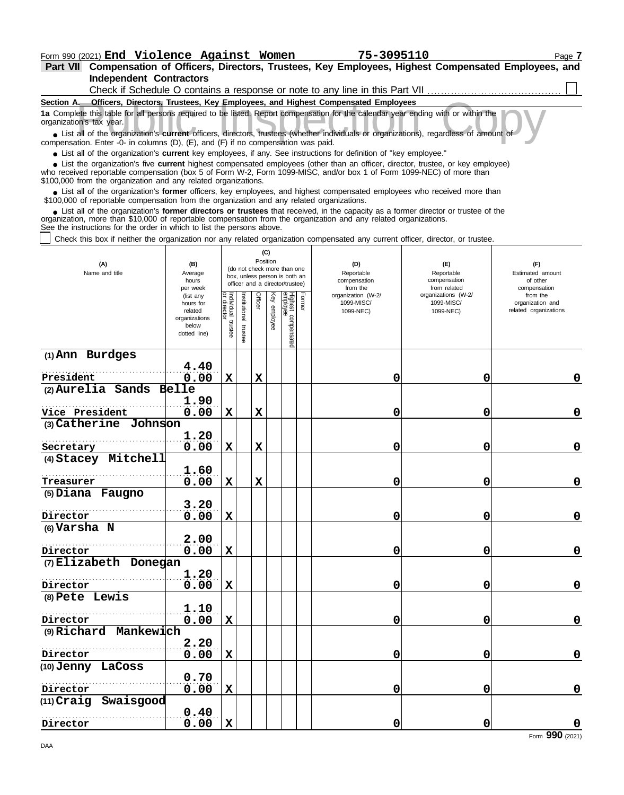**Independent Contractors Part VII Compensation of Officers, Directors, Trustees, Key Employees, Highest Compensated Employees, and**

| Check if Schedule O contains a response or note to any line in this Part VII                                                                                                                                                                                                                                                      |                                                                                         |                                      |                         |                                                                                                                    |              |                                           |  |                                               |                                                   |                                                                       |             |  |
|-----------------------------------------------------------------------------------------------------------------------------------------------------------------------------------------------------------------------------------------------------------------------------------------------------------------------------------|-----------------------------------------------------------------------------------------|--------------------------------------|-------------------------|--------------------------------------------------------------------------------------------------------------------|--------------|-------------------------------------------|--|-----------------------------------------------|---------------------------------------------------|-----------------------------------------------------------------------|-------------|--|
| Section A. Officers, Directors, Trustees, Key Employees, and Highest Compensated Employees                                                                                                                                                                                                                                        |                                                                                         |                                      |                         |                                                                                                                    |              |                                           |  |                                               |                                                   |                                                                       |             |  |
| 1a Complete this table for all persons required to be listed. Report compensation for the calendar year ending with or within the<br>organization's tax year.                                                                                                                                                                     |                                                                                         |                                      |                         |                                                                                                                    |              |                                           |  |                                               |                                                   |                                                                       |             |  |
| • List all of the organization's current officers, directors, trustees (whether individuals or organizations), regardless of amount of<br>compensation. Enter -0- in columns (D), (E), and (F) if no compensation was paid.                                                                                                       |                                                                                         |                                      |                         |                                                                                                                    |              |                                           |  |                                               |                                                   |                                                                       |             |  |
| • List all of the organization's current key employees, if any. See instructions for definition of "key employee."                                                                                                                                                                                                                |                                                                                         |                                      |                         |                                                                                                                    |              |                                           |  |                                               |                                                   |                                                                       |             |  |
| • List the organization's five current highest compensated employees (other than an officer, director, trustee, or key employee)<br>who received reportable compensation (box 5 of Form W-2, Form 1099-MISC, and/or box 1 of Form 1099-NEC) of more than<br>\$100,000 from the organization and any related organizations.        |                                                                                         |                                      |                         |                                                                                                                    |              |                                           |  |                                               |                                                   |                                                                       |             |  |
| • List all of the organization's former officers, key employees, and highest compensated employees who received more than<br>\$100,000 of reportable compensation from the organization and any related organizations.                                                                                                            |                                                                                         |                                      |                         |                                                                                                                    |              |                                           |  |                                               |                                                   |                                                                       |             |  |
| • List all of the organization's former directors or trustees that received, in the capacity as a former director or trustee of the<br>organization, more than \$10,000 of reportable compensation from the organization and any related organizations.<br>See the instructions for the order in which to list the persons above. |                                                                                         |                                      |                         |                                                                                                                    |              |                                           |  |                                               |                                                   |                                                                       |             |  |
| Check this box if neither the organization nor any related organization compensated any current officer, director, or trustee.                                                                                                                                                                                                    |                                                                                         |                                      |                         |                                                                                                                    |              |                                           |  |                                               |                                                   |                                                                       |             |  |
| (A)<br>(B)<br>Name and title<br>Average<br>hours                                                                                                                                                                                                                                                                                  |                                                                                         |                                      |                         | (C)<br>Position<br>(do not check more than one<br>box, unless person is both an<br>officer and a director/trustee) |              |                                           |  | (D)<br>Reportable<br>compensation<br>from the | (E)<br>Reportable<br>compensation<br>from related | (F)<br>Estimated amount<br>of other                                   |             |  |
|                                                                                                                                                                                                                                                                                                                                   | per week<br>(list any<br>hours for<br>related<br>organizations<br>below<br>dotted line) | Individual<br>or director<br>trustee | nstitutional<br>trustee | Officer                                                                                                            | Key employee | Highest compensated<br>employee<br>Former |  | organization (W-2/<br>1099-MISC/<br>1099-NEC) | organizations (W-2/<br>1099-MISC/<br>1099-NEC)    | compensation<br>from the<br>organization and<br>related organizations |             |  |
| (1) Ann Burdges                                                                                                                                                                                                                                                                                                                   |                                                                                         |                                      |                         |                                                                                                                    |              |                                           |  |                                               |                                                   |                                                                       |             |  |
|                                                                                                                                                                                                                                                                                                                                   | 4.40                                                                                    |                                      |                         |                                                                                                                    |              |                                           |  |                                               |                                                   |                                                                       |             |  |
| President                                                                                                                                                                                                                                                                                                                         | 0.00                                                                                    | $\mathbf X$                          |                         | $\mathbf x$                                                                                                        |              |                                           |  | 0                                             | 0                                                 |                                                                       | $\mathbf 0$ |  |
| (2) Aurelia Sands                                                                                                                                                                                                                                                                                                                 | Belle                                                                                   |                                      |                         |                                                                                                                    |              |                                           |  |                                               |                                                   |                                                                       |             |  |
|                                                                                                                                                                                                                                                                                                                                   | 1.90                                                                                    |                                      |                         |                                                                                                                    |              |                                           |  |                                               |                                                   |                                                                       |             |  |
| Vice President                                                                                                                                                                                                                                                                                                                    | 0.00                                                                                    | $\mathbf x$                          |                         | $\mathbf x$                                                                                                        |              |                                           |  | 0                                             | 0                                                 |                                                                       | 0           |  |
| (3) Catherine Johnson                                                                                                                                                                                                                                                                                                             |                                                                                         |                                      |                         |                                                                                                                    |              |                                           |  |                                               |                                                   |                                                                       |             |  |
|                                                                                                                                                                                                                                                                                                                                   | 1.20                                                                                    |                                      |                         |                                                                                                                    |              |                                           |  |                                               |                                                   |                                                                       |             |  |
| Secretary                                                                                                                                                                                                                                                                                                                         | 0.00                                                                                    | X                                    |                         | X                                                                                                                  |              |                                           |  | 0                                             | 0                                                 |                                                                       | $\mathbf 0$ |  |
| (4) Stacey Mitchell                                                                                                                                                                                                                                                                                                               |                                                                                         |                                      |                         |                                                                                                                    |              |                                           |  |                                               |                                                   |                                                                       |             |  |
|                                                                                                                                                                                                                                                                                                                                   | 1.60                                                                                    |                                      |                         |                                                                                                                    |              |                                           |  |                                               |                                                   |                                                                       |             |  |
| Treasurer                                                                                                                                                                                                                                                                                                                         | 0.00                                                                                    | $\mathbf x$                          |                         | $\mathbf x$                                                                                                        |              |                                           |  | 0                                             | 0                                                 |                                                                       | $\mathbf 0$ |  |
| (5) Diana Faugno                                                                                                                                                                                                                                                                                                                  |                                                                                         |                                      |                         |                                                                                                                    |              |                                           |  |                                               |                                                   |                                                                       |             |  |
|                                                                                                                                                                                                                                                                                                                                   | 3.20                                                                                    |                                      |                         |                                                                                                                    |              |                                           |  |                                               |                                                   |                                                                       |             |  |
| Director                                                                                                                                                                                                                                                                                                                          | 0.00                                                                                    | $\mathbf x$                          |                         |                                                                                                                    |              |                                           |  | 0                                             | 0                                                 |                                                                       | $\mathbf 0$ |  |
| (6) Varsha N                                                                                                                                                                                                                                                                                                                      |                                                                                         |                                      |                         |                                                                                                                    |              |                                           |  |                                               |                                                   |                                                                       |             |  |

|                         | 2. J V |             |   |   |                                   |
|-------------------------|--------|-------------|---|---|-----------------------------------|
| Director                | 0.00   | $\mathbf X$ | 0 | 0 | 0                                 |
| (7) Elizabeth Donegan   |        |             |   |   |                                   |
|                         | 1.20   |             |   |   |                                   |
| Director                | 0.00   | Х           | 0 | 0 | 0                                 |
| (8) Pete Lewis          |        |             |   |   |                                   |
|                         | 1.10   |             |   |   |                                   |
| Director                | 0.00   | X           | 0 | 0 | 0                                 |
| $(9)$ Richard Mankewich |        |             |   |   |                                   |
|                         | 2.20   |             |   |   |                                   |
| Director                | 0.00   | $\mathbf x$ | 0 | 0 | 0                                 |
| (10) Jenny LaCoss       |        |             |   |   |                                   |
|                         | 0.70   |             |   |   |                                   |
| Director                | 0.00   | $\mathbf x$ | 0 | 0 | 0                                 |
| (11) Craig Swaisgood    |        |             |   |   |                                   |
|                         | 0.40   |             |   |   |                                   |
| Director                | 0.00   | x           | 0 | 0 | $\Omega$                          |
|                         |        |             |   |   | $\overline{a}$ 000 $\overline{a}$ |

**2.00**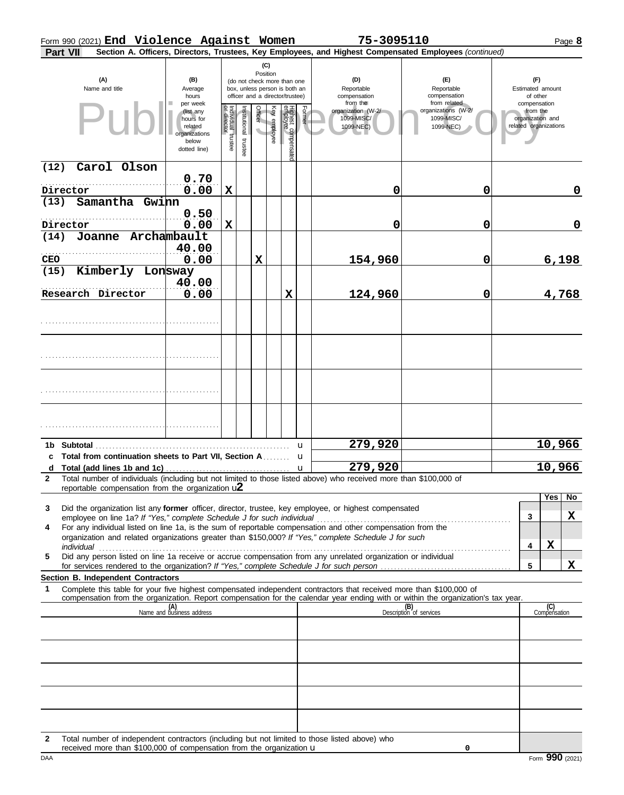|  | Form 990 (2021) End Violence Against Women |  | 75-3095110 | $P$ aqe <b>b</b> |
|--|--------------------------------------------|--|------------|------------------|
|  |                                            |  |            |                  |

| Part VII                                                                                                                                                      |                                                    |                                                                                                  |                                   |                          |         |              |                                |        |                                                                                                                                                                                                                                                                                                                               | Section A. Officers, Directors, Trustees, Key Employees, and Highest Compensated Employees (continued)                           |                                                                                   |
|---------------------------------------------------------------------------------------------------------------------------------------------------------------|----------------------------------------------------|--------------------------------------------------------------------------------------------------|-----------------------------------|--------------------------|---------|--------------|--------------------------------|--------|-------------------------------------------------------------------------------------------------------------------------------------------------------------------------------------------------------------------------------------------------------------------------------------------------------------------------------|----------------------------------------------------------------------------------------------------------------------------------|-----------------------------------------------------------------------------------|
| (C)<br>Position<br>(A)<br>(B)<br>(do not check more than one<br>Name and title<br>Average<br>box, unless person is both an<br>officer and a director/trustee) |                                                    |                                                                                                  |                                   |                          |         |              |                                |        | (D)<br>Reportable                                                                                                                                                                                                                                                                                                             | (E)<br>Reportable                                                                                                                | (F)<br>Estimated amount                                                           |
|                                                                                                                                                               |                                                    | hours<br>per week<br>(list any<br>hours for<br>related<br>organizations<br>below<br>dotted line) | Individual trustee<br>or director | Institutional<br>trustee | Officer | Key employee | Highest compensate<br>employee | Former | compensation<br>from the<br>organization (W-2/<br>1099-MISC/<br>1099-NEC)                                                                                                                                                                                                                                                     | compensation<br>from related<br>organizations (W-2/<br>1099-MISC/<br>1099-NEC)                                                   | of other<br>compensation<br>from the<br>organization and<br>related organizations |
| (12)<br>Director                                                                                                                                              | Carol Olson                                        | 0.70<br>0.00                                                                                     | $\mathbf X$                       |                          |         |              |                                |        | 0                                                                                                                                                                                                                                                                                                                             | 0                                                                                                                                | $\mathbf 0$                                                                       |
| (13)<br>Director                                                                                                                                              | Samantha Gwinn                                     | 0.50<br>0.00                                                                                     | $\mathbf X$                       |                          |         |              |                                |        | 0                                                                                                                                                                                                                                                                                                                             | 0                                                                                                                                | $\mathbf 0$                                                                       |
| (14)<br><b>CEO</b>                                                                                                                                            | Joanne Archambault                                 | 40.00<br>0.00                                                                                    |                                   |                          | X       |              |                                |        | 154,960                                                                                                                                                                                                                                                                                                                       | 0                                                                                                                                | 6,198                                                                             |
| (15)                                                                                                                                                          | Kimberly Lonsway<br>Research Director              | 40.00<br>0.00                                                                                    |                                   |                          |         |              | X                              |        | 124,960                                                                                                                                                                                                                                                                                                                       | 0                                                                                                                                | 4,768                                                                             |
|                                                                                                                                                               |                                                    |                                                                                                  |                                   |                          |         |              |                                |        |                                                                                                                                                                                                                                                                                                                               |                                                                                                                                  |                                                                                   |
|                                                                                                                                                               |                                                    |                                                                                                  |                                   |                          |         |              |                                |        |                                                                                                                                                                                                                                                                                                                               |                                                                                                                                  |                                                                                   |
|                                                                                                                                                               |                                                    |                                                                                                  |                                   |                          |         |              |                                |        |                                                                                                                                                                                                                                                                                                                               |                                                                                                                                  |                                                                                   |
|                                                                                                                                                               |                                                    |                                                                                                  |                                   |                          |         |              |                                |        |                                                                                                                                                                                                                                                                                                                               |                                                                                                                                  |                                                                                   |
|                                                                                                                                                               |                                                    |                                                                                                  |                                   |                          |         |              |                                | u      | 279,920                                                                                                                                                                                                                                                                                                                       |                                                                                                                                  | 10,966                                                                            |
|                                                                                                                                                               |                                                    |                                                                                                  |                                   |                          |         |              |                                |        | 279,920                                                                                                                                                                                                                                                                                                                       |                                                                                                                                  | 10,966                                                                            |
|                                                                                                                                                               |                                                    |                                                                                                  |                                   |                          |         |              |                                |        | Total number of individuals (including but not limited to those listed above) who received more than \$100,000 of                                                                                                                                                                                                             |                                                                                                                                  |                                                                                   |
|                                                                                                                                                               | reportable compensation from the organization $u2$ |                                                                                                  |                                   |                          |         |              |                                |        |                                                                                                                                                                                                                                                                                                                               |                                                                                                                                  |                                                                                   |
| 3<br>4                                                                                                                                                        |                                                    |                                                                                                  |                                   |                          |         |              |                                |        | Did the organization list any former officer, director, trustee, key employee, or highest compensated<br>For any individual listed on line 1a, is the sum of reportable compensation and other compensation from the<br>organization and related organizations greater than \$150,000? If "Yes," complete Schedule J for such |                                                                                                                                  | No<br>Yes<br>X<br>3<br>X<br>4                                                     |
| 5                                                                                                                                                             |                                                    |                                                                                                  |                                   |                          |         |              |                                |        | Did any person listed on line 1a receive or accrue compensation from any unrelated organization or individual                                                                                                                                                                                                                 |                                                                                                                                  | X<br>5                                                                            |
|                                                                                                                                                               | Section B. Independent Contractors                 |                                                                                                  |                                   |                          |         |              |                                |        |                                                                                                                                                                                                                                                                                                                               |                                                                                                                                  |                                                                                   |
| 1                                                                                                                                                             |                                                    |                                                                                                  |                                   |                          |         |              |                                |        | Complete this table for your five highest compensated independent contractors that received more than \$100,000 of                                                                                                                                                                                                            | compensation from the organization. Report compensation for the calendar year ending with or within the organization's tax year. |                                                                                   |
|                                                                                                                                                               |                                                    | (A)<br>Name and business address                                                                 |                                   |                          |         |              |                                |        |                                                                                                                                                                                                                                                                                                                               | (B)<br>Description of services                                                                                                   | (C)<br>Compensation                                                               |
|                                                                                                                                                               |                                                    |                                                                                                  |                                   |                          |         |              |                                |        |                                                                                                                                                                                                                                                                                                                               |                                                                                                                                  |                                                                                   |
|                                                                                                                                                               |                                                    |                                                                                                  |                                   |                          |         |              |                                |        |                                                                                                                                                                                                                                                                                                                               |                                                                                                                                  |                                                                                   |
|                                                                                                                                                               |                                                    |                                                                                                  |                                   |                          |         |              |                                |        |                                                                                                                                                                                                                                                                                                                               |                                                                                                                                  |                                                                                   |
|                                                                                                                                                               |                                                    |                                                                                                  |                                   |                          |         |              |                                |        |                                                                                                                                                                                                                                                                                                                               |                                                                                                                                  |                                                                                   |
|                                                                                                                                                               |                                                    |                                                                                                  |                                   |                          |         |              |                                |        |                                                                                                                                                                                                                                                                                                                               |                                                                                                                                  |                                                                                   |

**2** Total number of independent contractors (including but not limited to those listed above) who received more than \$100,000 of compensation from the organization u

**0**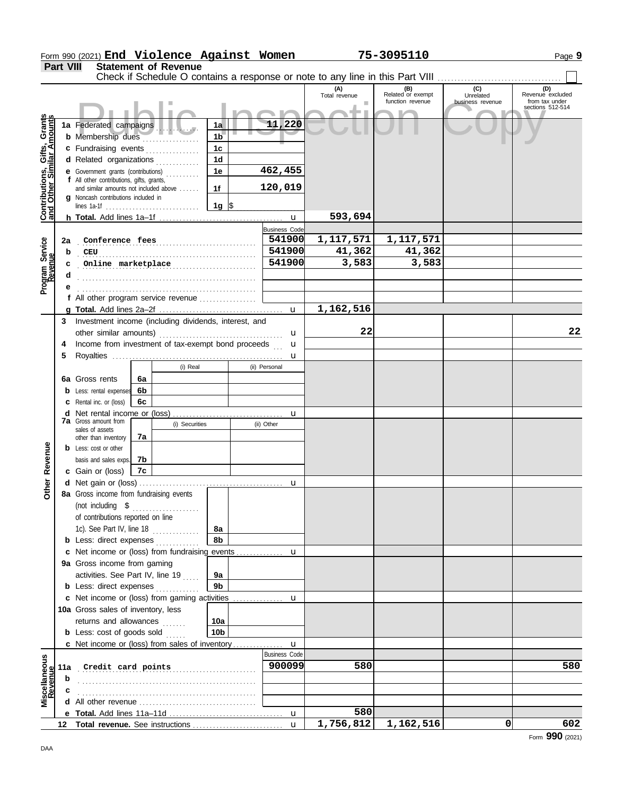|                                         | Part VIII | <b>Statement of Revenue</b><br>Check if Schedule O contains a response or note to any line in this Part VIII |                 |        |                      |                      |                                              |                                      |                                           |
|-----------------------------------------|-----------|--------------------------------------------------------------------------------------------------------------|-----------------|--------|----------------------|----------------------|----------------------------------------------|--------------------------------------|-------------------------------------------|
|                                         |           |                                                                                                              |                 |        |                      | (A)<br>Total revenue | (B)<br>Related or exempt<br>function revenue | (C)<br>Unrelated<br>business revenue | (D)<br>Revenue excluded<br>from tax under |
|                                         |           |                                                                                                              |                 |        |                      |                      |                                              |                                      | sections 512-514                          |
| Gifts, Grants<br>illar Amounts          |           | 1a Federated campaigns                                                                                       |                 | 11,220 |                      |                      |                                              |                                      |                                           |
|                                         |           | <b>b</b> Membership dues<br>.                                                                                | 1 <sub>b</sub>  |        |                      |                      |                                              |                                      |                                           |
|                                         |           | c Fundraising events                                                                                         | 1 <sub>c</sub>  |        |                      |                      |                                              |                                      |                                           |
|                                         |           | d Related organizations                                                                                      | 1 <sub>d</sub>  |        |                      |                      |                                              |                                      |                                           |
|                                         |           | <b>e</b> Government grants (contributions)                                                                   | 1e              |        | 462,455              |                      |                                              |                                      |                                           |
| <b>Contributions,<br/>and Other Sim</b> |           | f All other contributions, gifts, grants,                                                                    |                 |        | 120,019              |                      |                                              |                                      |                                           |
|                                         |           | and similar amounts not included above<br><b>q</b> Noncash contributions included in                         | 1f              |        |                      |                      |                                              |                                      |                                           |
|                                         |           |                                                                                                              | 1g $\sqrt{3}$   |        |                      |                      |                                              |                                      |                                           |
|                                         |           |                                                                                                              |                 |        | $\mathbf u$          | 593,694              |                                              |                                      |                                           |
|                                         |           |                                                                                                              |                 |        | <b>Business Code</b> |                      |                                              |                                      |                                           |
|                                         | 2a        |                                                                                                              |                 |        | 541900               | 1,117,571            | 1,117,571                                    |                                      |                                           |
| Program Service<br>Revenue              | b         | CCEU                                                                                                         |                 |        | 541900               | 41,362               | 41,362                                       |                                      |                                           |
|                                         | c         | Online marketplace                                                                                           |                 |        | 541900               | 3,583                | 3,583                                        |                                      |                                           |
|                                         | d         |                                                                                                              |                 |        |                      |                      |                                              |                                      |                                           |
|                                         |           |                                                                                                              |                 |        |                      |                      |                                              |                                      |                                           |
|                                         |           | f All other program service revenue                                                                          |                 |        |                      |                      |                                              |                                      |                                           |
|                                         |           |                                                                                                              |                 |        | $\mathbf u$          | 1,162,516            |                                              |                                      |                                           |
|                                         | 3         | Investment income (including dividends, interest, and                                                        |                 |        |                      |                      |                                              |                                      |                                           |
|                                         |           |                                                                                                              |                 |        | u                    | 22                   |                                              |                                      | 22                                        |
|                                         | 4         | Income from investment of tax-exempt bond proceeds                                                           |                 |        | u                    |                      |                                              |                                      |                                           |
|                                         | 5         | (i) Real                                                                                                     |                 |        | u                    |                      |                                              |                                      |                                           |
|                                         |           |                                                                                                              |                 |        | (ii) Personal        |                      |                                              |                                      |                                           |
|                                         |           | 6a Gross rents<br>6a                                                                                         |                 |        |                      |                      |                                              |                                      |                                           |
|                                         |           | 6b<br><b>b</b> Less: rental expenses                                                                         |                 |        |                      |                      |                                              |                                      |                                           |
|                                         |           | <b>c</b> Rental inc. or (loss)<br>6с                                                                         |                 |        |                      |                      |                                              |                                      |                                           |
|                                         |           | <b>7a</b> Gross amount from<br>(i) Securities                                                                |                 |        | u                    |                      |                                              |                                      |                                           |
|                                         |           | sales of assets                                                                                              |                 |        | (ii) Other           |                      |                                              |                                      |                                           |
|                                         |           | 7a<br>other than inventory                                                                                   |                 |        |                      |                      |                                              |                                      |                                           |
|                                         |           | <b>b</b> Less: cost or other                                                                                 |                 |        |                      |                      |                                              |                                      |                                           |
| Revenue                                 |           | 7b<br>basis and sales exps.                                                                                  |                 |        |                      |                      |                                              |                                      |                                           |
| ð                                       |           | c Gain or (loss)<br>7c                                                                                       |                 |        |                      |                      |                                              |                                      |                                           |
| €                                       |           |                                                                                                              |                 |        | u                    |                      |                                              |                                      |                                           |
|                                         |           | 8a Gross income from fundraising events                                                                      |                 |        |                      |                      |                                              |                                      |                                           |
|                                         |           | (not including $$$<br>.<br>of contributions reported on line                                                 |                 |        |                      |                      |                                              |                                      |                                           |
|                                         |           | 1c). See Part IV, line 18                                                                                    | 8а              |        |                      |                      |                                              |                                      |                                           |
|                                         |           | .<br><b>b</b> Less: direct expenses                                                                          | 8b              |        |                      |                      |                                              |                                      |                                           |
|                                         |           | c Net income or (loss) from fundraising events                                                               |                 |        | u                    |                      |                                              |                                      |                                           |
|                                         |           | 9a Gross income from gaming                                                                                  |                 |        |                      |                      |                                              |                                      |                                           |
|                                         |           | activities. See Part IV, line 19                                                                             | 9a              |        |                      |                      |                                              |                                      |                                           |
|                                         |           | <b>b</b> Less: direct expenses                                                                               | 9 <sub>b</sub>  |        |                      |                      |                                              |                                      |                                           |
|                                         |           | c Net income or (loss) from gaming activities                                                                |                 |        | u                    |                      |                                              |                                      |                                           |
|                                         |           | 10a Gross sales of inventory, less                                                                           |                 |        |                      |                      |                                              |                                      |                                           |
|                                         |           | returns and allowances                                                                                       | 10a             |        |                      |                      |                                              |                                      |                                           |
|                                         |           | <b>b</b> Less: $cost$ of goods sold $\ldots$                                                                 | 10 <sub>b</sub> |        |                      |                      |                                              |                                      |                                           |
|                                         |           | c Net income or (loss) from sales of inventory                                                               |                 |        | u                    |                      |                                              |                                      |                                           |
|                                         |           |                                                                                                              |                 |        | <b>Business Code</b> |                      |                                              |                                      |                                           |
| Miscellaneous<br>Revenue                | 11a       | Credit card points                                                                                           |                 |        | 900099               | 580                  |                                              |                                      | 580                                       |
|                                         | b         |                                                                                                              |                 |        |                      |                      |                                              |                                      |                                           |
|                                         |           |                                                                                                              |                 |        |                      |                      |                                              |                                      |                                           |
|                                         | d         |                                                                                                              |                 |        |                      |                      |                                              |                                      |                                           |
|                                         |           |                                                                                                              |                 |        | u                    | 580                  |                                              |                                      |                                           |
|                                         |           |                                                                                                              |                 |        | $\mathbf{u}$         | 1,756,812            | 1,162,516                                    | 0                                    | 602                                       |

Form 990 (2021) Page **9**

**End Violence Against Women 75-3095110**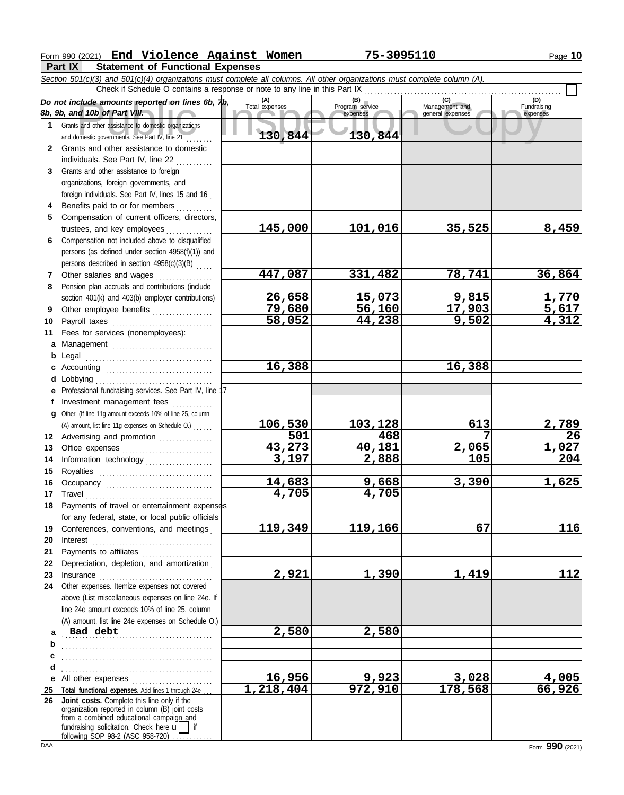# Form 990 (2021) Page **10 End Violence Against Women 75-3095110**

**Part IX Statement of Functional Expenses**

|              | Section 501(c)(3) and 501(c)(4) organizations must complete all columns. All other organizations must complete column (A).                                                                                                     |                       |                                    |                                           |                         |
|--------------|--------------------------------------------------------------------------------------------------------------------------------------------------------------------------------------------------------------------------------|-----------------------|------------------------------------|-------------------------------------------|-------------------------|
|              | Check if Schedule O contains a response or note to any line in this Part IX                                                                                                                                                    |                       |                                    |                                           | (D)                     |
|              | Do not include amounts reported on lines 6b, $\n  tb$ ,<br>8b, 9b, and 10b of Part VIII.                                                                                                                                       | (A)<br>Total expenses | (B)<br>Program service<br>expenses | (C)<br>Management and<br>general expenses | Fundraising<br>expenses |
| 1            | Grants and other assistance to domestic organizations<br>and domestic governments. See Part IV, line 21                                                                                                                        | 130,844               | 130,844                            |                                           |                         |
| $\mathbf{2}$ | Grants and other assistance to domestic                                                                                                                                                                                        |                       |                                    |                                           |                         |
|              | individuals. See Part IV, line 22                                                                                                                                                                                              |                       |                                    |                                           |                         |
| 3            | Grants and other assistance to foreign                                                                                                                                                                                         |                       |                                    |                                           |                         |
|              | organizations, foreign governments, and                                                                                                                                                                                        |                       |                                    |                                           |                         |
|              | foreign individuals. See Part IV, lines 15 and 16                                                                                                                                                                              |                       |                                    |                                           |                         |
| 4            | Benefits paid to or for members                                                                                                                                                                                                |                       |                                    |                                           |                         |
| 5            | Compensation of current officers, directors,                                                                                                                                                                                   |                       |                                    |                                           |                         |
|              | trustees, and key employees                                                                                                                                                                                                    | 145,000               | 101,016                            | 35,525                                    | 8,459                   |
| 6            | Compensation not included above to disqualified                                                                                                                                                                                |                       |                                    |                                           |                         |
|              | persons (as defined under section 4958(f)(1)) and                                                                                                                                                                              |                       |                                    |                                           |                         |
|              | persons described in section 4958(c)(3)(B)                                                                                                                                                                                     |                       |                                    |                                           |                         |
| 7            | Other salaries and wages                                                                                                                                                                                                       | 447,087               | 331,482                            | 78,741                                    | 36,864                  |
| 8            | Pension plan accruals and contributions (include                                                                                                                                                                               |                       |                                    |                                           |                         |
|              | section 401(k) and 403(b) employer contributions)                                                                                                                                                                              | 26,658                | 15,073                             | 9,815                                     | <u>1,770</u><br>5,617   |
| 9            | Other employee benefits                                                                                                                                                                                                        | 79,680                | 56,160                             | 17,903                                    |                         |
| 10           |                                                                                                                                                                                                                                | 58,052                | 44,238                             | 9,502                                     | 4,312                   |
| 11           | Fees for services (nonemployees):                                                                                                                                                                                              |                       |                                    |                                           |                         |
| a            | Management                                                                                                                                                                                                                     |                       |                                    |                                           |                         |
| b            | Legal                                                                                                                                                                                                                          |                       |                                    |                                           |                         |
| c            |                                                                                                                                                                                                                                | 16,388                |                                    | 16,388                                    |                         |
| d            | Lobbying                                                                                                                                                                                                                       |                       |                                    |                                           |                         |
| е            | Professional fundraising services. See Part IV, line 17                                                                                                                                                                        |                       |                                    |                                           |                         |
| t.           | Investment management fees                                                                                                                                                                                                     |                       |                                    |                                           |                         |
| a            | Other. (If line 11g amount exceeds 10% of line 25, column                                                                                                                                                                      |                       |                                    |                                           |                         |
|              | (A) amount, list line 11g expenses on Schedule O.)                                                                                                                                                                             | 106,530               | 103,128                            | 613                                       | <u>2,789</u>            |
|              | 12 Advertising and promotion                                                                                                                                                                                                   | 501                   | 468                                | 7                                         | 26                      |
| 13           |                                                                                                                                                                                                                                | 43,273                | 40,181                             | 2,065                                     | <u>1,027</u>            |
| 14           | Information technology                                                                                                                                                                                                         | 3,197                 | 2,888                              | 105                                       | 204                     |
| 15           |                                                                                                                                                                                                                                |                       |                                    |                                           |                         |
| 16           | Occupancy                                                                                                                                                                                                                      | 14,683                | 9,668                              | 3,390                                     | 1,625                   |
| 17           |                                                                                                                                                                                                                                | 4,705                 | 4,705                              |                                           |                         |
| 18           | Payments of travel or entertainment expenses                                                                                                                                                                                   |                       |                                    |                                           |                         |
|              | for any federal, state, or local public officials                                                                                                                                                                              |                       |                                    |                                           |                         |
| 19           | Conferences, conventions, and meetings                                                                                                                                                                                         | 119,349               | 119,166                            | 67                                        | 116                     |
| 20           | Interest                                                                                                                                                                                                                       |                       |                                    |                                           |                         |
| 21           | Payments to affiliates [11] production of the symmetric state of the symmetric state of the symmetric state of the symmetric state of the symmetric state of the symmetric state of the symmetric state of the symmetric state |                       |                                    |                                           |                         |
| 22           | Depreciation, depletion, and amortization                                                                                                                                                                                      |                       |                                    |                                           |                         |
| 23           |                                                                                                                                                                                                                                | 2,921                 | 1,390                              | 1,419                                     | 112                     |
| 24           | Other expenses. Itemize expenses not covered                                                                                                                                                                                   |                       |                                    |                                           |                         |
|              | above (List miscellaneous expenses on line 24e. If                                                                                                                                                                             |                       |                                    |                                           |                         |
|              | line 24e amount exceeds 10% of line 25, column                                                                                                                                                                                 |                       |                                    |                                           |                         |
|              | (A) amount, list line 24e expenses on Schedule O.)                                                                                                                                                                             |                       |                                    |                                           |                         |
| a            | Bad debt                                                                                                                                                                                                                       | 2,580                 | 2,580                              |                                           |                         |
| b            |                                                                                                                                                                                                                                |                       |                                    |                                           |                         |
| c            |                                                                                                                                                                                                                                |                       |                                    |                                           |                         |
| d            |                                                                                                                                                                                                                                |                       |                                    |                                           |                         |
| е            | All other expenses                                                                                                                                                                                                             | 16,956                | 9,923                              | 3,028                                     | 4,005                   |
| 25           | Total functional expenses. Add lines 1 through 24e                                                                                                                                                                             | 1,218,404             | 972,910                            | 178,568                                   | 66,926                  |
| 26           | Joint costs. Complete this line only if the<br>organization reported in column (B) joint costs                                                                                                                                 |                       |                                    |                                           |                         |
|              | from a combined educational campaign and                                                                                                                                                                                       |                       |                                    |                                           |                         |
|              | fundraising solicitation. Check here $\mathbf{u}$   if                                                                                                                                                                         |                       |                                    |                                           |                         |
|              | following SOP 98-2 (ASC 958-720).                                                                                                                                                                                              |                       |                                    |                                           |                         |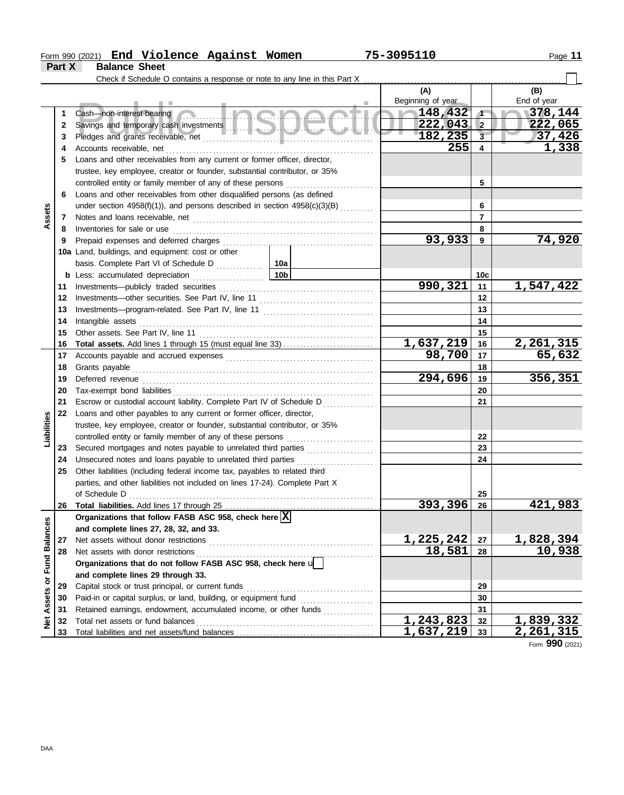#### Form 990 (2021) Page **11 Part X Balance Sheet End Violence Against Women 75-3095110**

|                      |    | Check if Schedule O contains a response or note to any line in this Part X                   |                 |                           |                         |                            |
|----------------------|----|----------------------------------------------------------------------------------------------|-----------------|---------------------------|-------------------------|----------------------------|
|                      |    |                                                                                              |                 | (A)                       |                         | (B)                        |
|                      |    |                                                                                              |                 | Beginning of year         |                         | End of year                |
|                      | 1  | <u>Inclandil</u><br>Cash-non-interest-bearing                                                | 148,432         | $\sqrt{1}$                | $\sqrt{378, 144}$       |                            |
|                      | 2  |                                                                                              |                 | 222,043                   | $\overline{2}$          | 222,065                    |
|                      | 3  |                                                                                              |                 | 182, 235                  | $\overline{\mathbf{3}}$ | 37,426                     |
|                      | 4  | Accounts receivable, net                                                                     |                 | 255                       | $\overline{\mathbf{4}}$ | 1,338                      |
|                      | 5  | Loans and other receivables from any current or former officer, director,                    |                 |                           |                         |                            |
|                      |    | trustee, key employee, creator or founder, substantial contributor, or 35%                   |                 |                           |                         |                            |
|                      |    | controlled entity or family member of any of these persons [                                 |                 |                           | 5                       |                            |
|                      | 6  | Loans and other receivables from other disqualified persons (as defined                      |                 |                           |                         |                            |
| Assets               |    | under section $4958(f)(1)$ ), and persons described in section $4958(c)(3)(B)$               |                 | 6                         |                         |                            |
|                      | 7  |                                                                                              |                 |                           | $\overline{7}$          |                            |
|                      | 8  | Inventories for sale or use                                                                  |                 |                           | 8                       |                            |
|                      | 9  | Prepaid expenses and deferred charges                                                        |                 | 93,933                    | 9                       | 74,920                     |
|                      |    | 10a Land, buildings, and equipment: cost or other                                            |                 |                           |                         |                            |
|                      |    | basis. Complete Part VI of Schedule D                                                        | 10a             |                           |                         |                            |
|                      |    | <b>b</b> Less: accumulated depreciation<br><u> 1986 - Johann Stoff, Amerikaansk polit</u> ik | 10 <sub>b</sub> |                           | 10 <sub>c</sub>         |                            |
|                      | 11 | Investments-publicly traded securities                                                       |                 | 990,321                   | 11                      | 1,547,422                  |
|                      | 12 |                                                                                              |                 |                           | 12                      |                            |
|                      | 13 |                                                                                              |                 |                           | 13                      |                            |
|                      | 14 | Intangible assets                                                                            |                 | 14                        |                         |                            |
|                      | 15 | Other assets. See Part IV, line 11                                                           |                 |                           | 15                      |                            |
|                      | 16 | <b>Total assets.</b> Add lines 1 through 15 (must equal line 33)                             |                 | <u>1,637,219</u>          | 16                      | 2,261,315                  |
|                      | 17 |                                                                                              |                 | 98,700                    | 17                      | 65,632                     |
|                      | 18 | Grants payable                                                                               |                 |                           | 18                      |                            |
|                      | 19 | Deferred revenue                                                                             |                 | 294,696                   | 19                      | 356,351                    |
|                      | 20 |                                                                                              |                 |                           | 20                      |                            |
|                      | 21 | Escrow or custodial account liability. Complete Part IV of Schedule D                        |                 |                           | 21                      |                            |
|                      | 22 | Loans and other payables to any current or former officer, director,                         |                 |                           |                         |                            |
| Liabilities          |    | trustee, key employee, creator or founder, substantial contributor, or 35%                   |                 |                           |                         |                            |
|                      |    | controlled entity or family member of any of these persons                                   |                 |                           | 22                      |                            |
|                      | 23 | Secured mortgages and notes payable to unrelated third parties                               |                 |                           | 23                      |                            |
|                      | 24 | Unsecured notes and loans payable to unrelated third parties                                 |                 |                           | 24                      |                            |
|                      | 25 | Other liabilities (including federal income tax, payables to related third                   |                 |                           |                         |                            |
|                      |    | parties, and other liabilities not included on lines 17-24). Complete Part X                 |                 |                           |                         |                            |
|                      |    | of Schedule D                                                                                |                 |                           | 25                      |                            |
|                      |    | 26 Total liabilities. Add lines 17 through 25                                                |                 | 393<br>396                | 26                      | $\overline{421}$<br>983    |
|                      |    | Organizations that follow FASB ASC 958, check here $\vert \overline{X} \vert$                |                 |                           |                         |                            |
|                      |    | and complete lines 27, 28, 32, and 33.                                                       |                 |                           |                         |                            |
|                      | 27 | Net assets without donor restrictions                                                        |                 | 1,225,242                 | 27                      | <u>1,828,394</u><br>10,938 |
| <b>Fund Balances</b> | 28 | Net assets with donor restrictions                                                           |                 | 18,581                    | 28                      |                            |
|                      |    | Organizations that do not follow FASB ASC 958, check here u                                  |                 |                           |                         |                            |
| ŏ                    |    | and complete lines 29 through 33.                                                            |                 |                           |                         |                            |
|                      | 29 | Capital stock or trust principal, or current funds                                           |                 |                           | 29                      |                            |
| Assets               | 30 |                                                                                              |                 |                           | 30                      |                            |
|                      | 31 | Retained earnings, endowment, accumulated income, or other funds                             |                 | 31                        |                         |                            |
| <b>Net</b>           | 32 | Total net assets or fund balances                                                            |                 | $\overline{1}$ , 243, 823 | 32                      | <u>1,839,332</u>           |
|                      | 33 |                                                                                              |                 | 1,637,219                 | 33                      | <u>2,261,315</u>           |

Form **990** (2021)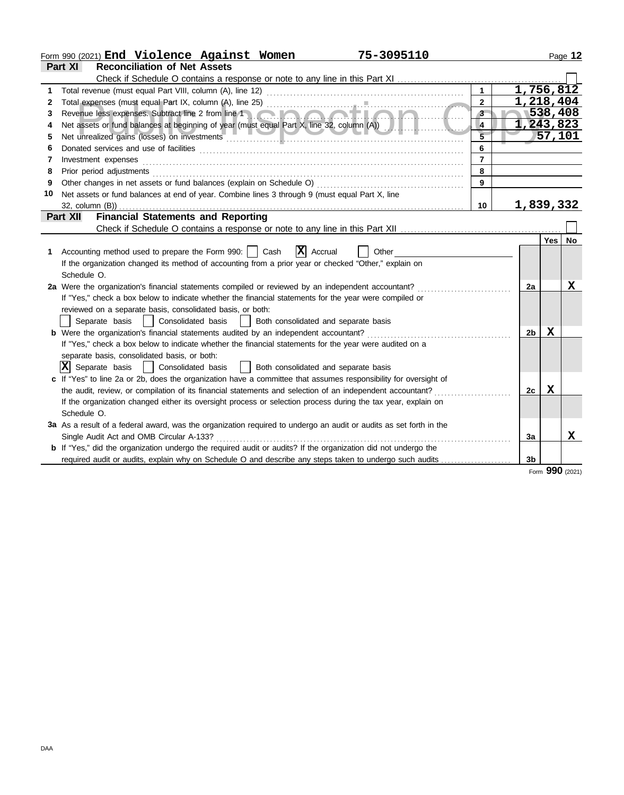|    | 75-3095110<br>Form 990 (2021) End Violence Against Women                                                                                                                                                                            |                             |  |                  |                 | Page 12 |
|----|-------------------------------------------------------------------------------------------------------------------------------------------------------------------------------------------------------------------------------------|-----------------------------|--|------------------|-----------------|---------|
|    | Part XI<br><b>Reconciliation of Net Assets</b>                                                                                                                                                                                      |                             |  |                  |                 |         |
|    | Check if Schedule O contains a response or note to any line in this Part XI                                                                                                                                                         |                             |  |                  |                 |         |
| 1  |                                                                                                                                                                                                                                     | $\mathbf{1}$                |  | 1,756,812        |                 |         |
| 2  |                                                                                                                                                                                                                                     | 1,218,404<br>$\overline{2}$ |  |                  |                 |         |
| 3  |                                                                                                                                                                                                                                     | $\overline{3}$              |  |                  | 538,408         |         |
| 4  | Net assets or fund balances at beginning of year (must equal Part X, line 32, column (A))                                                                                                                                           | 4                           |  | 1,243,823        |                 |         |
| 5  | Net unrealized gains (losses) on investments entertainments and the material contract of the material contract of                                                                                                                   | $\overline{5}$<br>57,101    |  |                  |                 |         |
| 6  |                                                                                                                                                                                                                                     | 6                           |  |                  |                 |         |
| 7  | Investment expenses <b>construction and construction of the construction of the construction</b> of the construction of the construction of the construction of the construction of the construction of the construction of the con | $\overline{7}$              |  |                  |                 |         |
| 8  | Prior period adjustments [11, 12] and the contract of the contract of the contract of the contract of the contract of the contract of the contract of the contract of the contract of the contract of the contract of the cont      | 8                           |  |                  |                 |         |
| 9  |                                                                                                                                                                                                                                     | 9                           |  |                  |                 |         |
| 10 | Net assets or fund balances at end of year. Combine lines 3 through 9 (must equal Part X, line                                                                                                                                      |                             |  |                  |                 |         |
|    | 32, column (B))                                                                                                                                                                                                                     | 10                          |  | <u>1,839,332</u> |                 |         |
|    | <b>Financial Statements and Reporting</b><br>Part XII                                                                                                                                                                               |                             |  |                  |                 |         |
|    |                                                                                                                                                                                                                                     |                             |  |                  |                 |         |
|    |                                                                                                                                                                                                                                     |                             |  |                  | Yes l           | No      |
| 1. | $\overline{\mathbf{X}}$ Accrual<br>Accounting method used to prepare the Form 990:     Cash<br>Other                                                                                                                                |                             |  |                  |                 |         |
|    | If the organization changed its method of accounting from a prior year or checked "Other," explain on                                                                                                                               |                             |  |                  |                 |         |
|    | Schedule O.                                                                                                                                                                                                                         |                             |  |                  |                 |         |
|    | 2a Were the organization's financial statements compiled or reviewed by an independent accountant?                                                                                                                                  |                             |  | 2a               |                 | X       |
|    | If "Yes," check a box below to indicate whether the financial statements for the year were compiled or                                                                                                                              |                             |  |                  |                 |         |
|    | reviewed on a separate basis, consolidated basis, or both:                                                                                                                                                                          |                             |  |                  |                 |         |
|    | Separate basis   Consolidated basis   Both consolidated and separate basis                                                                                                                                                          |                             |  |                  |                 |         |
|    |                                                                                                                                                                                                                                     |                             |  | 2 <sub>b</sub>   | x               |         |
|    | If "Yes," check a box below to indicate whether the financial statements for the year were audited on a                                                                                                                             |                             |  |                  |                 |         |
|    | separate basis, consolidated basis, or both:                                                                                                                                                                                        |                             |  |                  |                 |         |
|    | $ \mathbf{X} $ Separate basis $ \cdot $ Consolidated basis $ \cdot $ Both consolidated and separate basis                                                                                                                           |                             |  |                  |                 |         |
|    | c If "Yes" to line 2a or 2b, does the organization have a committee that assumes responsibility for oversight of                                                                                                                    |                             |  |                  |                 |         |
|    | the audit, review, or compilation of its financial statements and selection of an independent accountant?                                                                                                                           |                             |  | 2с               | X               |         |
|    | If the organization changed either its oversight process or selection process during the tax year, explain on                                                                                                                       |                             |  |                  |                 |         |
|    | Schedule O.                                                                                                                                                                                                                         |                             |  |                  |                 |         |
|    | 3a As a result of a federal award, was the organization required to undergo an audit or audits as set forth in the                                                                                                                  |                             |  |                  |                 |         |
|    | Single Audit Act and OMB Circular A-133?                                                                                                                                                                                            |                             |  | 3a               |                 | X       |
|    | <b>b</b> If "Yes," did the organization undergo the required audit or audits? If the organization did not undergo the                                                                                                               |                             |  |                  |                 |         |
|    | required audit or audits, explain why on Schedule O and describe any steps taken to undergo such audits                                                                                                                             |                             |  | 3b               |                 |         |
|    |                                                                                                                                                                                                                                     |                             |  |                  | Form 990 (2021) |         |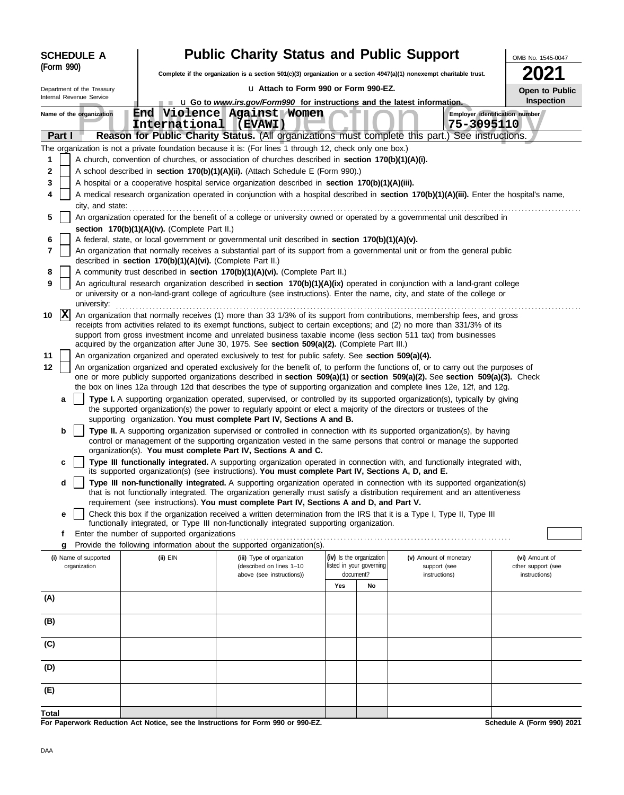| <b>SCHEDULE A</b> |                                                                                                                                                                                            |                                                                                                                                                                                                                                                                                |  |                                               | <b>Public Charity Status and Public Support</b>                                                                                                                                                       |                                                                                 |                                                      |                                                                                                                                            | OMB No. 1545-0047                    |  |  |  |  |  |
|-------------------|--------------------------------------------------------------------------------------------------------------------------------------------------------------------------------------------|--------------------------------------------------------------------------------------------------------------------------------------------------------------------------------------------------------------------------------------------------------------------------------|--|-----------------------------------------------|-------------------------------------------------------------------------------------------------------------------------------------------------------------------------------------------------------|---------------------------------------------------------------------------------|------------------------------------------------------|--------------------------------------------------------------------------------------------------------------------------------------------|--------------------------------------|--|--|--|--|--|
|                   | (Form 990)                                                                                                                                                                                 |                                                                                                                                                                                                                                                                                |  |                                               |                                                                                                                                                                                                       |                                                                                 |                                                      | Complete if the organization is a section 501(c)(3) organization or a section 4947(a)(1) nonexempt charitable trust.                       |                                      |  |  |  |  |  |
|                   |                                                                                                                                                                                            | Department of the Treasury                                                                                                                                                                                                                                                     |  |                                               | La Attach to Form 990 or Form 990-EZ.                                                                                                                                                                 |                                                                                 |                                                      |                                                                                                                                            | Open to Public                       |  |  |  |  |  |
|                   |                                                                                                                                                                                            | Internal Revenue Service                                                                                                                                                                                                                                                       |  |                                               | <b>u</b> Q Go to <i>www.irs.gov/Form990</i> for instructions and the latest information.                                                                                                              |                                                                                 |                                                      |                                                                                                                                            | Inspection                           |  |  |  |  |  |
|                   |                                                                                                                                                                                            | Name of the organization                                                                                                                                                                                                                                                       |  | International (EVAWI)                         | End Violence Against Women                                                                                                                                                                            |                                                                                 |                                                      | 75-3095110                                                                                                                                 | Employer identification number       |  |  |  |  |  |
|                   | Part I                                                                                                                                                                                     |                                                                                                                                                                                                                                                                                |  |                                               |                                                                                                                                                                                                       |                                                                                 |                                                      | Reason for Public Charity Status. (All organizations must complete this part.) See instructions.                                           |                                      |  |  |  |  |  |
|                   |                                                                                                                                                                                            |                                                                                                                                                                                                                                                                                |  |                                               | The organization is not a private foundation because it is: (For lines 1 through 12, check only one box.)                                                                                             |                                                                                 |                                                      |                                                                                                                                            |                                      |  |  |  |  |  |
| 1                 |                                                                                                                                                                                            |                                                                                                                                                                                                                                                                                |  |                                               | A church, convention of churches, or association of churches described in section 170(b)(1)(A)(i).                                                                                                    |                                                                                 |                                                      |                                                                                                                                            |                                      |  |  |  |  |  |
| 2                 |                                                                                                                                                                                            |                                                                                                                                                                                                                                                                                |  |                                               |                                                                                                                                                                                                       | A school described in section 170(b)(1)(A)(ii). (Attach Schedule E (Form 990).) |                                                      |                                                                                                                                            |                                      |  |  |  |  |  |
| 3                 |                                                                                                                                                                                            |                                                                                                                                                                                                                                                                                |  |                                               | A hospital or a cooperative hospital service organization described in section 170(b)(1)(A)(iii).                                                                                                     |                                                                                 |                                                      |                                                                                                                                            |                                      |  |  |  |  |  |
|                   |                                                                                                                                                                                            |                                                                                                                                                                                                                                                                                |  |                                               |                                                                                                                                                                                                       |                                                                                 |                                                      | A medical research organization operated in conjunction with a hospital described in section 170(b)(1)(A)(iii). Enter the hospital's name, |                                      |  |  |  |  |  |
| 5                 |                                                                                                                                                                                            | city, and state:                                                                                                                                                                                                                                                               |  |                                               |                                                                                                                                                                                                       |                                                                                 |                                                      | An organization operated for the benefit of a college or university owned or operated by a governmental unit described in                  |                                      |  |  |  |  |  |
|                   |                                                                                                                                                                                            |                                                                                                                                                                                                                                                                                |  | section 170(b)(1)(A)(iv). (Complete Part II.) |                                                                                                                                                                                                       |                                                                                 |                                                      |                                                                                                                                            |                                      |  |  |  |  |  |
| 6                 |                                                                                                                                                                                            |                                                                                                                                                                                                                                                                                |  |                                               | A federal, state, or local government or governmental unit described in section 170(b)(1)(A)(v).                                                                                                      |                                                                                 |                                                      |                                                                                                                                            |                                      |  |  |  |  |  |
| 7                 | An organization that normally receives a substantial part of its support from a governmental unit or from the general public<br>described in section 170(b)(1)(A)(vi). (Complete Part II.) |                                                                                                                                                                                                                                                                                |  |                                               |                                                                                                                                                                                                       |                                                                                 |                                                      |                                                                                                                                            |                                      |  |  |  |  |  |
| 8                 |                                                                                                                                                                                            |                                                                                                                                                                                                                                                                                |  |                                               | A community trust described in section 170(b)(1)(A)(vi). (Complete Part II.)                                                                                                                          |                                                                                 |                                                      |                                                                                                                                            |                                      |  |  |  |  |  |
| 9                 |                                                                                                                                                                                            | An agricultural research organization described in section 170(b)(1)(A)(ix) operated in conjunction with a land-grant college<br>or university or a non-land-grant college of agriculture (see instructions). Enter the name, city, and state of the college or<br>university: |  |                                               |                                                                                                                                                                                                       |                                                                                 |                                                      |                                                                                                                                            |                                      |  |  |  |  |  |
| 10                | <u> x</u>                                                                                                                                                                                  |                                                                                                                                                                                                                                                                                |  |                                               |                                                                                                                                                                                                       |                                                                                 |                                                      | An organization that normally receives (1) more than 33 1/3% of its support from contributions, membership fees, and gross                 |                                      |  |  |  |  |  |
|                   |                                                                                                                                                                                            |                                                                                                                                                                                                                                                                                |  |                                               |                                                                                                                                                                                                       |                                                                                 |                                                      | receipts from activities related to its exempt functions, subject to certain exceptions; and (2) no more than 331/3% of its                |                                      |  |  |  |  |  |
|                   |                                                                                                                                                                                            |                                                                                                                                                                                                                                                                                |  |                                               |                                                                                                                                                                                                       |                                                                                 |                                                      | support from gross investment income and unrelated business taxable income (less section 511 tax) from businesses                          |                                      |  |  |  |  |  |
| 11                |                                                                                                                                                                                            |                                                                                                                                                                                                                                                                                |  |                                               | acquired by the organization after June 30, 1975. See section 509(a)(2). (Complete Part III.)<br>An organization organized and operated exclusively to test for public safety. See section 509(a)(4). |                                                                                 |                                                      |                                                                                                                                            |                                      |  |  |  |  |  |
| 12                |                                                                                                                                                                                            |                                                                                                                                                                                                                                                                                |  |                                               |                                                                                                                                                                                                       |                                                                                 |                                                      | An organization organized and operated exclusively for the benefit of, to perform the functions of, or to carry out the purposes of        |                                      |  |  |  |  |  |
|                   |                                                                                                                                                                                            |                                                                                                                                                                                                                                                                                |  |                                               |                                                                                                                                                                                                       |                                                                                 |                                                      | one or more publicly supported organizations described in section 509(a)(1) or section 509(a)(2). See section 509(a)(3). Check             |                                      |  |  |  |  |  |
|                   |                                                                                                                                                                                            |                                                                                                                                                                                                                                                                                |  |                                               |                                                                                                                                                                                                       |                                                                                 |                                                      | the box on lines 12a through 12d that describes the type of supporting organization and complete lines 12e, 12f, and 12g.                  |                                      |  |  |  |  |  |
|                   | a                                                                                                                                                                                          |                                                                                                                                                                                                                                                                                |  |                                               |                                                                                                                                                                                                       |                                                                                 |                                                      | Type I. A supporting organization operated, supervised, or controlled by its supported organization(s), typically by giving                |                                      |  |  |  |  |  |
|                   |                                                                                                                                                                                            |                                                                                                                                                                                                                                                                                |  |                                               | supporting organization. You must complete Part IV, Sections A and B.                                                                                                                                 |                                                                                 |                                                      | the supported organization(s) the power to regularly appoint or elect a majority of the directors or trustees of the                       |                                      |  |  |  |  |  |
|                   | b                                                                                                                                                                                          |                                                                                                                                                                                                                                                                                |  |                                               |                                                                                                                                                                                                       |                                                                                 |                                                      | Type II. A supporting organization supervised or controlled in connection with its supported organization(s), by having                    |                                      |  |  |  |  |  |
|                   |                                                                                                                                                                                            |                                                                                                                                                                                                                                                                                |  |                                               |                                                                                                                                                                                                       |                                                                                 |                                                      | control or management of the supporting organization vested in the same persons that control or manage the supported                       |                                      |  |  |  |  |  |
|                   |                                                                                                                                                                                            |                                                                                                                                                                                                                                                                                |  |                                               | organization(s). You must complete Part IV, Sections A and C.                                                                                                                                         |                                                                                 |                                                      |                                                                                                                                            |                                      |  |  |  |  |  |
|                   | c                                                                                                                                                                                          |                                                                                                                                                                                                                                                                                |  |                                               | its supported organization(s) (see instructions). You must complete Part IV, Sections A, D, and E.                                                                                                    |                                                                                 |                                                      | Type III functionally integrated. A supporting organization operated in connection with, and functionally integrated with,                 |                                      |  |  |  |  |  |
|                   | d                                                                                                                                                                                          |                                                                                                                                                                                                                                                                                |  |                                               |                                                                                                                                                                                                       |                                                                                 |                                                      | Type III non-functionally integrated. A supporting organization operated in connection with its supported organization(s)                  |                                      |  |  |  |  |  |
|                   |                                                                                                                                                                                            |                                                                                                                                                                                                                                                                                |  |                                               | requirement (see instructions). You must complete Part IV, Sections A and D, and Part V.                                                                                                              |                                                                                 |                                                      | that is not functionally integrated. The organization generally must satisfy a distribution requirement and an attentiveness               |                                      |  |  |  |  |  |
|                   | е                                                                                                                                                                                          |                                                                                                                                                                                                                                                                                |  |                                               |                                                                                                                                                                                                       |                                                                                 |                                                      | Check this box if the organization received a written determination from the IRS that it is a Type I, Type II, Type III                    |                                      |  |  |  |  |  |
|                   |                                                                                                                                                                                            |                                                                                                                                                                                                                                                                                |  |                                               | functionally integrated, or Type III non-functionally integrated supporting organization.                                                                                                             |                                                                                 |                                                      |                                                                                                                                            |                                      |  |  |  |  |  |
|                   | f                                                                                                                                                                                          |                                                                                                                                                                                                                                                                                |  | Enter the number of supported organizations   |                                                                                                                                                                                                       |                                                                                 |                                                      |                                                                                                                                            |                                      |  |  |  |  |  |
|                   | g                                                                                                                                                                                          |                                                                                                                                                                                                                                                                                |  |                                               | Provide the following information about the supported organization(s).                                                                                                                                |                                                                                 |                                                      |                                                                                                                                            |                                      |  |  |  |  |  |
|                   |                                                                                                                                                                                            | (i) Name of supported<br>organization                                                                                                                                                                                                                                          |  | (ii) EIN                                      | (iii) Type of organization<br>(described on lines 1-10                                                                                                                                                |                                                                                 | (iv) Is the organization<br>listed in your governing | (v) Amount of monetary<br>support (see                                                                                                     | (vi) Amount of<br>other support (see |  |  |  |  |  |
|                   |                                                                                                                                                                                            |                                                                                                                                                                                                                                                                                |  |                                               | above (see instructions))                                                                                                                                                                             |                                                                                 | document?                                            | instructions)                                                                                                                              | instructions)                        |  |  |  |  |  |
|                   |                                                                                                                                                                                            |                                                                                                                                                                                                                                                                                |  |                                               |                                                                                                                                                                                                       | Yes                                                                             | No                                                   |                                                                                                                                            |                                      |  |  |  |  |  |
| (A)               |                                                                                                                                                                                            |                                                                                                                                                                                                                                                                                |  |                                               |                                                                                                                                                                                                       |                                                                                 |                                                      |                                                                                                                                            |                                      |  |  |  |  |  |
| (B)               |                                                                                                                                                                                            |                                                                                                                                                                                                                                                                                |  |                                               |                                                                                                                                                                                                       |                                                                                 |                                                      |                                                                                                                                            |                                      |  |  |  |  |  |
| (C)               |                                                                                                                                                                                            |                                                                                                                                                                                                                                                                                |  |                                               |                                                                                                                                                                                                       |                                                                                 |                                                      |                                                                                                                                            |                                      |  |  |  |  |  |
|                   |                                                                                                                                                                                            |                                                                                                                                                                                                                                                                                |  |                                               |                                                                                                                                                                                                       |                                                                                 |                                                      |                                                                                                                                            |                                      |  |  |  |  |  |
| (D)               |                                                                                                                                                                                            |                                                                                                                                                                                                                                                                                |  |                                               |                                                                                                                                                                                                       |                                                                                 |                                                      |                                                                                                                                            |                                      |  |  |  |  |  |
| (E)               |                                                                                                                                                                                            |                                                                                                                                                                                                                                                                                |  |                                               |                                                                                                                                                                                                       |                                                                                 |                                                      |                                                                                                                                            |                                      |  |  |  |  |  |

**For Paperwork Reduction Act Notice, see the Instructions for Form 990 or 990-EZ. Total**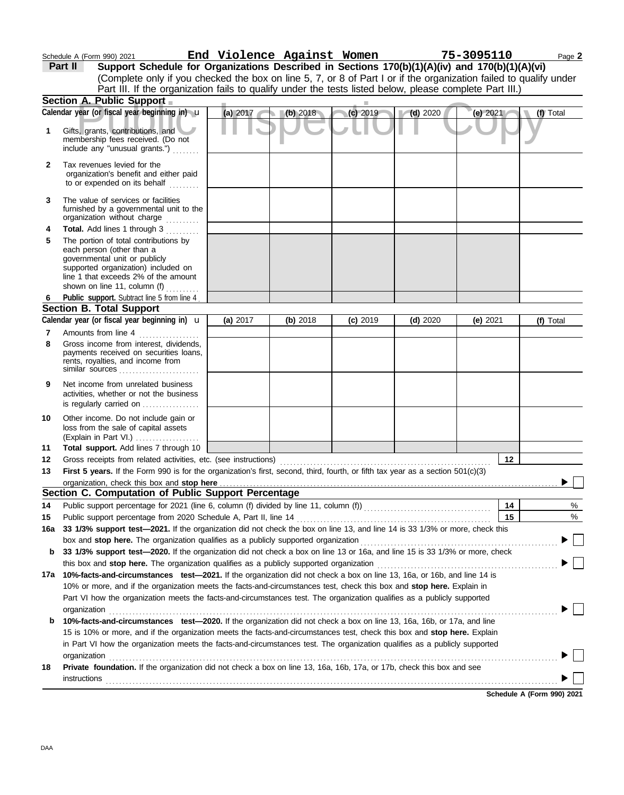|     | Schedule A (Form 990) 2021                                                                                                                                                                                                                                | End Violence Against Women |          |            |            | 75-3095110 | Page 2    |
|-----|-----------------------------------------------------------------------------------------------------------------------------------------------------------------------------------------------------------------------------------------------------------|----------------------------|----------|------------|------------|------------|-----------|
|     | Support Schedule for Organizations Described in Sections 170(b)(1)(A)(iv) and 170(b)(1)(A)(vi)<br>Part II                                                                                                                                                 |                            |          |            |            |            |           |
|     | (Complete only if you checked the box on line 5, 7, or 8 of Part I or if the organization failed to qualify under                                                                                                                                         |                            |          |            |            |            |           |
|     | Part III. If the organization fails to qualify under the tests listed below, please complete Part III.)                                                                                                                                                   |                            |          |            |            |            |           |
|     | Section A. Public Support                                                                                                                                                                                                                                 |                            |          |            |            |            |           |
|     | Calendar year (or fiscal year beginning in) u                                                                                                                                                                                                             | (a) 2017                   | (b) 2018 | $(c)$ 2019 | $(d)$ 2020 | (e) 2021   | (f) Total |
| 1   | Gifts, grants, contributions, and<br>membership fees received. (Do not<br>include any "unusual grants.")                                                                                                                                                  |                            |          |            |            |            |           |
| 2   | Tax revenues levied for the                                                                                                                                                                                                                               |                            |          |            |            |            |           |
|     | organization's benefit and either paid<br>to or expended on its behalf                                                                                                                                                                                    |                            |          |            |            |            |           |
| 3   | The value of services or facilities<br>furnished by a governmental unit to the<br>organization without charge                                                                                                                                             |                            |          |            |            |            |           |
| 4   | Total. Add lines 1 through 3                                                                                                                                                                                                                              |                            |          |            |            |            |           |
| 5   | The portion of total contributions by<br>each person (other than a                                                                                                                                                                                        |                            |          |            |            |            |           |
|     | governmental unit or publicly<br>supported organization) included on<br>line 1 that exceeds 2% of the amount                                                                                                                                              |                            |          |            |            |            |           |
|     | shown on line 11, column (f)                                                                                                                                                                                                                              |                            |          |            |            |            |           |
| 6   | Public support. Subtract line 5 from line 4<br>Section B. Total Support                                                                                                                                                                                   |                            |          |            |            |            |           |
|     | Calendar year (or fiscal year beginning in) <b>u</b>                                                                                                                                                                                                      | (a) $2017$                 | (b) 2018 | $(c)$ 2019 | $(d)$ 2020 | (e) 2021   | (f) Total |
| 7   | Amounts from line 4                                                                                                                                                                                                                                       |                            |          |            |            |            |           |
| 8   | Gross income from interest, dividends,                                                                                                                                                                                                                    |                            |          |            |            |            |           |
|     | payments received on securities loans,<br>rents, royalties, and income from<br>similar sources                                                                                                                                                            |                            |          |            |            |            |           |
| 9   | Net income from unrelated business<br>activities, whether or not the business<br>is regularly carried on                                                                                                                                                  |                            |          |            |            |            |           |
| 10  | Other income. Do not include gain or<br>loss from the sale of capital assets<br>(Explain in Part VI.)                                                                                                                                                     |                            |          |            |            |            |           |
| 11  | Total support. Add lines 7 through 10                                                                                                                                                                                                                     |                            |          |            |            |            |           |
| 12  | Gross receipts from related activities, etc. (see instructions)                                                                                                                                                                                           |                            |          |            |            | 12         |           |
| 13  | First 5 years. If the Form 990 is for the organization's first, second, third, fourth, or fifth tax year as a section $501(c)(3)$                                                                                                                         |                            |          |            |            |            |           |
|     |                                                                                                                                                                                                                                                           |                            |          |            |            |            |           |
|     | Section C. Computation of Public Support Percentage                                                                                                                                                                                                       |                            |          |            |            |            |           |
| 14  |                                                                                                                                                                                                                                                           |                            |          |            |            | 14         | %         |
| 15  | Public support percentage from 2020 Schedule A, Part II, line 14                                                                                                                                                                                          |                            |          |            |            | 15         | %         |
| 16a | 33 1/3% support test-2021. If the organization did not check the box on line 13, and line 14 is 33 1/3% or more, check this                                                                                                                               |                            |          |            |            |            |           |
|     | box and stop here. The organization qualifies as a publicly supported organization                                                                                                                                                                        |                            |          |            |            |            | $\perp$   |
| b   | 33 1/3% support test-2020. If the organization did not check a box on line 13 or 16a, and line 15 is 33 1/3% or more, check                                                                                                                               |                            |          |            |            |            |           |
|     | this box and stop here. The organization qualifies as a publicly supported organization                                                                                                                                                                   |                            |          |            |            |            |           |
| 17a | 10%-facts-and-circumstances test-2021. If the organization did not check a box on line 13, 16a, or 16b, and line 14 is                                                                                                                                    |                            |          |            |            |            |           |
|     | 10% or more, and if the organization meets the facts-and-circumstances test, check this box and stop here. Explain in                                                                                                                                     |                            |          |            |            |            |           |
|     | Part VI how the organization meets the facts-and-circumstances test. The organization qualifies as a publicly supported                                                                                                                                   |                            |          |            |            |            |           |
|     | organization<br>10%-facts-and-circumstances test-2020. If the organization did not check a box on line 13, 16a, 16b, or 17a, and line                                                                                                                     |                            |          |            |            |            |           |
| b   | 15 is 10% or more, and if the organization meets the facts-and-circumstances test, check this box and stop here. Explain                                                                                                                                  |                            |          |            |            |            |           |
|     | in Part VI how the organization meets the facts-and-circumstances test. The organization qualifies as a publicly supported                                                                                                                                |                            |          |            |            |            |           |
|     |                                                                                                                                                                                                                                                           |                            |          |            |            |            |           |
| 18  | organization www.commutation.com/www.commutation.com/www.commutation.com/www.commutation.com/www.commutation.com<br>Private foundation. If the organization did not check a box on line 13, 16a, 16b, 17a, or 17b, check this box and see<br>instructions |                            |          |            |            |            |           |
|     |                                                                                                                                                                                                                                                           |                            |          |            |            |            |           |

**Schedule A (Form 990) 2021**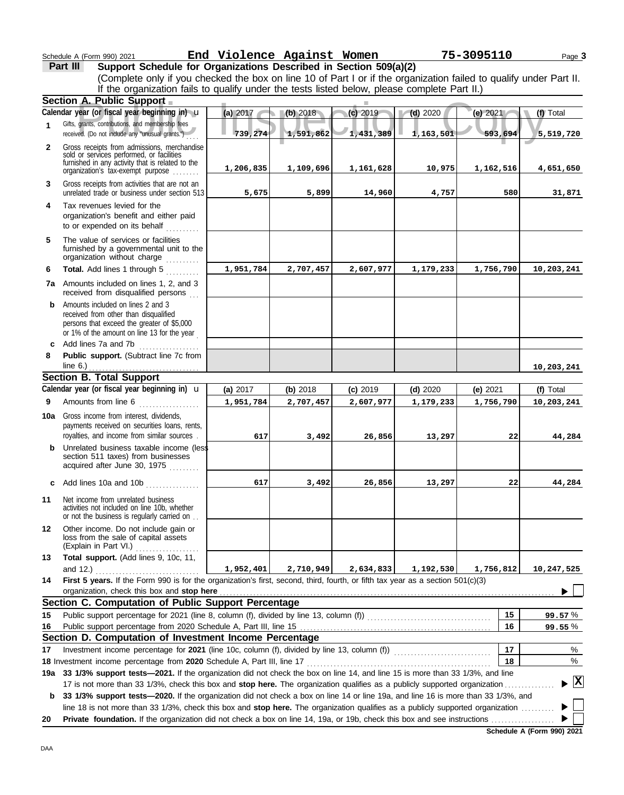## Schedule A (Form 990) 2021 Page **3 End Violence Against Women 75-3095110**

**Part III Support Schedule for Organizations Described in Section 509(a)(2)**

|              | (Complete only if you checked the box on line 10 of Part I or if the organization failed to qualify under Part II.<br>If the organization fails to qualify under the tests listed below, please complete Part II.)                                         |           |           |            |            |            |            |
|--------------|------------------------------------------------------------------------------------------------------------------------------------------------------------------------------------------------------------------------------------------------------------|-----------|-----------|------------|------------|------------|------------|
|              | Section A. Public Support                                                                                                                                                                                                                                  |           |           |            |            |            |            |
|              | Calendar year (or fiscal year beginning in) u                                                                                                                                                                                                              | (a) 2017  | (b) 2018  | $(c)$ 2019 | $(d)$ 2020 | (e) 2021   | (f) Total  |
| $\mathbf{1}$ | Gifts, grants, contributions, and membership fees<br>received. (Do not include any "unusual grants.")                                                                                                                                                      | 739,274   | 1,591,862 | 1,431,389  | 1,163,501  | 593,694    | 5,519,720  |
| $\mathbf{2}$ | Gross receipts from admissions, merchandise<br>sold or services performed, or facilities<br>furnished in any activity that is related to the<br>organization's fax-exempt purpose                                                                          | 1,206,835 | 1,109,696 | 1,161,628  | 10,975     | 1,162,516  | 4,651,650  |
| 3            | Gross receipts from activities that are not an<br>unrelated trade or business under section 513                                                                                                                                                            | 5,675     | 5,899     | 14,960     | 4,757      | 580        | 31,871     |
| 4            | Tax revenues levied for the<br>organization's benefit and either paid<br>to or expended on its behalf<br>a sa sa salala                                                                                                                                    |           |           |            |            |            |            |
| 5            | The value of services or facilities<br>furnished by a governmental unit to the<br>organization without charge                                                                                                                                              |           |           |            |            |            |            |
| 6            | Total. Add lines 1 through 5                                                                                                                                                                                                                               | 1,951,784 | 2,707,457 | 2,607,977  | 1,179,233  | 1,756,790  | 10,203,241 |
|              | <b>7a</b> Amounts included on lines 1, 2, and 3<br>received from disqualified persons                                                                                                                                                                      |           |           |            |            |            |            |
|              | <b>b</b> Amounts included on lines 2 and 3<br>received from other than disqualified<br>persons that exceed the greater of \$5,000<br>or 1% of the amount on line 13 for the year                                                                           |           |           |            |            |            |            |
|              | c Add lines 7a and 7b<br><u> 1986 - Johann Barnett, martin e</u>                                                                                                                                                                                           |           |           |            |            |            |            |
| 8            | Public support. (Subtract line 7c from<br>line 6.) $\ldots$ $\ldots$ $\ldots$ $\ldots$ $\ldots$ $\ldots$ $\ldots$ $\ldots$                                                                                                                                 |           |           |            |            |            | 10,203,241 |
|              | <b>Section B. Total Support</b>                                                                                                                                                                                                                            |           |           |            |            |            |            |
|              | Calendar year (or fiscal year beginning in) $\mathbf u$                                                                                                                                                                                                    | (a) 2017  | (b) 2018  | (c) 2019   | $(d)$ 2020 | (e) $2021$ | (f) Total  |
| 9            | Amounts from line 6                                                                                                                                                                                                                                        | 1,951,784 | 2,707,457 | 2,607,977  | 1,179,233  | 1,756,790  | 10,203,241 |
| 10a          | Gross income from interest, dividends,<br>payments received on securities loans, rents,<br>royalties, and income from similar sources.                                                                                                                     | 617       | 3,492     | 26,856     | 13,297     | 22         | 44,284     |
|              | <b>b</b> Unrelated business taxable income (less<br>section 511 taxes) from businesses<br>acquired after June 30, 1975                                                                                                                                     |           |           |            |            |            |            |
|              | c Add lines 10a and 10b<br>.                                                                                                                                                                                                                               | 617       | 3,492     | 26,856     | 13,297     | 22         | 44,284     |
| 11           | Net income from unrelated business<br>activities not included on line 10b, whether<br>or not the business is regularly carried on                                                                                                                          |           |           |            |            |            |            |
| 12           | Other income. Do not include gain or<br>loss from the sale of capital assets<br>(Explain in Part VI.)                                                                                                                                                      |           |           |            |            |            |            |
| 13           | Total support. (Add lines 9, 10c, 11,                                                                                                                                                                                                                      |           |           |            |            |            |            |
|              | and 12.)                                                                                                                                                                                                                                                   | 1,952,401 | 2,710,949 | 2,634,833  | 1,192,530  | 1,756,812  | 10,247,525 |
| 14           | First 5 years. If the Form 990 is for the organization's first, second, third, fourth, or fifth tax year as a section 501(c)(3)                                                                                                                            |           |           |            |            |            |            |
|              | organization, check this box and stop here                                                                                                                                                                                                                 |           |           |            |            |            |            |
|              | Section C. Computation of Public Support Percentage                                                                                                                                                                                                        |           |           |            |            |            |            |
| 15           |                                                                                                                                                                                                                                                            |           |           |            |            | 15         | 99.57%     |
| 16           |                                                                                                                                                                                                                                                            |           |           |            |            | 16         | 99.55%     |
|              | Section D. Computation of Investment Income Percentage                                                                                                                                                                                                     |           |           |            |            | 17         |            |
| 17           |                                                                                                                                                                                                                                                            |           |           |            |            | 18         | %<br>%     |
|              | 18 Investment income percentage from 2020 Schedule A, Part III, line 17 <b>Construent Construent in the percent</b> of<br>19a 33 1/3% support tests-2021. If the organization did not check the box on line 14, and line 15 is more than 33 1/3%, and line |           |           |            |            |            |            |
|              | 17 is not more than 33 1/3%, check this box and stop here. The organization qualifies as a publicly supported organization                                                                                                                                 |           |           |            |            |            | - [X]      |
| b            | 33 1/3% support tests-2020. If the organization did not check a box on line 14 or line 19a, and line 16 is more than 33 1/3%, and                                                                                                                          |           |           |            |            |            |            |
| 20           | line 18 is not more than 33 1/3%, check this box and stop here. The organization qualifies as a publicly supported organization                                                                                                                            |           |           |            |            |            |            |

**Schedule A (Form 990) 2021**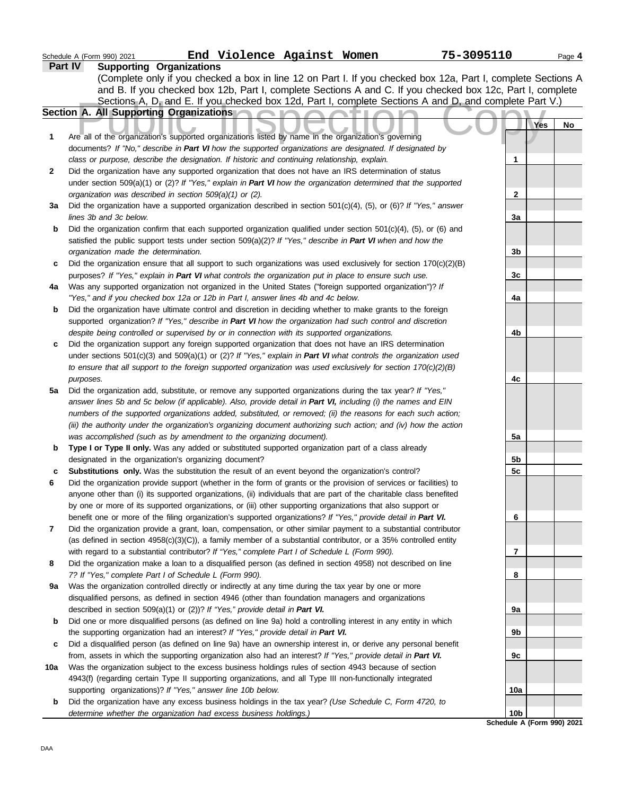|     | End Violence Against Women<br>75-3095110<br>Schedule A (Form 990) 2021                                                                                                                        |                            | Page 4    |
|-----|-----------------------------------------------------------------------------------------------------------------------------------------------------------------------------------------------|----------------------------|-----------|
|     | <b>Supporting Organizations</b><br>Part IV                                                                                                                                                    |                            |           |
|     | (Complete only if you checked a box in line 12 on Part I. If you checked box 12a, Part I, complete Sections A                                                                                 |                            |           |
|     | and B. If you checked box 12b, Part I, complete Sections A and C. If you checked box 12c, Part I, complete                                                                                    |                            |           |
|     | Sections A, D <sub>r</sub> and E. If you checked box 12d, Part I, complete Sections A and D, and complete Part V.)                                                                            |                            |           |
|     | Section A. All Supporting Organizations                                                                                                                                                       |                            |           |
|     |                                                                                                                                                                                               |                            | Yes<br>No |
| 1   | Are all of the organization's supported organizations listed by name in the organization's governing                                                                                          |                            |           |
|     | documents? If "No," describe in Part VI how the supported organizations are designated. If designated by                                                                                      |                            |           |
|     | class or purpose, describe the designation. If historic and continuing relationship, explain.                                                                                                 | 1                          |           |
| 2   | Did the organization have any supported organization that does not have an IRS determination of status                                                                                        |                            |           |
|     | under section 509(a)(1) or (2)? If "Yes," explain in Part VI how the organization determined that the supported                                                                               |                            |           |
|     | organization was described in section 509(a)(1) or (2).                                                                                                                                       | $\overline{\mathbf{c}}$    |           |
| За  | Did the organization have a supported organization described in section $501(c)(4)$ , (5), or (6)? If "Yes," answer                                                                           |                            |           |
|     | lines 3b and 3c below.                                                                                                                                                                        | 3a                         |           |
| b   | Did the organization confirm that each supported organization qualified under section $501(c)(4)$ , (5), or (6) and                                                                           |                            |           |
|     | satisfied the public support tests under section 509(a)(2)? If "Yes," describe in Part VI when and how the                                                                                    |                            |           |
|     | organization made the determination.                                                                                                                                                          | 3b                         |           |
| c   | Did the organization ensure that all support to such organizations was used exclusively for section $170(c)(2)(B)$                                                                            |                            |           |
|     | purposes? If "Yes," explain in Part VI what controls the organization put in place to ensure such use.                                                                                        | 3c                         |           |
| 4a  | Was any supported organization not organized in the United States ("foreign supported organization")? If<br>"Yes," and if you checked box 12a or 12b in Part I, answer lines 4b and 4c below. | 4a                         |           |
| b   | Did the organization have ultimate control and discretion in deciding whether to make grants to the foreign                                                                                   |                            |           |
|     | supported organization? If "Yes," describe in Part VI how the organization had such control and discretion                                                                                    |                            |           |
|     | despite being controlled or supervised by or in connection with its supported organizations.                                                                                                  | 4b                         |           |
| c   | Did the organization support any foreign supported organization that does not have an IRS determination                                                                                       |                            |           |
|     | under sections $501(c)(3)$ and $509(a)(1)$ or $(2)$ ? If "Yes," explain in Part VI what controls the organization used                                                                        |                            |           |
|     | to ensure that all support to the foreign supported organization was used exclusively for section $170(c)(2)(B)$                                                                              |                            |           |
|     | purposes.                                                                                                                                                                                     | 4c                         |           |
| 5a  | Did the organization add, substitute, or remove any supported organizations during the tax year? If "Yes,"                                                                                    |                            |           |
|     | answer lines 5b and 5c below (if applicable). Also, provide detail in Part VI, including (i) the names and EIN                                                                                |                            |           |
|     | numbers of the supported organizations added, substituted, or removed; (ii) the reasons for each such action;                                                                                 |                            |           |
|     | (iii) the authority under the organization's organizing document authorizing such action; and (iv) how the action                                                                             |                            |           |
|     | was accomplished (such as by amendment to the organizing document).                                                                                                                           | 5a                         |           |
| b   | Type I or Type II only. Was any added or substituted supported organization part of a class already                                                                                           |                            |           |
|     | designated in the organization's organizing document?                                                                                                                                         | 5b                         |           |
| c   | Substitutions only. Was the substitution the result of an event beyond the organization's control?                                                                                            | 5 <sub>c</sub>             |           |
| 6   | Did the organization provide support (whether in the form of grants or the provision of services or facilities) to                                                                            |                            |           |
|     | anyone other than (i) its supported organizations, (ii) individuals that are part of the charitable class benefited                                                                           |                            |           |
|     | by one or more of its supported organizations, or (iii) other supporting organizations that also support or                                                                                   |                            |           |
|     | benefit one or more of the filing organization's supported organizations? If "Yes," provide detail in Part VI.                                                                                | 6                          |           |
| 7   | Did the organization provide a grant, loan, compensation, or other similar payment to a substantial contributor                                                                               |                            |           |
|     | (as defined in section $4958(c)(3)(C)$ ), a family member of a substantial contributor, or a 35% controlled entity                                                                            |                            |           |
|     | with regard to a substantial contributor? If "Yes," complete Part I of Schedule L (Form 990).                                                                                                 | 7                          |           |
| 8   | Did the organization make a loan to a disqualified person (as defined in section 4958) not described on line                                                                                  | 8                          |           |
| 9a  | 7? If "Yes," complete Part I of Schedule L (Form 990).<br>Was the organization controlled directly or indirectly at any time during the tax year by one or more                               |                            |           |
|     | disqualified persons, as defined in section 4946 (other than foundation managers and organizations                                                                                            |                            |           |
|     | described in section 509(a)(1) or (2))? If "Yes," provide detail in Part VI.                                                                                                                  | 9а                         |           |
| b   | Did one or more disqualified persons (as defined on line 9a) hold a controlling interest in any entity in which                                                                               |                            |           |
|     | the supporting organization had an interest? If "Yes," provide detail in Part VI.                                                                                                             | 9b                         |           |
| c   | Did a disqualified person (as defined on line 9a) have an ownership interest in, or derive any personal benefit                                                                               |                            |           |
|     | from, assets in which the supporting organization also had an interest? If "Yes," provide detail in Part VI.                                                                                  | 9c                         |           |
| 10a | Was the organization subject to the excess business holdings rules of section 4943 because of section                                                                                         |                            |           |
|     | 4943(f) (regarding certain Type II supporting organizations, and all Type III non-functionally integrated                                                                                     |                            |           |
|     | supporting organizations)? If "Yes," answer line 10b below.                                                                                                                                   | 10a                        |           |
| b   | Did the organization have any excess business holdings in the tax year? (Use Schedule C, Form 4720, to                                                                                        |                            |           |
|     | determine whether the organization had excess business holdings.)                                                                                                                             | 10b                        |           |
|     |                                                                                                                                                                                               | Schedule A (Form 990) 2021 |           |
|     |                                                                                                                                                                                               |                            |           |

DAA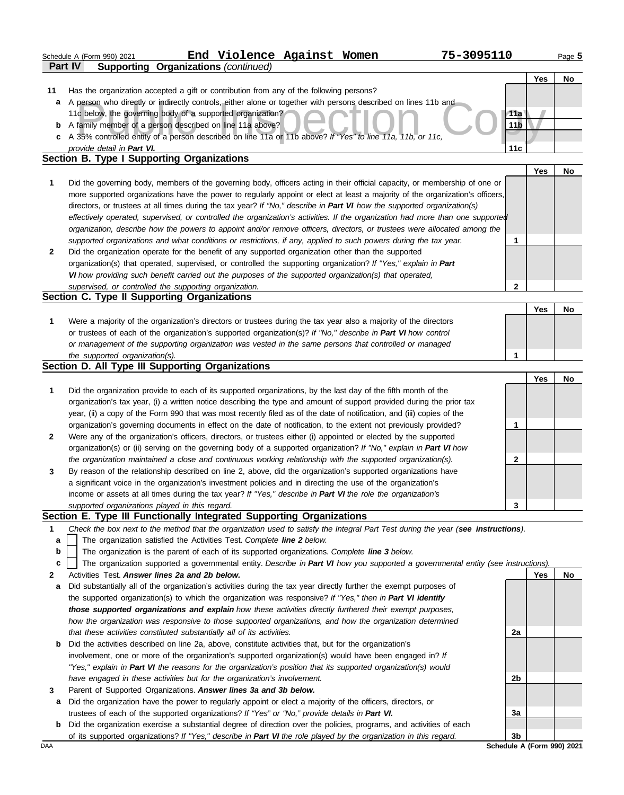|              |                | Schedule A (Form 990) 2021     |                                                        | End Violence Against Women                                                                                                                                                                                        |  | 75-3095110                                                                                                                        |                 |     | Page 5    |
|--------------|----------------|--------------------------------|--------------------------------------------------------|-------------------------------------------------------------------------------------------------------------------------------------------------------------------------------------------------------------------|--|-----------------------------------------------------------------------------------------------------------------------------------|-----------------|-----|-----------|
|              | <b>Part IV</b> |                                |                                                        | <b>Supporting Organizations (continued)</b>                                                                                                                                                                       |  |                                                                                                                                   |                 |     |           |
|              |                |                                |                                                        |                                                                                                                                                                                                                   |  |                                                                                                                                   |                 | Yes | No        |
| 11           |                |                                |                                                        | Has the organization accepted a gift or contribution from any of the following persons?                                                                                                                           |  |                                                                                                                                   |                 |     |           |
|              |                |                                |                                                        |                                                                                                                                                                                                                   |  | a A person who directly or indirectly controls, either alone or together with persons described on lines 11b and                  |                 |     |           |
|              |                |                                |                                                        | 11c below, the governing body of a supported organization?                                                                                                                                                        |  |                                                                                                                                   | 11a             |     |           |
|              |                |                                |                                                        | <b>b</b> A family member of a person described on line 11a above?<br>c A 35% controlled entity of a person described on line 11a or 11b above? If "Yes" to line 11a, 11b, or 11c,                                 |  |                                                                                                                                   | 11 <sub>b</sub> |     |           |
|              |                | provide detail in Part VI.     |                                                        |                                                                                                                                                                                                                   |  |                                                                                                                                   | 11c             |     |           |
|              |                |                                | Section B. Type I Supporting Organizations             |                                                                                                                                                                                                                   |  |                                                                                                                                   |                 |     |           |
|              |                |                                |                                                        |                                                                                                                                                                                                                   |  |                                                                                                                                   |                 | Yes | No        |
| 1            |                |                                |                                                        |                                                                                                                                                                                                                   |  | Did the governing body, members of the governing body, officers acting in their official capacity, or membership of one or        |                 |     |           |
|              |                |                                |                                                        |                                                                                                                                                                                                                   |  | more supported organizations have the power to regularly appoint or elect at least a majority of the organization's officers,     |                 |     |           |
|              |                |                                |                                                        |                                                                                                                                                                                                                   |  | directors, or trustees at all times during the tax year? If "No," describe in Part VI how the supported organization(s)           |                 |     |           |
|              |                |                                |                                                        |                                                                                                                                                                                                                   |  | effectively operated, supervised, or controlled the organization's activities. If the organization had more than one supported    |                 |     |           |
|              |                |                                |                                                        |                                                                                                                                                                                                                   |  | organization, describe how the powers to appoint and/or remove officers, directors, or trustees were allocated among the          |                 |     |           |
|              |                |                                |                                                        |                                                                                                                                                                                                                   |  | supported organizations and what conditions or restrictions, if any, applied to such powers during the tax year.                  | 1               |     |           |
| $\mathbf{2}$ |                |                                |                                                        | Did the organization operate for the benefit of any supported organization other than the supported                                                                                                               |  |                                                                                                                                   |                 |     |           |
|              |                |                                |                                                        | organization(s) that operated, supervised, or controlled the supporting organization? If "Yes," explain in Part                                                                                                   |  |                                                                                                                                   |                 |     |           |
|              |                |                                |                                                        | VI how providing such benefit carried out the purposes of the supported organization(s) that operated,                                                                                                            |  |                                                                                                                                   |                 |     |           |
|              |                |                                | supervised, or controlled the supporting organization. |                                                                                                                                                                                                                   |  |                                                                                                                                   | 2               |     |           |
|              |                |                                | Section C. Type II Supporting Organizations            |                                                                                                                                                                                                                   |  |                                                                                                                                   |                 |     |           |
|              |                |                                |                                                        |                                                                                                                                                                                                                   |  |                                                                                                                                   |                 | Yes | <b>No</b> |
| 1            |                |                                |                                                        | Were a majority of the organization's directors or trustees during the tax year also a majority of the directors                                                                                                  |  |                                                                                                                                   |                 |     |           |
|              |                |                                |                                                        | or trustees of each of the organization's supported organization(s)? If "No," describe in Part VI how control                                                                                                     |  |                                                                                                                                   |                 |     |           |
|              |                |                                |                                                        | or management of the supporting organization was vested in the same persons that controlled or managed                                                                                                            |  |                                                                                                                                   |                 |     |           |
|              |                | the supported organization(s). |                                                        | Section D. All Type III Supporting Organizations                                                                                                                                                                  |  |                                                                                                                                   | 1               |     |           |
|              |                |                                |                                                        |                                                                                                                                                                                                                   |  |                                                                                                                                   |                 | Yes | <b>No</b> |
| 1            |                |                                |                                                        | Did the organization provide to each of its supported organizations, by the last day of the fifth month of the                                                                                                    |  |                                                                                                                                   |                 |     |           |
|              |                |                                |                                                        |                                                                                                                                                                                                                   |  | organization's tax year, (i) a written notice describing the type and amount of support provided during the prior tax             |                 |     |           |
|              |                |                                |                                                        |                                                                                                                                                                                                                   |  | year, (ii) a copy of the Form 990 that was most recently filed as of the date of notification, and (iii) copies of the            |                 |     |           |
|              |                |                                |                                                        |                                                                                                                                                                                                                   |  | organization's governing documents in effect on the date of notification, to the extent not previously provided?                  | 1               |     |           |
| 2            |                |                                |                                                        | Were any of the organization's officers, directors, or trustees either (i) appointed or elected by the supported                                                                                                  |  |                                                                                                                                   |                 |     |           |
|              |                |                                |                                                        |                                                                                                                                                                                                                   |  | organization(s) or (ii) serving on the governing body of a supported organization? If "No," explain in Part VI how                |                 |     |           |
|              |                |                                |                                                        | the organization maintained a close and continuous working relationship with the supported organization(s).                                                                                                       |  |                                                                                                                                   | 2               |     |           |
| 3            |                |                                |                                                        | By reason of the relationship described on line 2, above, did the organization's supported organizations have                                                                                                     |  |                                                                                                                                   |                 |     |           |
|              |                |                                |                                                        | a significant voice in the organization's investment policies and in directing the use of the organization's                                                                                                      |  |                                                                                                                                   |                 |     |           |
|              |                |                                |                                                        | income or assets at all times during the tax year? If "Yes," describe in Part VI the role the organization's                                                                                                      |  |                                                                                                                                   |                 |     |           |
|              |                |                                | supported organizations played in this regard.         |                                                                                                                                                                                                                   |  |                                                                                                                                   | 3               |     |           |
|              |                |                                |                                                        | Section E. Type III Functionally Integrated Supporting Organizations                                                                                                                                              |  |                                                                                                                                   |                 |     |           |
| 1            |                |                                |                                                        |                                                                                                                                                                                                                   |  | Check the box next to the method that the organization used to satisfy the Integral Part Test during the year (see instructions). |                 |     |           |
| a            |                |                                |                                                        | The organization satisfied the Activities Test. Complete line 2 below.                                                                                                                                            |  |                                                                                                                                   |                 |     |           |
| b            |                |                                |                                                        | The organization is the parent of each of its supported organizations. Complete line 3 below.                                                                                                                     |  |                                                                                                                                   |                 |     |           |
| c            |                |                                |                                                        |                                                                                                                                                                                                                   |  | The organization supported a governmental entity. Describe in Part VI how you supported a governmental entity (see instructions). |                 |     |           |
| $\mathbf{2}$ |                |                                | Activities Test, Answer lines 2a and 2b below.         |                                                                                                                                                                                                                   |  |                                                                                                                                   |                 | Yes | <b>No</b> |
| a            |                |                                |                                                        | Did substantially all of the organization's activities during the tax year directly further the exempt purposes of                                                                                                |  |                                                                                                                                   |                 |     |           |
|              |                |                                |                                                        | the supported organization(s) to which the organization was responsive? If "Yes," then in Part VI identify                                                                                                        |  |                                                                                                                                   |                 |     |           |
|              |                |                                |                                                        | those supported organizations and explain how these activities directly furthered their exempt purposes,                                                                                                          |  |                                                                                                                                   |                 |     |           |
|              |                |                                |                                                        |                                                                                                                                                                                                                   |  | how the organization was responsive to those supported organizations, and how the organization determined                         | 2a              |     |           |
|              |                |                                |                                                        | that these activities constituted substantially all of its activities.                                                                                                                                            |  |                                                                                                                                   |                 |     |           |
| b            |                |                                |                                                        | Did the activities described on line 2a, above, constitute activities that, but for the organization's<br>involvement, one or more of the organization's supported organization(s) would have been engaged in? If |  |                                                                                                                                   |                 |     |           |
|              |                |                                |                                                        | "Yes," explain in Part VI the reasons for the organization's position that its supported organization(s) would                                                                                                    |  |                                                                                                                                   |                 |     |           |
|              |                |                                |                                                        | have engaged in these activities but for the organization's involvement.                                                                                                                                          |  |                                                                                                                                   | 2b              |     |           |
| 3            |                |                                |                                                        | Parent of Supported Organizations. Answer lines 3a and 3b below.                                                                                                                                                  |  |                                                                                                                                   |                 |     |           |
| a            |                |                                |                                                        | Did the organization have the power to regularly appoint or elect a majority of the officers, directors, or                                                                                                       |  |                                                                                                                                   |                 |     |           |
|              |                |                                |                                                        | trustees of each of the supported organizations? If "Yes" or "No," provide details in Part VI.                                                                                                                    |  |                                                                                                                                   | 3a              |     |           |
| b            |                |                                |                                                        |                                                                                                                                                                                                                   |  | Did the organization exercise a substantial degree of direction over the policies, programs, and activities of each               |                 |     |           |
|              |                |                                |                                                        | of its supported organizations? If "Yes," describe in Part VI the role played by the organization in this regard.                                                                                                 |  |                                                                                                                                   | 3 <sub>b</sub>  |     |           |

DAA **Schedule A (Form 990) 2021**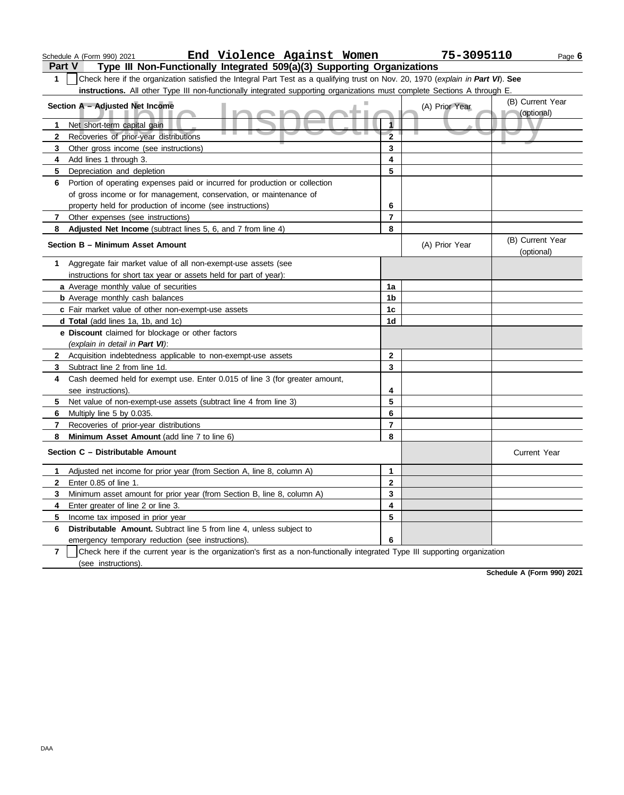|                         | End Violence Against Women<br>Schedule A (Form 990) 2021                                                                         |                         | 75-3095110     | Page 6                         |
|-------------------------|----------------------------------------------------------------------------------------------------------------------------------|-------------------------|----------------|--------------------------------|
| <b>Part V</b>           | Type III Non-Functionally Integrated 509(a)(3) Supporting Organizations                                                          |                         |                |                                |
| 1                       | Check here if the organization satisfied the Integral Part Test as a qualifying trust on Nov. 20, 1970 (explain in Part VI). See |                         |                |                                |
|                         | instructions. All other Type III non-functionally integrated supporting organizations must complete Sections A through E.        |                         |                |                                |
|                         | Section A - Adjusted Net Income                                                                                                  |                         | (A) Prior Year | (B) Current Year               |
|                         |                                                                                                                                  |                         |                | (optional)                     |
|                         | Net short-term capital gain                                                                                                      | 1                       |                |                                |
| $\mathbf{2}$            | Recoveries of prior-year distributions                                                                                           | $\overline{\mathbf{2}}$ |                |                                |
| 3                       | Other gross income (see instructions)                                                                                            | 3                       |                |                                |
| 4                       | Add lines 1 through 3.                                                                                                           | $\overline{\mathbf{4}}$ |                |                                |
| 5                       | Depreciation and depletion                                                                                                       | 5                       |                |                                |
| 6                       | Portion of operating expenses paid or incurred for production or collection                                                      |                         |                |                                |
|                         | of gross income or for management, conservation, or maintenance of                                                               |                         |                |                                |
|                         | property held for production of income (see instructions)                                                                        | 6                       |                |                                |
| 7                       | Other expenses (see instructions)                                                                                                | $\overline{7}$          |                |                                |
| 8                       | Adjusted Net Income (subtract lines 5, 6, and 7 from line 4)                                                                     | 8                       |                |                                |
|                         | Section B - Minimum Asset Amount                                                                                                 |                         | (A) Prior Year | (B) Current Year<br>(optional) |
| 1                       | Aggregate fair market value of all non-exempt-use assets (see                                                                    |                         |                |                                |
|                         | instructions for short tax year or assets held for part of year):                                                                |                         |                |                                |
|                         | a Average monthly value of securities                                                                                            | 1a                      |                |                                |
|                         | <b>b</b> Average monthly cash balances                                                                                           | 1b                      |                |                                |
|                         | c Fair market value of other non-exempt-use assets                                                                               | 1 <sub>c</sub>          |                |                                |
|                         | d Total (add lines 1a, 1b, and 1c)                                                                                               | 1 <sub>d</sub>          |                |                                |
|                         | e Discount claimed for blockage or other factors                                                                                 |                         |                |                                |
|                         | (explain in detail in Part VI):                                                                                                  |                         |                |                                |
| $\mathbf{2}$            | Acquisition indebtedness applicable to non-exempt-use assets                                                                     | $\mathbf{2}$            |                |                                |
| 3                       | Subtract line 2 from line 1d.                                                                                                    | 3                       |                |                                |
| 4                       | Cash deemed held for exempt use. Enter 0.015 of line 3 (for greater amount,                                                      |                         |                |                                |
|                         | see instructions).                                                                                                               | 4                       |                |                                |
| 5                       | Net value of non-exempt-use assets (subtract line 4 from line 3)                                                                 | 5                       |                |                                |
| 6                       | Multiply line 5 by 0.035.                                                                                                        | 6                       |                |                                |
| 7                       | Recoveries of prior-year distributions                                                                                           | $\overline{7}$          |                |                                |
| 8                       | Minimum Asset Amount (add line 7 to line 6)                                                                                      | 8                       |                |                                |
|                         | Section C - Distributable Amount                                                                                                 |                         |                | <b>Current Year</b>            |
|                         | Adjusted net income for prior year (from Section A, line 8, column A)                                                            | 1                       |                |                                |
|                         | Enter 0.85 of line 1.                                                                                                            | $\mathbf 2$             |                |                                |
| 3                       | Minimum asset amount for prior year (from Section B, line 8, column A)                                                           | 3                       |                |                                |
| 4                       | Enter greater of line 2 or line 3.                                                                                               | 4                       |                |                                |
| 5.                      | Income tax imposed in prior year                                                                                                 | 5                       |                |                                |
| 6.                      | Distributable Amount. Subtract line 5 from line 4, unless subject to                                                             |                         |                |                                |
|                         | emergency temporary reduction (see instructions).                                                                                | 6                       |                |                                |
| $\overline{\mathbf{r}}$ | Check here if the current year is the organization's first as a non-functionally integrated Type III supporting organization     |                         |                |                                |
|                         | (see instructions).                                                                                                              |                         |                |                                |

**Schedule A (Form 990) 2021**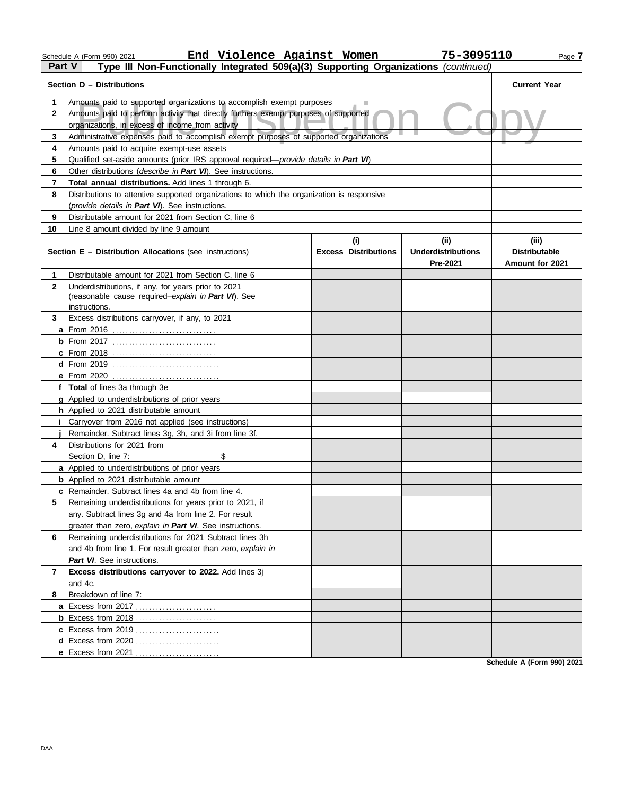|  | ichedule A (Form 990) 2021 |  |  |
|--|----------------------------|--|--|
|  |                            |  |  |

#### Schedule A (Form 990) 2021 **End Violence Against Women 75–3095110** Page **7 End Violence Against Women 75-3095110**

# **Part V Type III Non-Functionally Integrated 509(a)(3) Supporting Organizations** *(continued)*

|              | Section D - Distributions                                                                                                                                     |                             |                           | <b>Current Year</b>  |  |  |  |  |  |
|--------------|---------------------------------------------------------------------------------------------------------------------------------------------------------------|-----------------------------|---------------------------|----------------------|--|--|--|--|--|
| 1.           |                                                                                                                                                               |                             |                           |                      |  |  |  |  |  |
| $\mathbf{2}$ | Amounts paid to supported organizations to accomplish exempt purposes<br>Amounts paid to perform activity that directly furthers exempt purposes of supported |                             |                           |                      |  |  |  |  |  |
|              | organizations, in excess of income from activity                                                                                                              |                             |                           |                      |  |  |  |  |  |
| 3            | Administrative expenses paid to accomplish exempt purposes of supported organizations                                                                         |                             |                           |                      |  |  |  |  |  |
| 4            | Amounts paid to acquire exempt-use assets                                                                                                                     |                             |                           |                      |  |  |  |  |  |
| 5            | Qualified set-aside amounts (prior IRS approval required—provide details in Part VI)                                                                          |                             |                           |                      |  |  |  |  |  |
| 6            | Other distributions (describe in Part VI). See instructions.                                                                                                  |                             |                           |                      |  |  |  |  |  |
| 7            | Total annual distributions. Add lines 1 through 6.                                                                                                            |                             |                           |                      |  |  |  |  |  |
| 8            | Distributions to attentive supported organizations to which the organization is responsive                                                                    |                             |                           |                      |  |  |  |  |  |
|              | (provide details in Part VI). See instructions.                                                                                                               |                             |                           |                      |  |  |  |  |  |
| 9            | Distributable amount for 2021 from Section C. line 6                                                                                                          |                             |                           |                      |  |  |  |  |  |
| 10           | Line 8 amount divided by line 9 amount                                                                                                                        |                             |                           |                      |  |  |  |  |  |
|              |                                                                                                                                                               | (i)                         | (ii)                      | (iii)                |  |  |  |  |  |
|              | <b>Section E - Distribution Allocations (see instructions)</b>                                                                                                | <b>Excess Distributions</b> | <b>Underdistributions</b> | <b>Distributable</b> |  |  |  |  |  |
|              |                                                                                                                                                               |                             | Pre-2021                  | Amount for 2021      |  |  |  |  |  |
| 1            | Distributable amount for 2021 from Section C, line 6                                                                                                          |                             |                           |                      |  |  |  |  |  |
| $\mathbf{2}$ | Underdistributions, if any, for years prior to 2021                                                                                                           |                             |                           |                      |  |  |  |  |  |
|              | (reasonable cause required-explain in Part VI). See<br>instructions.                                                                                          |                             |                           |                      |  |  |  |  |  |
| 3            | Excess distributions carryover, if any, to 2021                                                                                                               |                             |                           |                      |  |  |  |  |  |
|              |                                                                                                                                                               |                             |                           |                      |  |  |  |  |  |
|              |                                                                                                                                                               |                             |                           |                      |  |  |  |  |  |
|              | <b>c</b> From 2018                                                                                                                                            |                             |                           |                      |  |  |  |  |  |
|              |                                                                                                                                                               |                             |                           |                      |  |  |  |  |  |
|              |                                                                                                                                                               |                             |                           |                      |  |  |  |  |  |
|              | f Total of lines 3a through 3e                                                                                                                                |                             |                           |                      |  |  |  |  |  |
|              | g Applied to underdistributions of prior years                                                                                                                |                             |                           |                      |  |  |  |  |  |
|              | h Applied to 2021 distributable amount                                                                                                                        |                             |                           |                      |  |  |  |  |  |
|              | Carryover from 2016 not applied (see instructions)                                                                                                            |                             |                           |                      |  |  |  |  |  |
|              | Remainder. Subtract lines 3g, 3h, and 3i from line 3f.                                                                                                        |                             |                           |                      |  |  |  |  |  |
| 4            | Distributions for 2021 from                                                                                                                                   |                             |                           |                      |  |  |  |  |  |
|              | \$<br>Section D, line 7:                                                                                                                                      |                             |                           |                      |  |  |  |  |  |
|              | a Applied to underdistributions of prior years                                                                                                                |                             |                           |                      |  |  |  |  |  |
|              | <b>b</b> Applied to 2021 distributable amount                                                                                                                 |                             |                           |                      |  |  |  |  |  |
|              | c Remainder. Subtract lines 4a and 4b from line 4.                                                                                                            |                             |                           |                      |  |  |  |  |  |
| 5.           | Remaining underdistributions for years prior to 2021, if                                                                                                      |                             |                           |                      |  |  |  |  |  |
|              | any. Subtract lines 3g and 4a from line 2. For result                                                                                                         |                             |                           |                      |  |  |  |  |  |
|              | greater than zero, explain in Part VI. See instructions.                                                                                                      |                             |                           |                      |  |  |  |  |  |
| 6            | Remaining underdistributions for 2021 Subtract lines 3h                                                                                                       |                             |                           |                      |  |  |  |  |  |
|              | and 4b from line 1. For result greater than zero, explain in                                                                                                  |                             |                           |                      |  |  |  |  |  |
| 7            | Part VI. See instructions.<br>Excess distributions carryover to 2022. Add lines 3j                                                                            |                             |                           |                      |  |  |  |  |  |
|              | and 4c.                                                                                                                                                       |                             |                           |                      |  |  |  |  |  |
| 8            | Breakdown of line 7:                                                                                                                                          |                             |                           |                      |  |  |  |  |  |
|              | <b>a</b> Excess from 2017                                                                                                                                     |                             |                           |                      |  |  |  |  |  |
|              | <b>b</b> Excess from 2018                                                                                                                                     |                             |                           |                      |  |  |  |  |  |
|              | c Excess from 2019                                                                                                                                            |                             |                           |                      |  |  |  |  |  |
|              | d Excess from 2020                                                                                                                                            |                             |                           |                      |  |  |  |  |  |
|              | e Excess from $2021$<br>.                                                                                                                                     |                             |                           |                      |  |  |  |  |  |

**Schedule A (Form 990) 2021**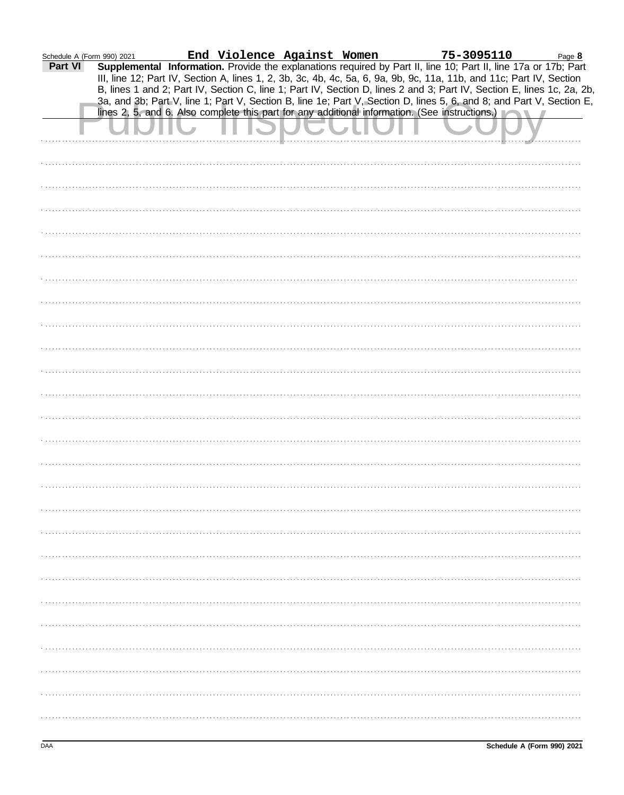| Schedule A (Form 990) 2021 |                                                                                                                                                                                                                                      |  |  |  |  |
|----------------------------|--------------------------------------------------------------------------------------------------------------------------------------------------------------------------------------------------------------------------------------|--|--|--|--|
| Part VI                    | End Violence Against Women 75-3095110 Page 8<br>Supplemental Information. Provide the explanations required by Part II, line 10; Part II, line 17a or 17b; Part<br>III, line 12; Part IV, Section A, lines 1, 2, 3b, 3c, 4b, 4c, 5a, |  |  |  |  |
|                            | 3a, and 3b; Part V, line 1; Part V, Section B, line 1e; Part V, Section D, lines 5, 6, and 8; and Part V, Section E,<br>lines 2, 5, and 6. Also complete this part for any additional information. (See instructions.)               |  |  |  |  |
|                            |                                                                                                                                                                                                                                      |  |  |  |  |
|                            |                                                                                                                                                                                                                                      |  |  |  |  |
|                            |                                                                                                                                                                                                                                      |  |  |  |  |
|                            |                                                                                                                                                                                                                                      |  |  |  |  |
|                            |                                                                                                                                                                                                                                      |  |  |  |  |
|                            |                                                                                                                                                                                                                                      |  |  |  |  |
|                            |                                                                                                                                                                                                                                      |  |  |  |  |
|                            |                                                                                                                                                                                                                                      |  |  |  |  |
|                            |                                                                                                                                                                                                                                      |  |  |  |  |
|                            |                                                                                                                                                                                                                                      |  |  |  |  |
|                            |                                                                                                                                                                                                                                      |  |  |  |  |
|                            |                                                                                                                                                                                                                                      |  |  |  |  |
|                            |                                                                                                                                                                                                                                      |  |  |  |  |
|                            |                                                                                                                                                                                                                                      |  |  |  |  |
|                            |                                                                                                                                                                                                                                      |  |  |  |  |
|                            |                                                                                                                                                                                                                                      |  |  |  |  |
|                            |                                                                                                                                                                                                                                      |  |  |  |  |
|                            |                                                                                                                                                                                                                                      |  |  |  |  |
|                            |                                                                                                                                                                                                                                      |  |  |  |  |
|                            |                                                                                                                                                                                                                                      |  |  |  |  |
|                            |                                                                                                                                                                                                                                      |  |  |  |  |
|                            |                                                                                                                                                                                                                                      |  |  |  |  |
|                            |                                                                                                                                                                                                                                      |  |  |  |  |
|                            |                                                                                                                                                                                                                                      |  |  |  |  |
|                            |                                                                                                                                                                                                                                      |  |  |  |  |
|                            |                                                                                                                                                                                                                                      |  |  |  |  |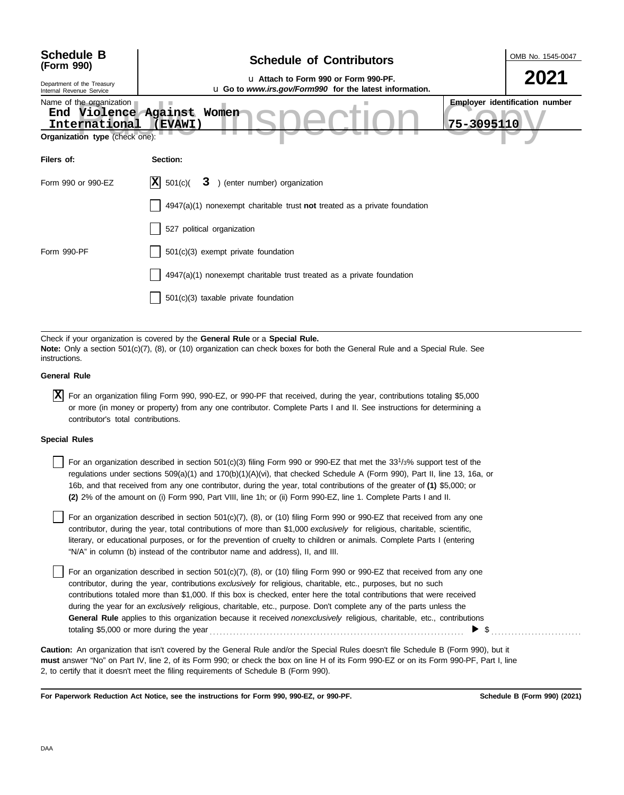| <b>Schedule B</b><br>(Form 990)<br>Department of the Treasury                | <b>Schedule of Contributors</b><br>u Attach to Form 990 or Form 990-PF.                                    | OMB No. 1545-0047<br>2021             |
|------------------------------------------------------------------------------|------------------------------------------------------------------------------------------------------------|---------------------------------------|
| Internal Revenue Service<br>Name of the organization<br>End<br>International | u Go to www.irs.gov/Form990 for the latest information.<br>Violence Against Women<br>75-3095110<br>(EVAWI) | <b>Employer identification number</b> |
| Organization type (check one):                                               |                                                                                                            |                                       |
| Filers of:                                                                   | Section:                                                                                                   |                                       |
| Form 990 or 990-EZ                                                           | $ \mathbf{X} $ 501(c)(<br>3 ) (enter number) organization                                                  |                                       |
|                                                                              | $4947(a)(1)$ nonexempt charitable trust not treated as a private foundation                                |                                       |
|                                                                              | 527 political organization                                                                                 |                                       |
| Form 990-PF                                                                  | 501(c)(3) exempt private foundation                                                                        |                                       |
|                                                                              | 4947(a)(1) nonexempt charitable trust treated as a private foundation                                      |                                       |
|                                                                              | 501(c)(3) taxable private foundation                                                                       |                                       |
|                                                                              |                                                                                                            |                                       |

Check if your organization is covered by the **General Rule** or a **Special Rule. Note:** Only a section 501(c)(7), (8), or (10) organization can check boxes for both the General Rule and a Special Rule. See instructions.

#### **General Rule**

For an organization filing Form 990, 990-EZ, or 990-PF that received, during the year, contributions totaling \$5,000 **X**or more (in money or property) from any one contributor. Complete Parts I and II. See instructions for determining a contributor's total contributions.

#### **Special Rules**

For an organization described in section 501(c)(3) filing Form 990 or 990-EZ that met the  $33^{1/3\%}$  support test of the regulations under sections 509(a)(1) and 170(b)(1)(A)(vi), that checked Schedule A (Form 990), Part II, line 13, 16a, or 16b, and that received from any one contributor, during the year, total contributions of the greater of **(1)** \$5,000; or **(2)** 2% of the amount on (i) Form 990, Part VIII, line 1h; or (ii) Form 990-EZ, line 1. Complete Parts I and II.

literary, or educational purposes, or for the prevention of cruelty to children or animals. Complete Parts I (entering For an organization described in section 501(c)(7), (8), or (10) filing Form 990 or 990-EZ that received from any one contributor, during the year, total contributions of more than \$1,000 *exclusively* for religious, charitable, scientific, "N/A" in column (b) instead of the contributor name and address), II, and III.

For an organization described in section  $501(c)(7)$ ,  $(8)$ , or  $(10)$  filing Form 990 or 990-EZ that received from any one contributor, during the year, contributions *exclusively* for religious, charitable, etc., purposes, but no such contributions totaled more than \$1,000. If this box is checked, enter here the total contributions that were received during the year for an *exclusively* religious, charitable, etc., purpose. Don't complete any of the parts unless the **General Rule** applies to this organization because it received *nonexclusively* religious, charitable, etc., contributions totaling \$5,000 or more during the year . . . . . . . . . . . . . . . . . . . . . . . . . . . . . . . . . . . . . . . . . . . . . . . . . . . . . . . . . . . . . . . . . . . . . . . . . . . .  $\triangleright$  \$

**must** answer "No" on Part IV, line 2, of its Form 990; or check the box on line H of its Form 990-EZ or on its Form 990-PF, Part I, line 2, to certify that it doesn't meet the filing requirements of Schedule B (Form 990). **Caution:** An organization that isn't covered by the General Rule and/or the Special Rules doesn't file Schedule B (Form 990), but it

**For Paperwork Reduction Act Notice, see the instructions for Form 990, 990-EZ, or 990-PF.**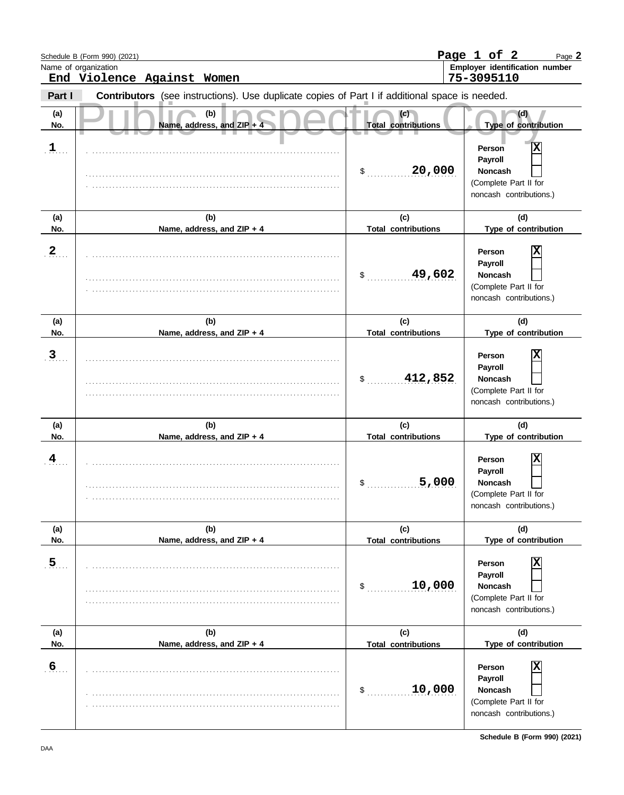|                       | Schedule B (Form 990) (2021)                                                                   |                                            | Page 1 of 2<br>Page 2                                                                                                |
|-----------------------|------------------------------------------------------------------------------------------------|--------------------------------------------|----------------------------------------------------------------------------------------------------------------------|
|                       | Name of organization<br>End Violence Against Women                                             |                                            | Employer identification number<br>75-3095110                                                                         |
| Part I                | Contributors (see instructions). Use duplicate copies of Part I if additional space is needed. |                                            |                                                                                                                      |
| (a)<br>No.            | (b)<br>Name, address, and ZIP +                                                                | (c)<br><b>Total contributions</b>          | (d)<br>Type of contribution                                                                                          |
| $1$ .                 |                                                                                                | 20,000<br>\$                               | $\overline{\mathbf{X}}$<br>Person<br>Payroll<br>Noncash<br>(Complete Part II for<br>noncash contributions.)          |
| (a)                   | (b)                                                                                            | (c)<br><b>Total contributions</b>          | (d)                                                                                                                  |
| No.<br>$2_{1}$        | Name, address, and ZIP + 4                                                                     | 49,602<br>\$                               | Type of contribution<br>Person<br>Payroll<br>Noncash<br>(Complete Part II for<br>noncash contributions.)             |
| (a)                   | (b)                                                                                            | (c)<br><b>Total contributions</b>          | (d)                                                                                                                  |
| No.                   | Name, address, and ZIP + 4                                                                     |                                            | Type of contribution                                                                                                 |
| 3 <sub>1</sub>        |                                                                                                | 412,852<br>\$                              | Χ<br>Person<br>Payroll<br>Noncash<br>(Complete Part II for<br>noncash contributions.)                                |
| (a)                   | (b)                                                                                            | (c)                                        | (d)                                                                                                                  |
| No.<br>4              | Name, address, and ZIP + 4                                                                     | <b>Total contributions</b><br>5,000<br>Ф   | Type of contribution<br>Х<br>Person<br>Payroll<br><b>Noncash</b><br>(Complete Part II for<br>noncash contributions.) |
| (a)                   | (b)                                                                                            | (c)                                        | (d)                                                                                                                  |
| No.<br>$\overline{5}$ | Name, address, and ZIP + 4                                                                     | <b>Total contributions</b><br>10,000<br>\$ | Type of contribution<br>Х<br>Person<br>Payroll<br><b>Noncash</b><br>(Complete Part II for<br>noncash contributions.) |
| (a)<br>No.            | (b)<br>Name, address, and ZIP + 4                                                              | (c)<br><b>Total contributions</b>          | (d)<br>Type of contribution                                                                                          |
| $6 \overline{6}$      |                                                                                                | 10,000<br>\$                               | Χ<br>Person<br>Payroll<br><b>Noncash</b><br>(Complete Part II for<br>noncash contributions.)                         |

**Schedule B (Form 990) (2021)**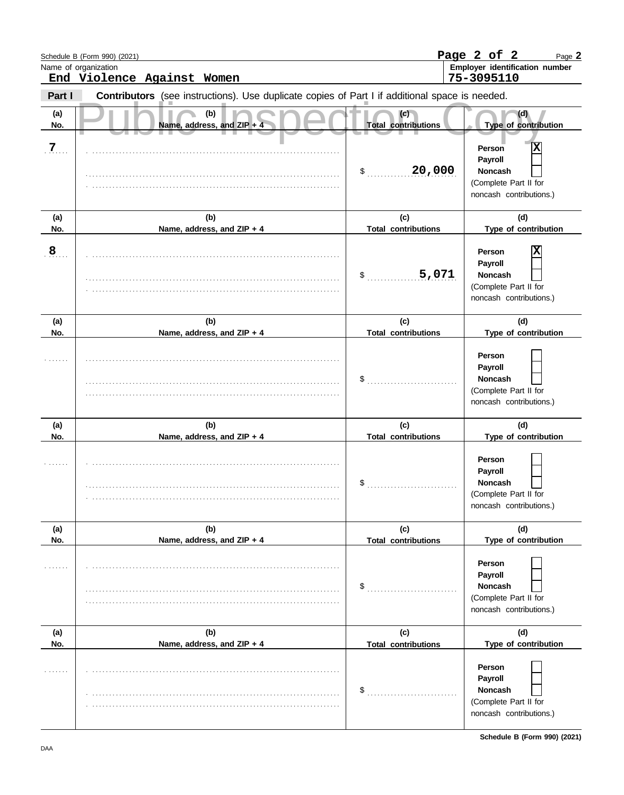|                | Schedule B (Form 990) (2021)<br>Name of organization                                           |                                   | Page 2 of 2<br>Page 2<br>Employer identification number                                                         |  |
|----------------|------------------------------------------------------------------------------------------------|-----------------------------------|-----------------------------------------------------------------------------------------------------------------|--|
|                | End Violence Against Women                                                                     |                                   | 75-3095110                                                                                                      |  |
| Part I         | Contributors (see instructions). Use duplicate copies of Part I if additional space is needed. |                                   |                                                                                                                 |  |
| (a)<br>No.     | (b)<br>Name, address, and ZIP +                                                                | (c)<br><b>Total contributions</b> | (d)<br>Type of contribution                                                                                     |  |
| .7.            |                                                                                                | 20,000<br>\$                      | X<br>Person<br>Payroll<br>Noncash<br>(Complete Part II for<br>noncash contributions.)                           |  |
| (a)<br>No.     | (b)<br>Name, address, and ZIP + 4                                                              | (c)<br><b>Total contributions</b> | (d)<br>Type of contribution                                                                                     |  |
| 8 <sub>1</sub> |                                                                                                | 5,071<br>\$                       | Person<br>Payroll<br>Noncash<br>(Complete Part II for<br>noncash contributions.)                                |  |
| (a)            | (b)                                                                                            | (c)                               | (d)                                                                                                             |  |
| No.            | Name, address, and ZIP + 4                                                                     | <b>Total contributions</b>        | Type of contribution                                                                                            |  |
|                |                                                                                                | \$                                | Person<br>Payroll<br>Noncash<br>(Complete Part II for<br>noncash contributions.)                                |  |
| (a)            | (b)                                                                                            | (c)                               | (d)                                                                                                             |  |
| No.            | Name, address, and ZIP + 4                                                                     | <b>Total contributions</b><br>\$  | Type of contribution<br>Person<br>Payroll<br><b>Noncash</b><br>(Complete Part II for<br>noncash contributions.) |  |
| (a)            | (b)                                                                                            | (c)                               | (d)                                                                                                             |  |
| No.            | Name, address, and ZIP + 4                                                                     | <b>Total contributions</b><br>\$  | Type of contribution<br>Person<br>Payroll<br><b>Noncash</b><br>(Complete Part II for<br>noncash contributions.) |  |
| (a)<br>No.     | (b)<br>Name, address, and ZIP + 4                                                              | (c)<br><b>Total contributions</b> | (d)<br>Type of contribution                                                                                     |  |
|                |                                                                                                | \$                                | Person<br>Payroll<br><b>Noncash</b><br>(Complete Part II for<br>noncash contributions.)                         |  |

**Schedule B (Form 990) (2021)**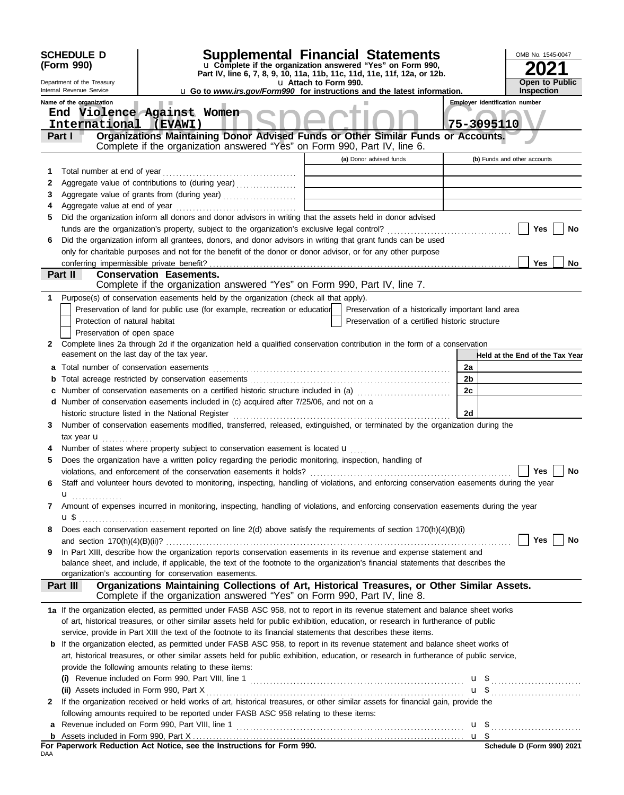|              | <b>SCHEDULE D</b><br>(Form 990)<br>Department of the Treasury<br>Internal Revenue Service | Supplemental Financial Statements<br>u Complete if the organization answered "Yes" on Form 990,<br>Part IV, line 6, 7, 8, 9, 10, 11a, 11b, 11c, 11d, 11e, 11f, 12a, or 12b.<br><b>u</b> Go to <i>www.irs.gov/Form990</i> for instructions and the latest information. | u Attach to Form 990. |                                                    |    | OMB No. 1545-0047<br><b>Open to Public</b><br><b>Inspection</b> |
|--------------|-------------------------------------------------------------------------------------------|-----------------------------------------------------------------------------------------------------------------------------------------------------------------------------------------------------------------------------------------------------------------------|-----------------------|----------------------------------------------------|----|-----------------------------------------------------------------|
|              | Name of the organization<br>International<br>Part I                                       | End Violence Against Women<br>(EVAWI)<br>Organizations Maintaining Donor Advised Funds or Other Similar Funds or Accounts.                                                                                                                                            |                       |                                                    |    | <b>Employer identification number</b><br>75-3095110             |
|              |                                                                                           | Complete if the organization answered "Yes" on Form 990, Part IV, line 6.                                                                                                                                                                                             |                       | (a) Donor advised funds                            |    | (b) Funds and other accounts                                    |
| 1            | Total number at end of year                                                               |                                                                                                                                                                                                                                                                       |                       |                                                    |    |                                                                 |
| 2            |                                                                                           | Aggregate value of contributions to (during year)                                                                                                                                                                                                                     |                       |                                                    |    |                                                                 |
| 3            |                                                                                           |                                                                                                                                                                                                                                                                       |                       |                                                    |    |                                                                 |
| 4            |                                                                                           |                                                                                                                                                                                                                                                                       |                       |                                                    |    |                                                                 |
| 5            |                                                                                           | Did the organization inform all donors and donor advisors in writing that the assets held in donor advised                                                                                                                                                            |                       |                                                    |    |                                                                 |
|              |                                                                                           |                                                                                                                                                                                                                                                                       |                       |                                                    |    | Yes<br>No                                                       |
| 6            |                                                                                           | Did the organization inform all grantees, donors, and donor advisors in writing that grant funds can be used                                                                                                                                                          |                       |                                                    |    |                                                                 |
|              |                                                                                           | only for charitable purposes and not for the benefit of the donor or donor advisor, or for any other purpose                                                                                                                                                          |                       |                                                    |    |                                                                 |
|              | Part II                                                                                   | <b>Conservation Easements.</b>                                                                                                                                                                                                                                        |                       |                                                    |    | Yes<br>No                                                       |
|              |                                                                                           | Complete if the organization answered "Yes" on Form 990, Part IV, line 7.                                                                                                                                                                                             |                       |                                                    |    |                                                                 |
|              |                                                                                           | 1 Purpose(s) of conservation easements held by the organization (check all that apply).                                                                                                                                                                               |                       |                                                    |    |                                                                 |
|              |                                                                                           | Preservation of land for public use (for example, recreation or education                                                                                                                                                                                             |                       | Preservation of a historically important land area |    |                                                                 |
|              | Protection of natural habitat                                                             |                                                                                                                                                                                                                                                                       |                       | Preservation of a certified historic structure     |    |                                                                 |
|              | Preservation of open space                                                                |                                                                                                                                                                                                                                                                       |                       |                                                    |    |                                                                 |
| 2            | easement on the last day of the tax year.                                                 | Complete lines 2a through 2d if the organization held a qualified conservation contribution in the form of a conservation                                                                                                                                             |                       |                                                    |    | Held at the End of the Tax Year                                 |
| a            |                                                                                           |                                                                                                                                                                                                                                                                       |                       |                                                    | 2a |                                                                 |
| b            |                                                                                           |                                                                                                                                                                                                                                                                       |                       |                                                    | 2b |                                                                 |
|              |                                                                                           | Number of conservation easements on a certified historic structure included in (a)                                                                                                                                                                                    |                       |                                                    | 2c |                                                                 |
|              |                                                                                           | d Number of conservation easements included in (c) acquired after 7/25/06, and not on a                                                                                                                                                                               |                       |                                                    |    |                                                                 |
|              |                                                                                           |                                                                                                                                                                                                                                                                       |                       |                                                    | 2d |                                                                 |
| 3            |                                                                                           | Number of conservation easements modified, transferred, released, extinguished, or terminated by the organization during the                                                                                                                                          |                       |                                                    |    |                                                                 |
|              | tax year $\mathbf{u}$                                                                     |                                                                                                                                                                                                                                                                       |                       |                                                    |    |                                                                 |
|              |                                                                                           | Number of states where property subject to conservation easement is located u<br>Does the organization have a written policy regarding the periodic monitoring, inspection, handling of                                                                               |                       |                                                    |    |                                                                 |
| 5            |                                                                                           | violations, and enforcement of the conservation easements it holds?                                                                                                                                                                                                   |                       |                                                    |    | Yes $\Box$<br>No                                                |
| 6            |                                                                                           | Staff and volunteer hours devoted to monitoring, inspecting, handling of violations, and enforcing conservation easements during the year                                                                                                                             |                       |                                                    |    |                                                                 |
|              | $\mathbf{u}$                                                                              |                                                                                                                                                                                                                                                                       |                       |                                                    |    |                                                                 |
| 7            |                                                                                           | Amount of expenses incurred in monitoring, inspecting, handling of violations, and enforcing conservation easements during the year                                                                                                                                   |                       |                                                    |    |                                                                 |
| 8            | $\mathbf{u}$ \$                                                                           | Does each conservation easement reported on line 2(d) above satisfy the requirements of section 170(h)(4)(B)(i)                                                                                                                                                       |                       |                                                    |    |                                                                 |
|              |                                                                                           |                                                                                                                                                                                                                                                                       |                       |                                                    |    | Yes  <br>No                                                     |
| 9            |                                                                                           | In Part XIII, describe how the organization reports conservation easements in its revenue and expense statement and                                                                                                                                                   |                       |                                                    |    |                                                                 |
|              |                                                                                           | balance sheet, and include, if applicable, the text of the footnote to the organization's financial statements that describes the                                                                                                                                     |                       |                                                    |    |                                                                 |
|              |                                                                                           | organization's accounting for conservation easements.                                                                                                                                                                                                                 |                       |                                                    |    |                                                                 |
|              | Part III                                                                                  | Organizations Maintaining Collections of Art, Historical Treasures, or Other Similar Assets.<br>Complete if the organization answered "Yes" on Form 990, Part IV, line 8.                                                                                             |                       |                                                    |    |                                                                 |
|              |                                                                                           | 1a If the organization elected, as permitted under FASB ASC 958, not to report in its revenue statement and balance sheet works                                                                                                                                       |                       |                                                    |    |                                                                 |
|              |                                                                                           | of art, historical treasures, or other similar assets held for public exhibition, education, or research in furtherance of public                                                                                                                                     |                       |                                                    |    |                                                                 |
|              |                                                                                           | service, provide in Part XIII the text of the footnote to its financial statements that describes these items.                                                                                                                                                        |                       |                                                    |    |                                                                 |
|              |                                                                                           | <b>b</b> If the organization elected, as permitted under FASB ASC 958, to report in its revenue statement and balance sheet works of                                                                                                                                  |                       |                                                    |    |                                                                 |
|              |                                                                                           | art, historical treasures, or other similar assets held for public exhibition, education, or research in furtherance of public service,                                                                                                                               |                       |                                                    |    |                                                                 |
|              |                                                                                           | provide the following amounts relating to these items:                                                                                                                                                                                                                |                       |                                                    |    |                                                                 |
|              |                                                                                           |                                                                                                                                                                                                                                                                       |                       |                                                    |    | $\mathbf{u}$ \$                                                 |
|              |                                                                                           | If the organization received or held works of art, historical treasures, or other similar assets for financial gain, provide the                                                                                                                                      |                       |                                                    |    | $\mathbf{u}$ \$                                                 |
| $\mathbf{2}$ |                                                                                           |                                                                                                                                                                                                                                                                       |                       |                                                    |    |                                                                 |
|              |                                                                                           | following amounts required to be reported under FASB ASC 958 relating to these items:                                                                                                                                                                                 |                       |                                                    |    |                                                                 |
| b            |                                                                                           |                                                                                                                                                                                                                                                                       |                       |                                                    |    |                                                                 |
|              |                                                                                           | For Paperwork Reduction Act Notice, see the Instructions for Form 990.                                                                                                                                                                                                |                       |                                                    |    | Schedule D (Form 990) 2021                                      |
| DAA          |                                                                                           |                                                                                                                                                                                                                                                                       |                       |                                                    |    |                                                                 |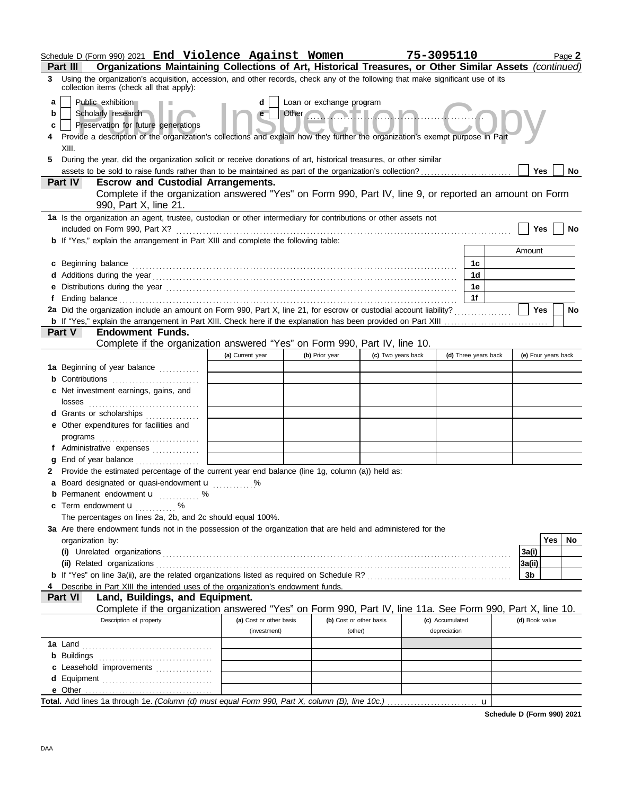| Schedule D (Form 990) 2021 End Violence Against Women                                                                                                                                                                          |                                                                                                                                                                                                                                                     |                          |                    | 75-3095110      |                      |                     |            | Page 2    |  |
|--------------------------------------------------------------------------------------------------------------------------------------------------------------------------------------------------------------------------------|-----------------------------------------------------------------------------------------------------------------------------------------------------------------------------------------------------------------------------------------------------|--------------------------|--------------------|-----------------|----------------------|---------------------|------------|-----------|--|
| Organizations Maintaining Collections of Art, Historical Treasures, or Other Similar Assets (continued)<br><b>Part III</b>                                                                                                     |                                                                                                                                                                                                                                                     |                          |                    |                 |                      |                     |            |           |  |
| Using the organization's acquisition, accession, and other records, check any of the following that make significant use of its<br>3<br>collection items (check all that apply):                                               |                                                                                                                                                                                                                                                     |                          |                    |                 |                      |                     |            |           |  |
| Public exhibition<br>a                                                                                                                                                                                                         | d                                                                                                                                                                                                                                                   | Loan or exchange program |                    |                 |                      |                     |            |           |  |
| Scholarly research<br>b                                                                                                                                                                                                        | e                                                                                                                                                                                                                                                   | Other                    | Mall.co            |                 |                      |                     |            |           |  |
| Preservation for future generations<br>c<br>Provide a description of the organization's collections and explain how they further the organization's exempt purpose in Part                                                     |                                                                                                                                                                                                                                                     |                          |                    |                 |                      |                     |            |           |  |
|                                                                                                                                                                                                                                |                                                                                                                                                                                                                                                     |                          |                    |                 |                      |                     |            |           |  |
| 5                                                                                                                                                                                                                              | XIII.<br>During the year, did the organization solicit or receive donations of art, historical treasures, or other similar<br>assets to be sold to raise funds rather than to be maintained as part of the organization's collection?<br><b>Yes</b> |                          |                    |                 |                      |                     |            |           |  |
| <b>Escrow and Custodial Arrangements.</b><br><b>Part IV</b>                                                                                                                                                                    |                                                                                                                                                                                                                                                     |                          |                    |                 |                      |                     |            | <b>No</b> |  |
| Complete if the organization answered "Yes" on Form 990, Part IV, line 9, or reported an amount on Form                                                                                                                        |                                                                                                                                                                                                                                                     |                          |                    |                 |                      |                     |            |           |  |
| 990, Part X, line 21.                                                                                                                                                                                                          |                                                                                                                                                                                                                                                     |                          |                    |                 |                      |                     |            |           |  |
| 1a Is the organization an agent, trustee, custodian or other intermediary for contributions or other assets not                                                                                                                |                                                                                                                                                                                                                                                     |                          |                    |                 |                      |                     |            |           |  |
| included on Form 990, Part X?                                                                                                                                                                                                  |                                                                                                                                                                                                                                                     |                          |                    |                 |                      | <b>Yes</b>          |            | No        |  |
| <b>b</b> If "Yes," explain the arrangement in Part XIII and complete the following table:                                                                                                                                      |                                                                                                                                                                                                                                                     |                          |                    |                 |                      | Amount              |            |           |  |
| Beginning balance                                                                                                                                                                                                              |                                                                                                                                                                                                                                                     |                          |                    |                 | 1с                   |                     |            |           |  |
| c                                                                                                                                                                                                                              |                                                                                                                                                                                                                                                     |                          |                    |                 | 1 <sub>d</sub>       |                     |            |           |  |
| Distributions during the year manufactured contains and the year manufactured with the year manufactured with the set of the set of the set of the set of the set of the set of the set of the set of the set of the set of th |                                                                                                                                                                                                                                                     |                          |                    |                 | 1e                   |                     |            |           |  |
|                                                                                                                                                                                                                                |                                                                                                                                                                                                                                                     |                          |                    |                 | 1f                   |                     |            |           |  |
| 2a Did the organization include an amount on Form 990, Part X, line 21, for escrow or custodial account liability?                                                                                                             |                                                                                                                                                                                                                                                     |                          |                    |                 |                      | Yes                 |            | <b>No</b> |  |
|                                                                                                                                                                                                                                |                                                                                                                                                                                                                                                     |                          |                    |                 |                      |                     |            |           |  |
| Part V<br><b>Endowment Funds.</b>                                                                                                                                                                                              |                                                                                                                                                                                                                                                     |                          |                    |                 |                      |                     |            |           |  |
| Complete if the organization answered "Yes" on Form 990, Part IV, line 10.                                                                                                                                                     | (a) Current year                                                                                                                                                                                                                                    | (b) Prior year           | (c) Two years back |                 | (d) Three years back | (e) Four years back |            |           |  |
| 1a Beginning of year balance                                                                                                                                                                                                   |                                                                                                                                                                                                                                                     |                          |                    |                 |                      |                     |            |           |  |
| <b>b</b> Contributions <b>contributions</b>                                                                                                                                                                                    |                                                                                                                                                                                                                                                     |                          |                    |                 |                      |                     |            |           |  |
| c Net investment earnings, gains, and                                                                                                                                                                                          |                                                                                                                                                                                                                                                     |                          |                    |                 |                      |                     |            |           |  |
| losses                                                                                                                                                                                                                         |                                                                                                                                                                                                                                                     |                          |                    |                 |                      |                     |            |           |  |
| Grants or scholarships                                                                                                                                                                                                         |                                                                                                                                                                                                                                                     |                          |                    |                 |                      |                     |            |           |  |
| e Other expenditures for facilities and                                                                                                                                                                                        |                                                                                                                                                                                                                                                     |                          |                    |                 |                      |                     |            |           |  |
|                                                                                                                                                                                                                                |                                                                                                                                                                                                                                                     |                          |                    |                 |                      |                     |            |           |  |
| f Administrative expenses                                                                                                                                                                                                      |                                                                                                                                                                                                                                                     |                          |                    |                 |                      |                     |            |           |  |
|                                                                                                                                                                                                                                |                                                                                                                                                                                                                                                     |                          |                    |                 |                      |                     |            |           |  |
| Provide the estimated percentage of the current year end balance (line 1g, column (a)) held as:<br>2<br>a Board designated or quasi-endowment u %                                                                              |                                                                                                                                                                                                                                                     |                          |                    |                 |                      |                     |            |           |  |
| Permanent endowment <b>u</b> %                                                                                                                                                                                                 |                                                                                                                                                                                                                                                     |                          |                    |                 |                      |                     |            |           |  |
| Term endowment <b>u</b><br>c<br>. <sup>.</sup>                                                                                                                                                                                 |                                                                                                                                                                                                                                                     |                          |                    |                 |                      |                     |            |           |  |
| The percentages on lines 2a, 2b, and 2c should equal 100%.                                                                                                                                                                     |                                                                                                                                                                                                                                                     |                          |                    |                 |                      |                     |            |           |  |
| 3a Are there endowment funds not in the possession of the organization that are held and administered for the                                                                                                                  |                                                                                                                                                                                                                                                     |                          |                    |                 |                      |                     |            |           |  |
| organization by:                                                                                                                                                                                                               |                                                                                                                                                                                                                                                     |                          |                    |                 |                      |                     | <b>Yes</b> | No        |  |
| (i) Unrelated organizations                                                                                                                                                                                                    |                                                                                                                                                                                                                                                     |                          |                    |                 |                      | 3a(i)               |            |           |  |
| (ii) Related organizations                                                                                                                                                                                                     |                                                                                                                                                                                                                                                     |                          |                    |                 |                      | 3a(ii)              |            |           |  |
| Describe in Part XIII the intended uses of the organization's endowment funds.                                                                                                                                                 |                                                                                                                                                                                                                                                     |                          |                    |                 |                      | 3b                  |            |           |  |
| Land, Buildings, and Equipment.<br><b>Part VI</b>                                                                                                                                                                              |                                                                                                                                                                                                                                                     |                          |                    |                 |                      |                     |            |           |  |
| Complete if the organization answered "Yes" on Form 990, Part IV, line 11a. See Form 990, Part X, line 10.                                                                                                                     |                                                                                                                                                                                                                                                     |                          |                    |                 |                      |                     |            |           |  |
| Description of property                                                                                                                                                                                                        | (a) Cost or other basis                                                                                                                                                                                                                             | (b) Cost or other basis  |                    | (c) Accumulated |                      | (d) Book value      |            |           |  |
|                                                                                                                                                                                                                                | (investment)                                                                                                                                                                                                                                        | (other)                  |                    | depreciation    |                      |                     |            |           |  |
|                                                                                                                                                                                                                                |                                                                                                                                                                                                                                                     |                          |                    |                 |                      |                     |            |           |  |
| <b>b</b> Buildings                                                                                                                                                                                                             |                                                                                                                                                                                                                                                     |                          |                    |                 |                      |                     |            |           |  |
| c Leasehold improvements                                                                                                                                                                                                       |                                                                                                                                                                                                                                                     |                          |                    |                 |                      |                     |            |           |  |
| e Other                                                                                                                                                                                                                        |                                                                                                                                                                                                                                                     |                          |                    |                 |                      |                     |            |           |  |
|                                                                                                                                                                                                                                |                                                                                                                                                                                                                                                     |                          |                    |                 | $\mathbf u$          |                     |            |           |  |

**Schedule D (Form 990) 2021**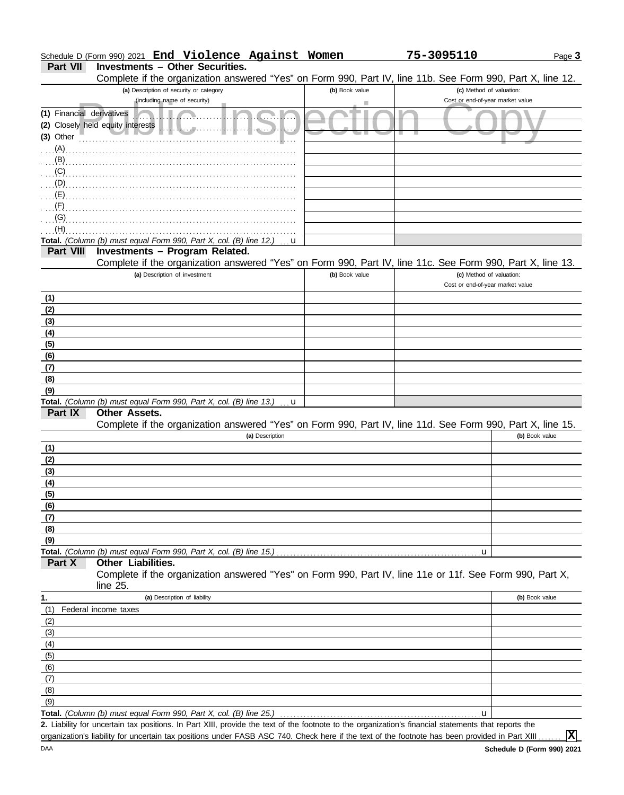| Schedule D (Form 990) 2021 End Violence Against Women |  |  | 75-3095110 |
|-------------------------------------------------------|--|--|------------|
|                                                       |  |  |            |

## **Part VII Investments – Other Securities.**

Complete if the organization answered "Yes" on Form 990, Part IV, line 11b. See Form 990, Part X, line 12.

|                           | Complete if the organization answered Trest on Form 990, Part TV, line TTD. See Form 990, Part A, line TZ.                                           |                |                                                              |                |
|---------------------------|------------------------------------------------------------------------------------------------------------------------------------------------------|----------------|--------------------------------------------------------------|----------------|
|                           | (a) Description of security or category<br>(including name of security)                                                                              | (b) Book value | (c) Method of valuation:<br>Cost or end-of-year market value |                |
| (1) Financial derivatives |                                                                                                                                                      |                |                                                              |                |
|                           | randi An<br>(2) Closely held equity interests                                                                                                        |                |                                                              |                |
| (3) Other                 | 1.1.1.1.                                                                                                                                             |                |                                                              |                |
| (A)                       |                                                                                                                                                      |                |                                                              |                |
| (B)                       |                                                                                                                                                      |                |                                                              |                |
| (C)                       |                                                                                                                                                      |                |                                                              |                |
| (D)                       |                                                                                                                                                      |                |                                                              |                |
| (E)                       |                                                                                                                                                      |                |                                                              |                |
| (F)                       |                                                                                                                                                      |                |                                                              |                |
| (G)                       |                                                                                                                                                      |                |                                                              |                |
| (H)                       |                                                                                                                                                      |                |                                                              |                |
|                           | Total. (Column (b) must equal Form 990, Part X, col. (B) line 12.)<br>u                                                                              |                |                                                              |                |
| <b>Part VIII</b>          | Investments - Program Related.                                                                                                                       |                |                                                              |                |
|                           | Complete if the organization answered "Yes" on Form 990, Part IV, line 11c. See Form 990, Part X, line 13.                                           |                |                                                              |                |
|                           | (a) Description of investment                                                                                                                        | (b) Book value | (c) Method of valuation:                                     |                |
|                           |                                                                                                                                                      |                | Cost or end-of-year market value                             |                |
| (1)                       |                                                                                                                                                      |                |                                                              |                |
| (2)                       |                                                                                                                                                      |                |                                                              |                |
| (3)                       |                                                                                                                                                      |                |                                                              |                |
| (4)                       |                                                                                                                                                      |                |                                                              |                |
| (5)                       |                                                                                                                                                      |                |                                                              |                |
| (6)                       |                                                                                                                                                      |                |                                                              |                |
| (7)                       |                                                                                                                                                      |                |                                                              |                |
| (8)                       |                                                                                                                                                      |                |                                                              |                |
| (9)                       |                                                                                                                                                      |                |                                                              |                |
| Part IX                   | Total. (Column (b) must equal Form 990, Part X, col. (B) line 13.)<br>u<br>Other Assets.                                                             |                |                                                              |                |
|                           | Complete if the organization answered "Yes" on Form 990, Part IV, line 11d. See Form 990, Part X, line 15.                                           |                |                                                              |                |
|                           | (a) Description                                                                                                                                      |                |                                                              | (b) Book value |
| (1)                       |                                                                                                                                                      |                |                                                              |                |
| (2)                       |                                                                                                                                                      |                |                                                              |                |
| (3)                       |                                                                                                                                                      |                |                                                              |                |
| (4)                       |                                                                                                                                                      |                |                                                              |                |
| (5)                       |                                                                                                                                                      |                |                                                              |                |
| (6)                       |                                                                                                                                                      |                |                                                              |                |
| (7)                       |                                                                                                                                                      |                |                                                              |                |
| (8)                       |                                                                                                                                                      |                |                                                              |                |
| (9)                       |                                                                                                                                                      |                |                                                              |                |
|                           | Total. (Column (b) must equal Form 990, Part X, col. (B) line 15.)                                                                                   |                | u                                                            |                |
| Part X                    | <b>Other Liabilities.</b>                                                                                                                            |                |                                                              |                |
|                           | Complete if the organization answered "Yes" on Form 990, Part IV, line 11e or 11f. See Form 990, Part X,                                             |                |                                                              |                |
|                           | line 25.                                                                                                                                             |                |                                                              |                |
| 1.                        | (a) Description of liability                                                                                                                         |                |                                                              | (b) Book value |
| (1)                       | Federal income taxes                                                                                                                                 |                |                                                              |                |
| (2)                       |                                                                                                                                                      |                |                                                              |                |
| (3)<br>(4)                |                                                                                                                                                      |                |                                                              |                |
| (5)                       |                                                                                                                                                      |                |                                                              |                |
| (6)                       |                                                                                                                                                      |                |                                                              |                |
| (7)                       |                                                                                                                                                      |                |                                                              |                |
| (8)                       |                                                                                                                                                      |                |                                                              |                |
| (9)                       |                                                                                                                                                      |                |                                                              |                |
|                           | Total. (Column (b) must equal Form 990, Part X, col. (B) line 25.)                                                                                   |                | $\mathbf u$                                                  |                |
|                           | 2. Liability for uncertain tax positions. In Part XIII, provide the text of the footnote to the organization's financial statements that reports the |                |                                                              |                |

organization's liability for uncertain tax positions under FASB ASC 740. Check here if the text of the footnote has been provided in Part XIII.

**X**

Page **3**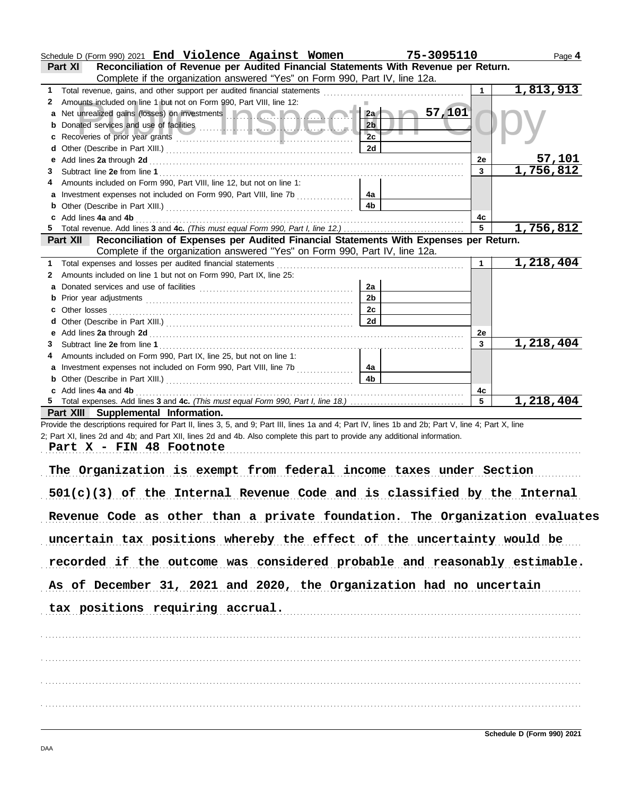|   | Schedule D (Form 990) 2021 End Violence Against Women                                                                                                                                                                                | 75-3095110     |              | Page 4                 |
|---|--------------------------------------------------------------------------------------------------------------------------------------------------------------------------------------------------------------------------------------|----------------|--------------|------------------------|
|   | Reconciliation of Revenue per Audited Financial Statements With Revenue per Return.<br>Part XI                                                                                                                                       |                |              |                        |
|   | Complete if the organization answered "Yes" on Form 990, Part IV, line 12a.                                                                                                                                                          |                |              |                        |
| 1 | Total revenue, gains, and other support per audited financial statements                                                                                                                                                             |                | 1            | 1,813,913              |
| 2 | Amounts included on line 1 but not on Form 990, Part VIII, line 12:                                                                                                                                                                  |                |              |                        |
|   | Net unrealized gains (losses) on investments <b>Alternative and alternative and alternative and alternative and alternative and alternative and alternative and alternative and alternative and alternative and alternative and </b> | 57,101<br>2a   |              |                        |
|   |                                                                                                                                                                                                                                      | 2 <sub>b</sub> |              |                        |
|   | Recoveries of prior year grants entertainment and contain a series of prior year grants                                                                                                                                              | 2c             |              |                        |
| d |                                                                                                                                                                                                                                      | 2d             |              |                        |
|   | Add lines 2a through 2d                                                                                                                                                                                                              |                | 2e           | <u>57,101</u>          |
| 3 |                                                                                                                                                                                                                                      |                | $\mathbf{3}$ | 1,756,812              |
|   | Amounts included on Form 990, Part VIII, line 12, but not on line 1:                                                                                                                                                                 |                |              |                        |
|   |                                                                                                                                                                                                                                      |                |              |                        |
|   | Investment expenses not included on Form 990, Part VIII, line 7b                                                                                                                                                                     | 4a<br>4b       |              |                        |
|   |                                                                                                                                                                                                                                      |                |              |                        |
|   | Add lines 4a and 4b                                                                                                                                                                                                                  |                | 4с<br>5      | $\overline{1,756,812}$ |
|   |                                                                                                                                                                                                                                      |                |              |                        |
|   | Reconciliation of Expenses per Audited Financial Statements With Expenses per Return.<br><b>Part XII</b>                                                                                                                             |                |              |                        |
|   | Complete if the organization answered "Yes" on Form 990, Part IV, line 12a.                                                                                                                                                          |                |              |                        |
| 1 | Total expenses and losses per audited financial statements                                                                                                                                                                           |                |              | $\overline{1,218,404}$ |
| 2 | Amounts included on line 1 but not on Form 990, Part IX, line 25:                                                                                                                                                                    |                |              |                        |
| a |                                                                                                                                                                                                                                      | 2a             |              |                        |
| b |                                                                                                                                                                                                                                      | 2 <sub>b</sub> |              |                        |
| с | Other losses                                                                                                                                                                                                                         | 2c             |              |                        |
|   |                                                                                                                                                                                                                                      | 2d             |              |                        |
| е |                                                                                                                                                                                                                                      |                | 2e           |                        |
| 3 |                                                                                                                                                                                                                                      |                | 3            | 1,218,404              |
|   | Amounts included on Form 990, Part IX, line 25, but not on line 1:                                                                                                                                                                   |                |              |                        |
|   | Investment expenses not included on Form 990, Part VIII, line 7b                                                                                                                                                                     | 4a             |              |                        |
|   |                                                                                                                                                                                                                                      |                |              |                        |
| b |                                                                                                                                                                                                                                      | 4 <sub>b</sub> |              |                        |
|   | c Add lines 4a and 4b                                                                                                                                                                                                                |                | 4с           |                        |
|   |                                                                                                                                                                                                                                      |                | 5            | 1,218,404              |
|   |                                                                                                                                                                                                                                      |                |              |                        |
|   | Part XIII Supplemental Information.                                                                                                                                                                                                  |                |              |                        |
|   | Provide the descriptions required for Part II, lines 3, 5, and 9; Part III, lines 1a and 4; Part IV, lines 1b and 2b; Part V, line 4; Part X, line                                                                                   |                |              |                        |
|   | 2; Part XI, lines 2d and 4b; and Part XII, lines 2d and 4b. Also complete this part to provide any additional information.                                                                                                           |                |              |                        |
|   | Part X - FIN 48 Footnote                                                                                                                                                                                                             |                |              |                        |
|   |                                                                                                                                                                                                                                      |                |              |                        |
|   | The Organization is exempt from federal income taxes under Section                                                                                                                                                                   |                |              |                        |
|   |                                                                                                                                                                                                                                      |                |              |                        |
|   | $501(c)(3)$ of the Internal Revenue Code and is classified by the Internal                                                                                                                                                           |                |              |                        |
|   |                                                                                                                                                                                                                                      |                |              |                        |
|   | Revenue Code as other than a private foundation. The Organization evaluates                                                                                                                                                          |                |              |                        |
|   |                                                                                                                                                                                                                                      |                |              |                        |
|   | uncertain tax positions whereby the effect of the uncertainty would be                                                                                                                                                               |                |              |                        |
|   |                                                                                                                                                                                                                                      |                |              |                        |
|   | recorded if the outcome was considered probable and reasonably estimable.                                                                                                                                                            |                |              |                        |
|   |                                                                                                                                                                                                                                      |                |              |                        |
|   | As of December 31, 2021 and 2020, the Organization had no uncertain                                                                                                                                                                  |                |              |                        |
|   |                                                                                                                                                                                                                                      |                |              |                        |
|   | tax positions requiring accrual.                                                                                                                                                                                                     |                |              |                        |
|   |                                                                                                                                                                                                                                      |                |              |                        |
|   |                                                                                                                                                                                                                                      |                |              |                        |
|   |                                                                                                                                                                                                                                      |                |              |                        |
|   |                                                                                                                                                                                                                                      |                |              |                        |
|   |                                                                                                                                                                                                                                      |                |              |                        |
|   |                                                                                                                                                                                                                                      |                |              |                        |
|   |                                                                                                                                                                                                                                      |                |              |                        |
|   |                                                                                                                                                                                                                                      |                |              |                        |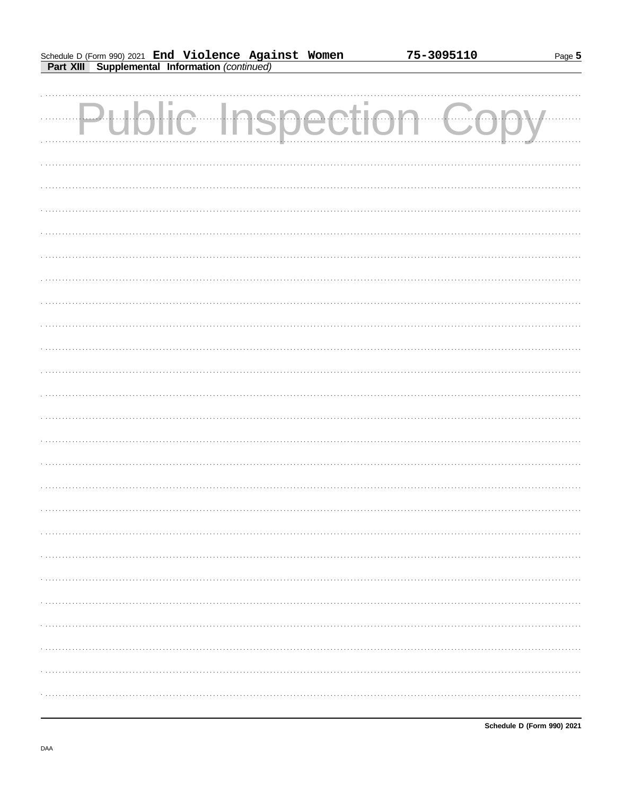Page 5

| <b>Public Inspection Copy</b> |  |
|-------------------------------|--|
|                               |  |
|                               |  |
|                               |  |
|                               |  |
|                               |  |
|                               |  |
|                               |  |
|                               |  |
|                               |  |
|                               |  |
|                               |  |
|                               |  |
|                               |  |
|                               |  |
|                               |  |
|                               |  |
|                               |  |
|                               |  |
|                               |  |
|                               |  |
|                               |  |
|                               |  |
|                               |  |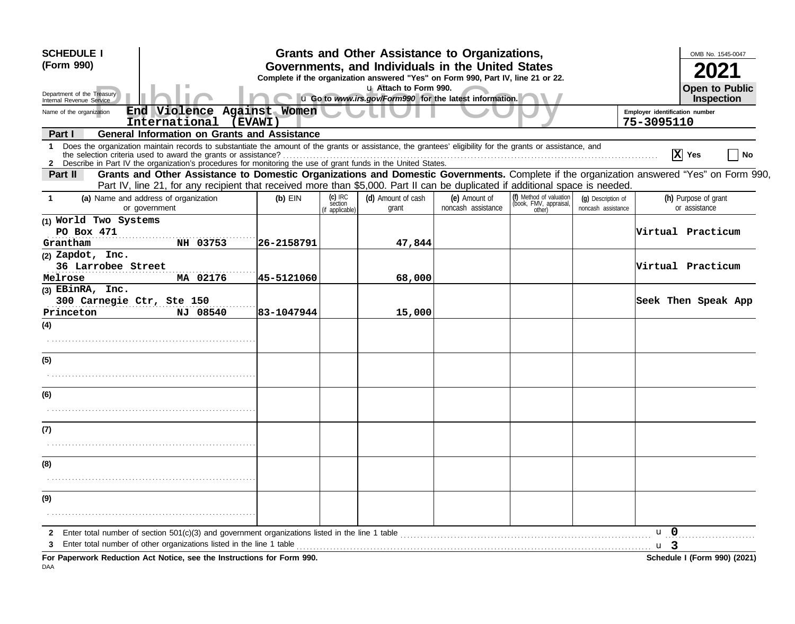| <b>SCHEDULE I</b>                                      |                                                                                                                                                                                                                                                                                                                                                 |             |                            | Grants and Other Assistance to Organizations,                                    |                    |                                  |                                          |                                | OMB No. 1545-0047                   |
|--------------------------------------------------------|-------------------------------------------------------------------------------------------------------------------------------------------------------------------------------------------------------------------------------------------------------------------------------------------------------------------------------------------------|-------------|----------------------------|----------------------------------------------------------------------------------|--------------------|----------------------------------|------------------------------------------|--------------------------------|-------------------------------------|
| (Form 990)                                             |                                                                                                                                                                                                                                                                                                                                                 |             |                            | Governments, and Individuals in the United States                                |                    |                                  |                                          |                                |                                     |
|                                                        |                                                                                                                                                                                                                                                                                                                                                 |             |                            | Complete if the organization answered "Yes" on Form 990, Part IV, line 21 or 22. |                    |                                  |                                          |                                |                                     |
| Department of the Treasury<br>Internal Revenue Service |                                                                                                                                                                                                                                                                                                                                                 |             |                            | u Attach to Form 990.<br>u Go to www.irs.gov/Form990 for the latest information. |                    |                                  |                                          |                                | <b>Open to Public</b><br>Inspection |
| Name of the organization                               | End Violence Against Women                                                                                                                                                                                                                                                                                                                      |             |                            |                                                                                  |                    |                                  |                                          | Employer identification number |                                     |
|                                                        | International<br>(EVAWI)                                                                                                                                                                                                                                                                                                                        |             |                            |                                                                                  |                    |                                  |                                          | 75-3095110                     |                                     |
| Part I                                                 | <b>General Information on Grants and Assistance</b>                                                                                                                                                                                                                                                                                             |             |                            |                                                                                  |                    |                                  |                                          |                                |                                     |
| 1.                                                     | Does the organization maintain records to substantiate the amount of the grants or assistance, the grantees' eligibility for the grants or assistance, and<br>the selection criteria used to award the grants or assistance?<br>2 Describe in Part IV the organization's procedures for monitoring the use of grant funds in the United States. |             |                            |                                                                                  |                    |                                  |                                          |                                | $\overline{X}$ Yes<br>No            |
| Part II                                                | Grants and Other Assistance to Domestic Organizations and Domestic Governments. Complete if the organization answered "Yes" on Form 990,<br>Part IV, line 21, for any recipient that received more than \$5,000. Part II can be duplicated if additional space is needed.                                                                       |             |                            |                                                                                  |                    |                                  |                                          |                                |                                     |
|                                                        | (a) Name and address of organization                                                                                                                                                                                                                                                                                                            |             | $(c)$ IRC                  | (d) Amount of cash                                                               | (e) Amount of      | (f) Method of valuation          |                                          |                                | (h) Purpose of grant                |
|                                                        | or government                                                                                                                                                                                                                                                                                                                                   | $(b)$ EIN   | section<br>(if applicable) | grant                                                                            | noncash assistance | (book, FMV, appraisal,<br>other) | (g) Description of<br>noncash assistance |                                | or assistance                       |
| (1) World Two Systems                                  |                                                                                                                                                                                                                                                                                                                                                 |             |                            |                                                                                  |                    |                                  |                                          |                                |                                     |
| PO Box 471                                             |                                                                                                                                                                                                                                                                                                                                                 |             |                            |                                                                                  |                    |                                  |                                          |                                | Virtual Practicum                   |
| Grantham                                               | NH 03753                                                                                                                                                                                                                                                                                                                                        | 26-2158791  |                            | 47,844                                                                           |                    |                                  |                                          |                                |                                     |
| (2) Zapdot, Inc.<br>36 Larrobee Street                 |                                                                                                                                                                                                                                                                                                                                                 |             |                            |                                                                                  |                    |                                  |                                          |                                | Virtual Practicum                   |
| Melrose                                                | MA 02176                                                                                                                                                                                                                                                                                                                                        | 45-5121060  |                            | 68,000                                                                           |                    |                                  |                                          |                                |                                     |
| $(3)$ EBinRA, Inc.                                     |                                                                                                                                                                                                                                                                                                                                                 |             |                            |                                                                                  |                    |                                  |                                          |                                |                                     |
| 300 Carnegie Ctr, Ste 150                              |                                                                                                                                                                                                                                                                                                                                                 |             |                            |                                                                                  |                    |                                  |                                          |                                | Seek Then Speak App                 |
| Princeton                                              | NJ 08540                                                                                                                                                                                                                                                                                                                                        | 183-1047944 |                            | 15,000                                                                           |                    |                                  |                                          |                                |                                     |
| (4)                                                    |                                                                                                                                                                                                                                                                                                                                                 |             |                            |                                                                                  |                    |                                  |                                          |                                |                                     |
|                                                        |                                                                                                                                                                                                                                                                                                                                                 |             |                            |                                                                                  |                    |                                  |                                          |                                |                                     |
| (5)                                                    |                                                                                                                                                                                                                                                                                                                                                 |             |                            |                                                                                  |                    |                                  |                                          |                                |                                     |
|                                                        |                                                                                                                                                                                                                                                                                                                                                 |             |                            |                                                                                  |                    |                                  |                                          |                                |                                     |
|                                                        |                                                                                                                                                                                                                                                                                                                                                 |             |                            |                                                                                  |                    |                                  |                                          |                                |                                     |
| (6)                                                    |                                                                                                                                                                                                                                                                                                                                                 |             |                            |                                                                                  |                    |                                  |                                          |                                |                                     |
|                                                        |                                                                                                                                                                                                                                                                                                                                                 |             |                            |                                                                                  |                    |                                  |                                          |                                |                                     |
| (7)                                                    |                                                                                                                                                                                                                                                                                                                                                 |             |                            |                                                                                  |                    |                                  |                                          |                                |                                     |
|                                                        |                                                                                                                                                                                                                                                                                                                                                 |             |                            |                                                                                  |                    |                                  |                                          |                                |                                     |
| (8)                                                    |                                                                                                                                                                                                                                                                                                                                                 |             |                            |                                                                                  |                    |                                  |                                          |                                |                                     |
|                                                        |                                                                                                                                                                                                                                                                                                                                                 |             |                            |                                                                                  |                    |                                  |                                          |                                |                                     |
| (9)                                                    |                                                                                                                                                                                                                                                                                                                                                 |             |                            |                                                                                  |                    |                                  |                                          |                                |                                     |
|                                                        |                                                                                                                                                                                                                                                                                                                                                 |             |                            |                                                                                  |                    |                                  |                                          |                                |                                     |
|                                                        |                                                                                                                                                                                                                                                                                                                                                 |             |                            |                                                                                  |                    |                                  |                                          |                                |                                     |
| 2                                                      | Enter total number of section $501(c)(3)$ and government organizations listed in the line 1 table                                                                                                                                                                                                                                               |             |                            |                                                                                  |                    |                                  |                                          | $\mathbf{u}$ 0                 |                                     |
|                                                        | Enter total number of other organizations listed in the line 1 table                                                                                                                                                                                                                                                                            |             |                            |                                                                                  |                    |                                  |                                          | u 3                            |                                     |
|                                                        | For Paperwork Reduction Act Notice, see the Instructions for Form 990.                                                                                                                                                                                                                                                                          |             |                            |                                                                                  |                    |                                  |                                          |                                | Schedule I (Form 990) (2021)        |

. u гар<br>DAA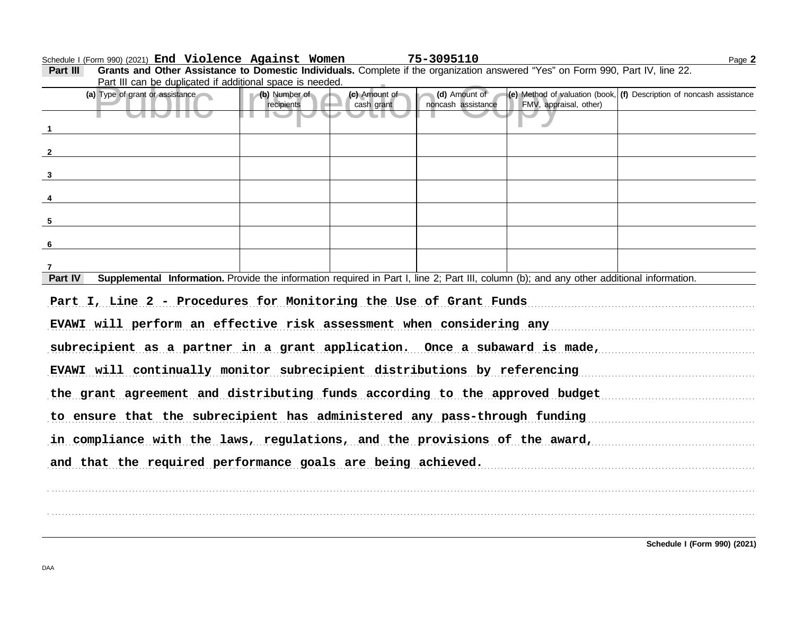Schedule I (Form 990) (2021) Page **2 End Violence Against Women 75-3095110**

|                           | Part III can be duplicated if additional space is needed.                                                                                                                                                               |                             |                             |                                     |                        |                                                                        |  |  |
|---------------------------|-------------------------------------------------------------------------------------------------------------------------------------------------------------------------------------------------------------------------|-----------------------------|-----------------------------|-------------------------------------|------------------------|------------------------------------------------------------------------|--|--|
|                           | (a) Type of grant or assistance                                                                                                                                                                                         | (b) Number of<br>recipients | (c) Amount of<br>cash grant | (d) Amount of<br>noncash assistance | FMV, appraisal, other) | (e) Method of valuation (book, $(f)$ Description of noncash assistance |  |  |
|                           |                                                                                                                                                                                                                         |                             |                             |                                     |                        |                                                                        |  |  |
| $\overline{1}$            |                                                                                                                                                                                                                         |                             |                             |                                     |                        |                                                                        |  |  |
| $\overline{\mathbf{2}}$   |                                                                                                                                                                                                                         |                             |                             |                                     |                        |                                                                        |  |  |
|                           |                                                                                                                                                                                                                         |                             |                             |                                     |                        |                                                                        |  |  |
| $\mathbf{3}$              |                                                                                                                                                                                                                         |                             |                             |                                     |                        |                                                                        |  |  |
| $\overline{4}$            |                                                                                                                                                                                                                         |                             |                             |                                     |                        |                                                                        |  |  |
| $5\phantom{.0}$           |                                                                                                                                                                                                                         |                             |                             |                                     |                        |                                                                        |  |  |
| 6                         |                                                                                                                                                                                                                         |                             |                             |                                     |                        |                                                                        |  |  |
|                           |                                                                                                                                                                                                                         |                             |                             |                                     |                        |                                                                        |  |  |
| $\overline{7}$<br>Part IV | Supplemental Information. Provide the information required in Part I, line 2; Part III, column (b); and any other additional information.                                                                               |                             |                             |                                     |                        |                                                                        |  |  |
|                           | Part I, Line 2 - Procedures for Monitoring the Use of Grant Funds<br>EVAWI will perform an effective risk assessment when considering any<br>subrecipient as a partner in a grant application. Once a subaward is made, |                             |                             |                                     |                        |                                                                        |  |  |
|                           | EVAWI will continually monitor subrecipient distributions by referencing                                                                                                                                                |                             |                             |                                     |                        |                                                                        |  |  |
|                           | the grant agreement and distributing funds according to the approved budget                                                                                                                                             |                             |                             |                                     |                        |                                                                        |  |  |
|                           | to ensure that the subrecipient has administered any pass-through funding                                                                                                                                               |                             |                             |                                     |                        |                                                                        |  |  |
|                           | in compliance with the laws, regulations, and the provisions of the award,                                                                                                                                              |                             |                             |                                     |                        |                                                                        |  |  |
|                           | and that the required performance goals are being achieved.                                                                                                                                                             |                             |                             |                                     |                        |                                                                        |  |  |
|                           |                                                                                                                                                                                                                         |                             |                             |                                     |                        |                                                                        |  |  |

**Part III Grants and Other Assistance to Domestic Individuals.** Complete if the organization answered "Yes" on Form 990, Part IV, line 22.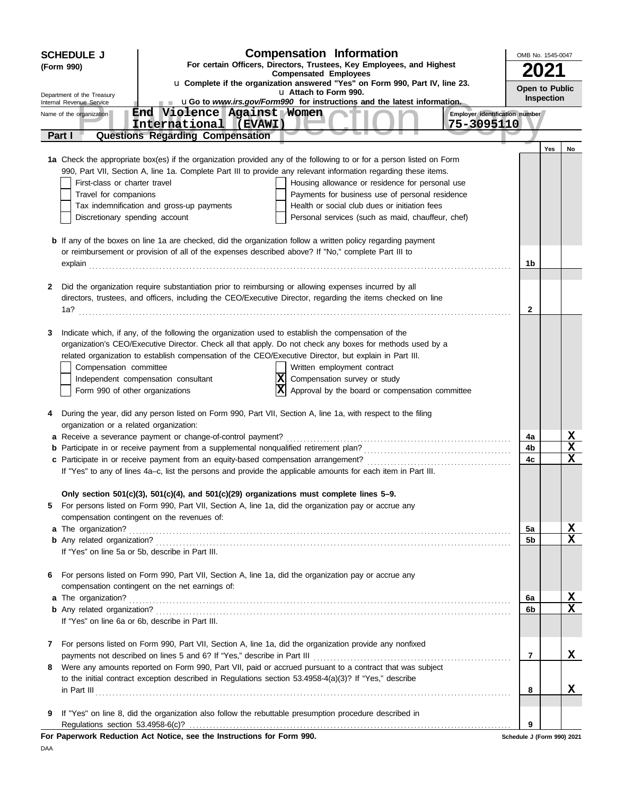|              | <b>SCHEDULE J</b>                                    |                                                                                                        | <b>Compensation Information</b>                                                                                      | OMB No. 1545-0047          |            |    |
|--------------|------------------------------------------------------|--------------------------------------------------------------------------------------------------------|----------------------------------------------------------------------------------------------------------------------|----------------------------|------------|----|
|              | (Form 990)                                           |                                                                                                        | For certain Officers, Directors, Trustees, Key Employees, and Highest                                                |                            | 2021       |    |
|              |                                                      |                                                                                                        | <b>Compensated Employees</b><br>u Complete if the organization answered "Yes" on Form 990, Part IV, line 23.         |                            |            |    |
|              | Department of the Treasury                           |                                                                                                        | u Attach to Form 990.<br>uGo to www.irs.gov/Form990 for instructions and the latest information.                     | Open to Public             | Inspection |    |
|              | Internal Revenue Service<br>Name of the organization | End Violence Against Women                                                                             | Employer identification number                                                                                       |                            |            |    |
|              |                                                      | International (EVAWI)                                                                                  | 75-3095110                                                                                                           |                            |            |    |
|              | Part I                                               | <b>Questions Regarding Compensation</b>                                                                |                                                                                                                      |                            |            |    |
|              |                                                      |                                                                                                        | 1a Check the appropriate box(es) if the organization provided any of the following to or for a person listed on Form |                            | Yes        | No |
|              |                                                      |                                                                                                        | 990, Part VII, Section A, line 1a. Complete Part III to provide any relevant information regarding these items.      |                            |            |    |
|              | First-class or charter travel                        |                                                                                                        | Housing allowance or residence for personal use                                                                      |                            |            |    |
|              | Travel for companions                                |                                                                                                        | Payments for business use of personal residence                                                                      |                            |            |    |
|              |                                                      | Tax indemnification and gross-up payments                                                              | Health or social club dues or initiation fees                                                                        |                            |            |    |
|              | Discretionary spending account                       |                                                                                                        | Personal services (such as maid, chauffeur, chef)                                                                    |                            |            |    |
|              |                                                      |                                                                                                        | <b>b</b> If any of the boxes on line 1a are checked, did the organization follow a written policy regarding payment  |                            |            |    |
|              |                                                      | or reimbursement or provision of all of the expenses described above? If "No," complete Part III to    |                                                                                                                      |                            |            |    |
|              |                                                      |                                                                                                        |                                                                                                                      | 1b                         |            |    |
| 2            |                                                      | Did the organization require substantiation prior to reimbursing or allowing expenses incurred by all  |                                                                                                                      |                            |            |    |
|              |                                                      |                                                                                                        | directors, trustees, and officers, including the CEO/Executive Director, regarding the items checked on line         |                            |            |    |
|              |                                                      |                                                                                                        |                                                                                                                      | 2                          |            |    |
|              |                                                      |                                                                                                        |                                                                                                                      |                            |            |    |
| 3            |                                                      | Indicate which, if any, of the following the organization used to establish the compensation of the    | organization's CEO/Executive Director. Check all that apply. Do not check any boxes for methods used by a            |                            |            |    |
|              |                                                      | related organization to establish compensation of the CEO/Executive Director, but explain in Part III. |                                                                                                                      |                            |            |    |
|              | Compensation committee                               |                                                                                                        | Written employment contract                                                                                          |                            |            |    |
|              |                                                      | Independent compensation consultant                                                                    | Compensation survey or study                                                                                         |                            |            |    |
|              | Form 990 of other organizations                      |                                                                                                        | ΙXΙ<br>Approval by the board or compensation committee                                                               |                            |            |    |
|              |                                                      |                                                                                                        |                                                                                                                      |                            |            |    |
| 4            | organization or a related organization:              |                                                                                                        | During the year, did any person listed on Form 990, Part VII, Section A, line 1a, with respect to the filing         |                            |            |    |
|              |                                                      | a Receive a severance payment or change-of-control payment?                                            |                                                                                                                      | 4a                         |            | X  |
|              |                                                      |                                                                                                        |                                                                                                                      | 4b                         |            | X  |
|              |                                                      |                                                                                                        |                                                                                                                      | 4c                         |            | X  |
|              |                                                      |                                                                                                        | If "Yes" to any of lines 4a-c, list the persons and provide the applicable amounts for each item in Part III.        |                            |            |    |
|              |                                                      | Only section 501(c)(3), 501(c)(4), and 501(c)(29) organizations must complete lines 5-9.               |                                                                                                                      |                            |            |    |
| 5            |                                                      | For persons listed on Form 990, Part VII, Section A, line 1a, did the organization pay or accrue any   |                                                                                                                      |                            |            |    |
|              |                                                      | compensation contingent on the revenues of:                                                            |                                                                                                                      |                            |            |    |
|              | a The organization?                                  |                                                                                                        |                                                                                                                      | 5a                         |            | X  |
|              |                                                      |                                                                                                        |                                                                                                                      | 5b                         |            | X  |
|              |                                                      | If "Yes" on line 5a or 5b, describe in Part III.                                                       |                                                                                                                      |                            |            |    |
| 6            |                                                      | For persons listed on Form 990, Part VII, Section A, line 1a, did the organization pay or accrue any   |                                                                                                                      |                            |            |    |
|              |                                                      | compensation contingent on the net earnings of:                                                        |                                                                                                                      |                            |            |    |
|              | a The organization?                                  |                                                                                                        |                                                                                                                      | 6a                         |            | X  |
|              |                                                      |                                                                                                        |                                                                                                                      | 6b                         |            | X  |
|              |                                                      | If "Yes" on line 6a or 6b, describe in Part III.                                                       |                                                                                                                      |                            |            |    |
| $\mathbf{7}$ |                                                      |                                                                                                        | For persons listed on Form 990, Part VII, Section A, line 1a, did the organization provide any nonfixed              |                            |            |    |
|              |                                                      |                                                                                                        |                                                                                                                      | 7                          |            | X  |
| 8            |                                                      |                                                                                                        | Were any amounts reported on Form 990, Part VII, paid or accrued pursuant to a contract that was subject             |                            |            |    |
|              |                                                      | to the initial contract exception described in Regulations section 53.4958-4(a)(3)? If "Yes," describe |                                                                                                                      | 8                          |            | X  |
|              |                                                      |                                                                                                        |                                                                                                                      |                            |            |    |
| 9            |                                                      |                                                                                                        | If "Yes" on line 8, did the organization also follow the rebuttable presumption procedure described in               |                            |            |    |
|              | Regulations section 53.4958-6(c)?                    |                                                                                                        |                                                                                                                      | 9                          |            |    |
|              |                                                      | For Paperwork Reduction Act Notice, see the Instructions for Form 990.                                 |                                                                                                                      | Schedule J (Form 990) 2021 |            |    |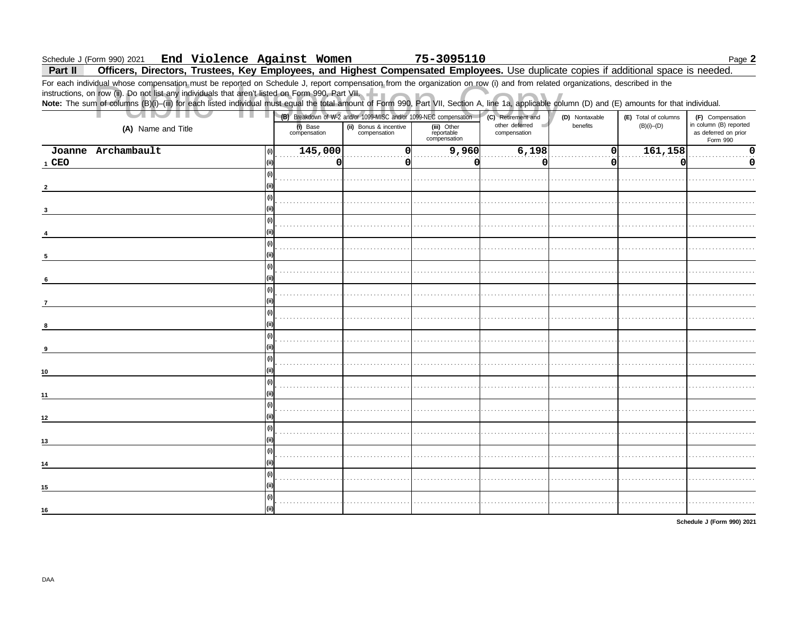#### End Violence Against Women Schedule J (Form 990) 2021

75-3095110

#### Page  $2$

Officers, Directors, Trustees, Key Employees, and Highest Compensated Employees. Use duplicate copies if additional space is needed. Part II

For each individual whose compensation must be reported on Schedule J, report compensation from the organization on row (i) and from related organizations, described in the instructions, on row (ii). Do not list any individuals that aren't listed on Form 990, Part VII.<br>Note: The sum of columns (B)(i)-(iii) for each listed individual must equal the total amount of Form 990, Part VII, Section A

| ٠                  |      |                          |                                        | (B) Breakdown of W-2 and/or 1099-MISC and/or 1099-NEC compensation | (C) Retirement and             | (D) Nontaxable | (E) Total of columns | (F) Compensation                                           |
|--------------------|------|--------------------------|----------------------------------------|--------------------------------------------------------------------|--------------------------------|----------------|----------------------|------------------------------------------------------------|
| (A) Name and Title |      | (i) Base<br>compensation | (ii) Bonus & incentive<br>compensation | (iii) Other<br>reportable<br>compensation                          | other deferred<br>compensation | benefits       | $(B)(i)$ - $(D)$     | in column (B) reported<br>as deferred on prior<br>Form 990 |
| Joanne Archambault | (i)  | 145,000                  | <sub>0</sub>                           | 9,960                                                              | 6,198                          | $\Omega$       | 161,158              | $\mathbf 0$                                                |
| 1 CEO              | (ii) | $\overline{0}$           | 0                                      | O                                                                  | 0                              | 0              | 0                    | 0                                                          |
|                    | (i)  |                          |                                        |                                                                    |                                |                |                      |                                                            |
|                    |      |                          |                                        |                                                                    |                                |                |                      |                                                            |
|                    | (i)  |                          |                                        |                                                                    |                                |                |                      |                                                            |
|                    | (i)  |                          |                                        |                                                                    |                                |                |                      |                                                            |
|                    |      |                          |                                        |                                                                    |                                |                |                      |                                                            |
|                    | (i)  |                          |                                        |                                                                    |                                |                |                      |                                                            |
| 5                  |      |                          |                                        |                                                                    |                                |                |                      |                                                            |
|                    | (i)  |                          |                                        |                                                                    |                                |                |                      |                                                            |
| 6                  |      |                          |                                        |                                                                    |                                |                |                      |                                                            |
| $\overline{7}$     | (i)  |                          |                                        |                                                                    |                                |                |                      |                                                            |
|                    | (i)  |                          |                                        |                                                                    |                                |                |                      |                                                            |
| 8                  |      |                          |                                        |                                                                    |                                |                |                      |                                                            |
|                    | (i)  |                          |                                        |                                                                    |                                |                |                      |                                                            |
| 9                  |      |                          |                                        |                                                                    |                                |                |                      |                                                            |
|                    | (i)  |                          |                                        |                                                                    |                                |                |                      |                                                            |
| 10                 | (ii) |                          |                                        |                                                                    |                                |                |                      |                                                            |
| 11                 | (i)  |                          |                                        |                                                                    |                                |                |                      |                                                            |
|                    | (i)  |                          |                                        |                                                                    |                                |                |                      |                                                            |
| 12                 | (ii) |                          |                                        |                                                                    |                                |                |                      |                                                            |
|                    | (i)  |                          |                                        |                                                                    |                                |                |                      |                                                            |
| 13                 |      |                          |                                        |                                                                    |                                |                |                      |                                                            |
| 14                 | (i)  |                          |                                        |                                                                    |                                |                |                      |                                                            |
|                    | (i)  |                          |                                        |                                                                    |                                |                |                      |                                                            |
| 15                 |      |                          |                                        |                                                                    |                                |                |                      |                                                            |
| 16                 | (i)  |                          |                                        |                                                                    |                                |                |                      |                                                            |
|                    |      |                          |                                        |                                                                    |                                |                |                      |                                                            |

Schedule J (Form 990) 2021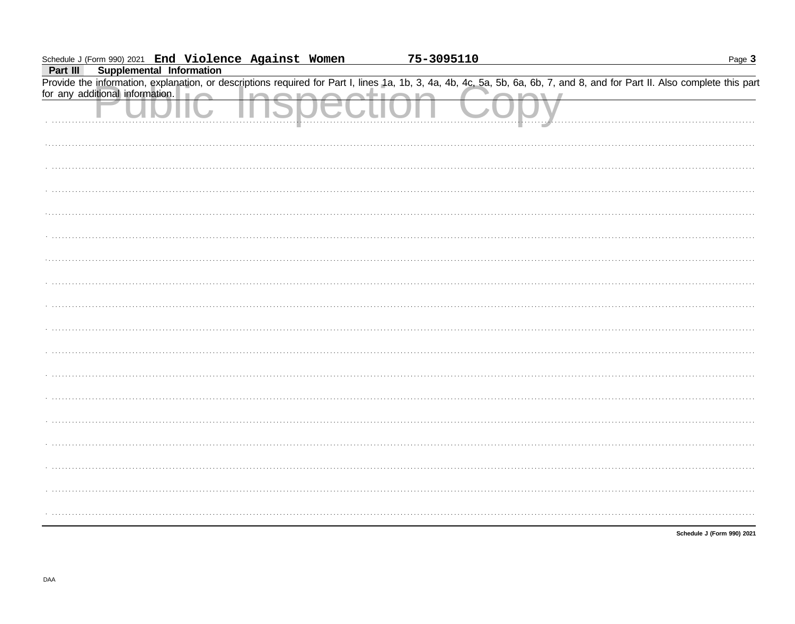| Schedule J (Form 990) 2021 End Violence Against Women |  | 75-3095110 | Page $3$                                                                                                                                                                   |
|-------------------------------------------------------|--|------------|----------------------------------------------------------------------------------------------------------------------------------------------------------------------------|
| Supplemental Information<br>Part III                  |  |            |                                                                                                                                                                            |
|                                                       |  |            | Provide the information, explanation, or descriptions required for Part I, lines 1a, 1b, 3, 4a, 4b, 4c, 5a, 5b, 6a, 6b, 7, and 8, and for Part II. Also complete this part |
| for any additional information.                       |  |            |                                                                                                                                                                            |
|                                                       |  |            |                                                                                                                                                                            |
|                                                       |  |            |                                                                                                                                                                            |
|                                                       |  |            |                                                                                                                                                                            |
|                                                       |  |            |                                                                                                                                                                            |
|                                                       |  |            |                                                                                                                                                                            |
|                                                       |  |            |                                                                                                                                                                            |
|                                                       |  |            |                                                                                                                                                                            |
|                                                       |  |            |                                                                                                                                                                            |
|                                                       |  |            |                                                                                                                                                                            |
|                                                       |  |            |                                                                                                                                                                            |
|                                                       |  |            |                                                                                                                                                                            |
|                                                       |  |            |                                                                                                                                                                            |
|                                                       |  |            |                                                                                                                                                                            |
|                                                       |  |            |                                                                                                                                                                            |
|                                                       |  |            |                                                                                                                                                                            |
|                                                       |  |            |                                                                                                                                                                            |
|                                                       |  |            |                                                                                                                                                                            |
|                                                       |  |            |                                                                                                                                                                            |
|                                                       |  |            | Schedule J (Form 990) 2021                                                                                                                                                 |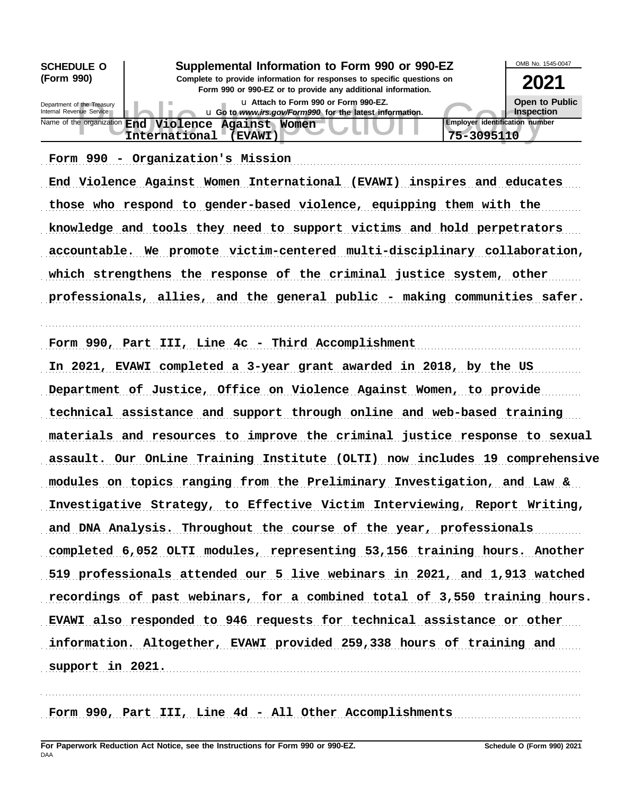| <b>SCHEDULE O</b>                                                                                                                                    | Supplemental Information to Form 990 or 990-EZ                                                  | OMB No. 1545-0047                                   |                                            |  |  |
|------------------------------------------------------------------------------------------------------------------------------------------------------|-------------------------------------------------------------------------------------------------|-----------------------------------------------------|--------------------------------------------|--|--|
| (Form 990)<br>Complete to provide information for responses to specific questions on<br>Form 990 or 990-EZ or to provide any additional information. |                                                                                                 |                                                     |                                            |  |  |
| Department of the Treasury<br>Internal Revenue Service                                                                                               | u Attach to Form 990 or Form 990-EZ.<br>u Go to www.irs.gov/Form990 for the latest information. |                                                     | <b>Open to Public</b><br><b>Inspection</b> |  |  |
| Name of the organization End                                                                                                                         | <b>Against Women</b><br>Violence<br>International<br><b>EVAWI)</b>                              | <b>Employer identification number</b><br>75-3095110 |                                            |  |  |

Form 990 - Organization's Mission (1998) (1999) - Contractor State of Mission (1998) - Contractor State Organization (1998) - Contractor State Organization (1998) - Contractor State Organization (1999) - Contractor State O

End Violence Against Women International (EVAWI) inspires and educates those who respond to gender-based violence, equipping them with the knowledge and tools they need to support victims and hold perpetrators accountable. We promote victim-centered multi-disciplinary collaboration, which strengthens the response of the criminal justice system, other professionals, allies, and the general public - making communities safer.

. . . . . . . . . . . . . . . . . . . . . . . . . . . . . . . . . . . . . . . . . . . . . . . . . . . . . . . . . . . . . . . . . . . . . . . . . . . . . . . . . . . . . . . . . . . . . . . . . . . . . . . . . . . . . . . . . . . . . . . . . . . . . . . . . . . . . . . . . . . . . . . . . . . . . . . . . . . . . . . . .

Form 990, Part III, Line 4c - Third Accomplishment

In 2021, EVAWI completed a 3-year grant awarded in 2018, by the US Department of Justice, Office on Violence Against Women, to provide technical assistance and support through online and web-based training materials and resources to improve the criminal justice response to sexual assault. Our OnLine Training Institute (OLTI) now includes 19 comprehensive modules on topics ranging from the Preliminary Investigation, and Law & Investigative Strategy, to Effective Victim Interviewing, Report Writing, and DNA Analysis. Throughout the course of the year, professionals completed 6,052 OLTI modules, representing 53,156 training hours. Another 519 professionals attended our 5 live webinars in 2021, and 1,913 watched recordings of past webinars, for a combined total of 3,550 training hours. EVAWI also responded to 946 requests for technical assistance or other information. Altogether, EVAWI provided 259,338 hours of training and support in 2021.

. . . . . . . . . . . . . . . . . . . . . . . . . . . . . . . . . . . . . . . . . . . . . . . . . . . . . . . . . . . . . . . . . . . . . . . . . . . . . . . . . . . . . . . . . . . . . . . . . . . . . . . . . . . . . . . . . . . . . . . . . . . . . . . . . . . . . . . . . . . . . . . . . . . . . . . . . . . . . . . . .

Form 990, Part III, Line 4d - All Other Accomplishments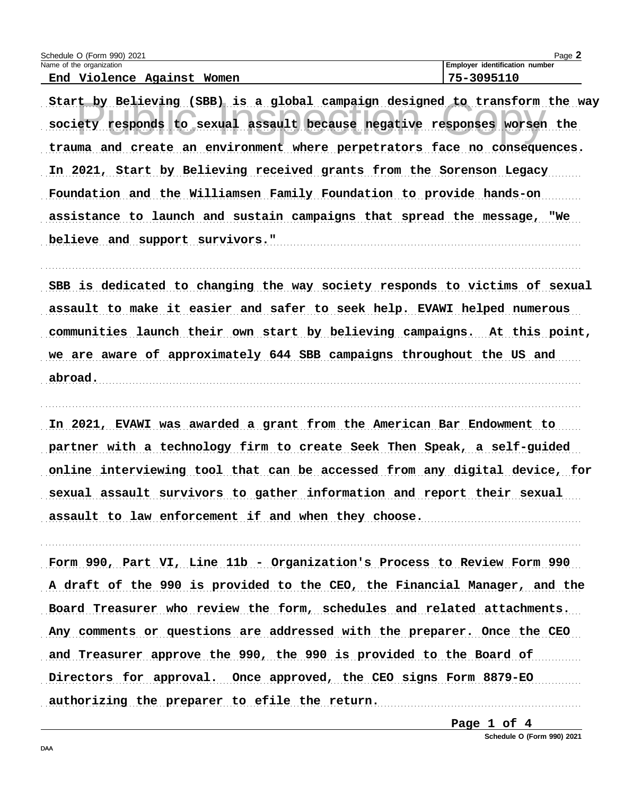| Schedule O (Form 990) 2021          | Page                                  |
|-------------------------------------|---------------------------------------|
| Name of the organization            | <b>Employer identification number</b> |
| Aqainst<br>End<br>Violence<br>Women | 75-3095110                            |

Start by Believing (SBB) is a global campaign designed to transform the way society responds to sexual assault because negative responses worsen the trauma and create an environment where perpetrators face no consequences. In 2021, Start by Believing received grants from the Sorenson Legacy Foundation and the Williamsen Family Foundation to provide hands-on assistance to launch and sustain campaigns that spread the message, "We believe and support survivors."

SBB is dedicated to changing the way society responds to victims of sexual assault to make it easier and safer to seek help. EVAWI helped numerous communities launch their own start by believing campaigns. At this point, we are aware of approximately 644 SBB campaigns throughout the US and abroad.

In 2021, EVAWI was awarded a grant from the American Bar Endowment to partner with a technology firm to create Seek Then Speak, a self-guided online interviewing tool that can be accessed from any digital device, for sexual assault survivors to gather information and report their sexual assault to law enforcement if and when they choose.

Form 990, Part VI, Line 11b - Organization's Process to Review Form 990 A draft of the 990 is provided to the CEO, the Financial Manager, and the Board Treasurer who review the form, schedules and related attachments. Any comments or questions are addressed with the preparer. Once the CEO and Treasurer approve the 990, the 990 is provided to the Board of Directors for approval. Once approved, the CEO signs Form 8879-EO authorizing the preparer to efile the return. 

Page 1 of 4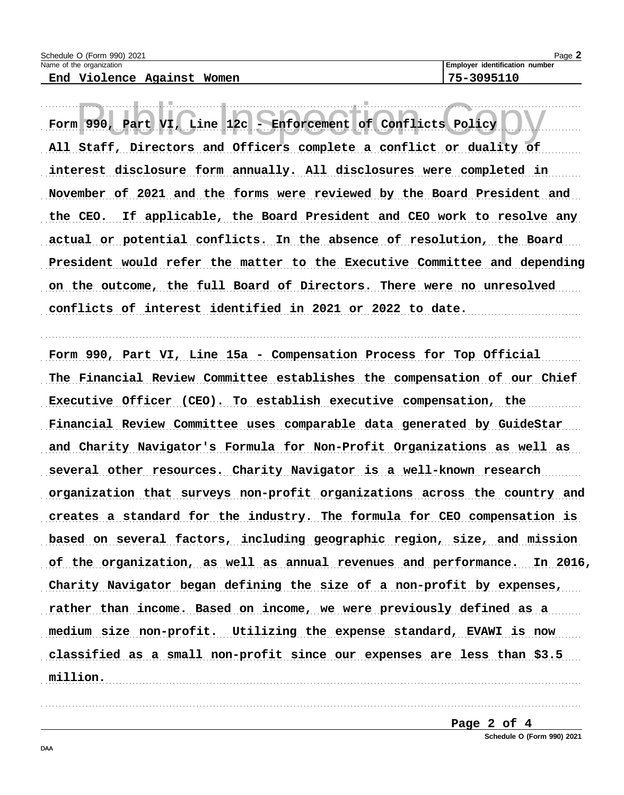End Violence Against Women

Page 2

75-3095110

Part VI, Line 12c -Enforcement of Conflicts Policy Form  $990$ , All Staff, Directors and Officers complete a conflict or duality of interest disclosure form annually. All disclosures were completed in November of 2021 and the forms were reviewed by the Board President and the CEO. If applicable, the Board President and CEO work to resolve any actual or potential conflicts. In the absence of resolution, the Board President would refer the matter to the Executive Committee and depending on the outcome, the full Board of Directors. There were no unresolved conflicts of interest identified in 2021 or 2022 to date.

Form 990, Part VI, Line 15a - Compensation Process for Top Official The Financial Review Committee establishes the compensation of our Chief Executive Officer (CEO). To establish executive compensation, the Financial Review Committee uses comparable data generated by GuideStar and Charity Navigator's Formula for Non-Profit Organizations as well as several other resources. Charity Navigator is a well-known research organization that surveys non-profit organizations across the country and creates a standard for the industry. The formula for CEO compensation is based on several factors, including geographic region, size, and mission of the organization, as well as annual revenues and performance. In 2016, Charity Navigator began defining the size of a non-profit by expenses, rather than income. Based on income, we were previously defined as a medium size non-profit. Utilizing the expense standard, EVAWI is now classified as a small non-profit since our expenses are less than \$3.5 million.

Page 2 of 4

Schedule O (Form 990) 2021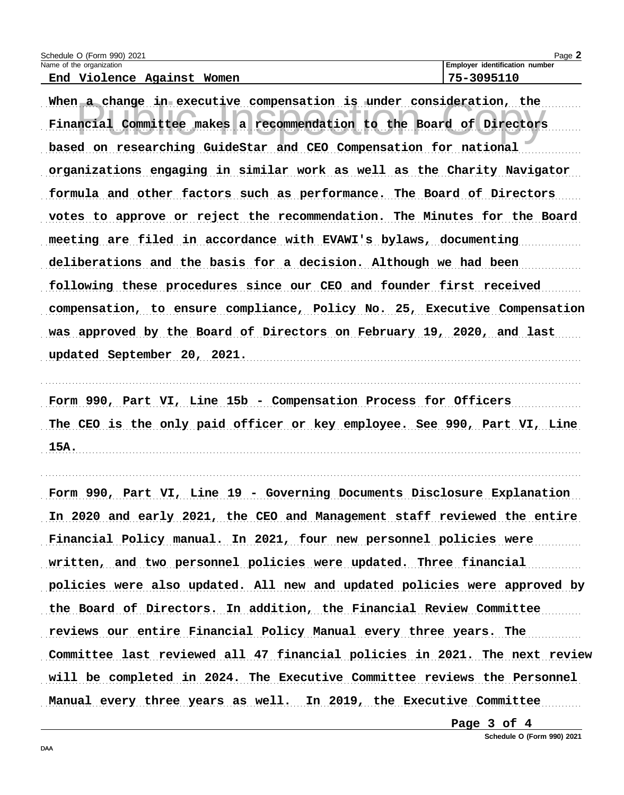| Schedule O (Form 990) 2021 | Page 2                                |
|----------------------------|---------------------------------------|
| Name of the organization   | <b>Employer identification number</b> |
| End Violence Against Women | 75-3095110                            |

When a change in executive compensation is under consideration, the Financial Committee makes a recommendation to the Board of Directors based on researching GuideStar and CEO Compensation for national organizations engaging in similar work as well as the Charity Navigator formula and other factors such as performance. The Board of Directors votes to approve or reject the recommendation. The Minutes for the Board meeting are filed in accordance with EVAWI's bylaws, documenting deliberations and the basis for a decision. Although we had been following these procedures since our CEO and founder first received compensation, to ensure compliance, Policy No. 25, Executive Compensation was approved by the Board of Directors on February 19, 2020, and last updated September 20, 2021.

Form 990, Part VI, Line 15b - Compensation Process for Officers The CEO is the only paid officer or key employee. See 990, Part VI, Line  $15A.$ 

Form 990, Part VI, Line 19 - Governing Documents Disclosure Explanation In 2020 and early 2021, the CEO and Management staff reviewed the entire Financial Policy manual. In 2021, four new personnel policies were written, and two personnel policies were updated. Three financial policies were also updated. All new and updated policies were approved by the Board of Directors. In addition, the Financial Review Committee reviews our entire Financial Policy Manual every three years. The Committee last reviewed all 47 financial policies in 2021. The next review will be completed in 2024. The Executive Committee reviews the Personnel Manual every three years as well. In 2019, the Executive Committee

Page 3 of 4